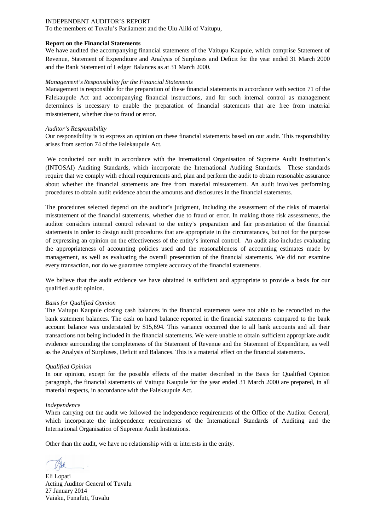To the members of Tuvalu's Parliament and the Ulu Aliki of Vaitupu,

#### **Report on the Financial Statements**

We have audited the accompanying financial statements of the Vaitupu Kaupule, which comprise Statement of Revenue, Statement of Expenditure and Analysis of Surpluses and Deficit for the year ended 31 March 2000 and the Bank Statement of Ledger Balances as at 31 March 2000.

#### *Management's Responsibility for the Financial Statements*

Management is responsible for the preparation of these financial statements in accordance with section 71 of the Falekaupule Act and accompanying financial instructions, and for such internal control as management determines is necessary to enable the preparation of financial statements that are free from material misstatement, whether due to fraud or error.

#### *Auditor's Responsibility*

Our responsibility is to express an opinion on these financial statements based on our audit. This responsibility arises from section 74 of the Falekaupule Act.

We conducted our audit in accordance with the International Organisation of Supreme Audit Institution's (INTOSAI) Auditing Standards, which incorporate the International Auditing Standards. These standards require that we comply with ethical requirements and, plan and perform the audit to obtain reasonable assurance about whether the financial statements are free from material misstatement. An audit involves performing procedures to obtain audit evidence about the amounts and disclosures in the financial statements.

The procedures selected depend on the auditor's judgment, including the assessment of the risks of material misstatement of the financial statements, whether due to fraud or error. In making those risk assessments, the auditor considers internal control relevant to the entity's preparation and fair presentation of the financial statements in order to design audit procedures that are appropriate in the circumstances, but not for the purpose of expressing an opinion on the effectiveness of the entity's internal control. An audit also includes evaluating the appropriateness of accounting policies used and the reasonableness of accounting estimates made by management, as well as evaluating the overall presentation of the financial statements. We did not examine every transaction, nor do we guarantee complete accuracy of the financial statements.

We believe that the audit evidence we have obtained is sufficient and appropriate to provide a basis for our qualified audit opinion.

#### *Basis for Qualified Opinion*

The Vaitupu Kaupule closing cash balances in the financial statements were not able to be reconciled to the bank statement balances. The cash on hand balance reported in the financial statements compared to the bank account balance was understated by \$15,694. This variance occurred due to all bank accounts and all their transactions not being included in the financial statements. We were unable to obtain sufficient appropriate audit evidence surrounding the completeness of the Statement of Revenue and the Statement of Expenditure, as well as the Analysis of Surpluses, Deficit and Balances. This is a material effect on the financial statements.

#### *Qualified Opinion*

In our opinion, except for the possible effects of the matter described in the Basis for Qualified Opinion paragraph, the financial statements of Vaitupu Kaupule for the year ended 31 March 2000 are prepared, in all material respects, in accordance with the Falekaupule Act.

#### *Independence*

When carrying out the audit we followed the independence requirements of the Office of the Auditor General, which incorporate the independence requirements of the International Standards of Auditing and the International Organisation of Supreme Audit Institutions.

Eli Lopati Acting Auditor General of Tuvalu 27 January 2014 Vaiaku, Funafuti, Tuvalu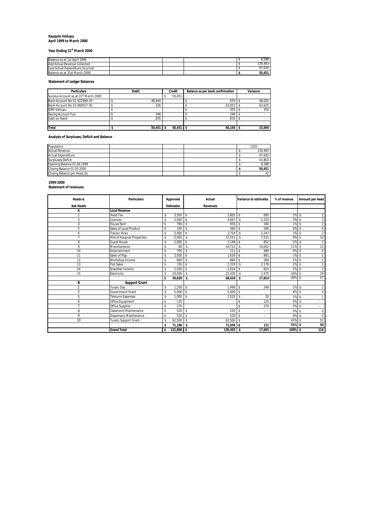# **Kaupule Vaitupu April 1999 to March 2000**

# **Year Ending 31st March 2000**

| Balance as at 1st April 1999     |  |  | 8.588   |
|----------------------------------|--|--|---------|
| Add Actual Revenue Collected     |  |  | 139.493 |
| Less Actual Expenditure Incurred |  |  | 97.630  |
| Balance as at 31st March 2000    |  |  | 50,451  |

#### **Statement of Ledger Balances**

| <b>Particulars</b>                                | <b>Debit</b> | Credit | Balance as per bank confirmation | Variance |
|---------------------------------------------------|--------------|--------|----------------------------------|----------|
| Surplus Account as at 31 <sup>st</sup> March 2000 |              | 50.451 |                                  |          |
| Bank Account No 01-922969-30                      | 48.944       |        | 659                              | 48.285   |
| Bank Account No 01-960017-30                      | 326          |        | 63.951                           | 63.625   |
| <b>IDRF Vaitupu</b>                               |              |        | 355                              | 355      |
| Saving Account Fusi                               | 346          |        | 346                              |          |
| Cash on Hand                                      | 835          |        | 835                              |          |
|                                                   |              |        |                                  |          |
| <b>Total</b>                                      | 50,451       | 50,451 | 66,145                           | 15.694   |

#### **Analysis of Surpluses, Deficit and Balance**

| Population                    |  |  | 1202    |
|-------------------------------|--|--|---------|
| <b>Actual Revenue</b>         |  |  | 139.493 |
| <b>Actual Expenditure</b>     |  |  | 97.630  |
| Surpluses/Deficit             |  |  | 41.863  |
| Opening Balance 01.04.1999    |  |  | 8.588   |
| Closing Balance 31.03.2000    |  |  | 50.451  |
| Closing Balance per Head (\$) |  |  | 42      |

# **1999-2000 Statement of revenues**

| Heads &          | <b>Particulars</b>          | Approved           | Actual                       | Variance to estimates             | % of revenue | Amount per head                   |
|------------------|-----------------------------|--------------------|------------------------------|-----------------------------------|--------------|-----------------------------------|
| <b>Sub Heads</b> |                             | <b>Estimates</b>   | <b>Revenues</b>              |                                   |              |                                   |
| A                | <b>Local Revenue</b>        |                    |                              |                                   |              |                                   |
| $\overline{2}$   | <b>Head Tax</b>             | $3.500$ \$<br>\$   | $2.805 - S$                  | 695                               | 2% \$        |                                   |
| 3                | Licences                    | 5,000<br>\$        | 3.667<br><sup>\$</sup>       | 1,333<br>$-$ \$                   | 3%           | 3<br>-S                           |
| $\overline{4}$   | <b>House Rent</b>           | 790<br>\$          | 950<br>s.                    | 160<br>s                          | $1\%$ \$     |                                   |
| 5                | Sales of Local Product      | 100<br>\$          | 360<br>$\mathbf{\hat{s}}$    | 260<br>\$.                        | 0%           | $\mathbf 0$<br>$\mathbf{\hat{s}}$ |
| 6                | <b>Tractor Hires</b>        | 5.000<br>\$        | s.<br>2.754                  | 2.247<br>$\overline{\phantom{a}}$ | 2%           | $\overline{2}$<br>-S              |
| $\overline{7}$   | Hire of Kaupule Properties  | 5.000<br>\$        | 12,531<br>$\mathbf{\hat{s}}$ | 7.531<br>\$.                      | 9%5          | 10                                |
| 8                | <b>Guest House</b>          | 2,000<br>\$        | s.<br>1.148                  | $-$ s<br>852                      | 1%           | $\mathbf{1}$<br>-S                |
| 9                | Miscellaneous               | 80<br>Ŝ            | 14,712<br>\$                 | 14,632<br>$\mathbf{\hat{S}}$      | 11% \$       | 12                                |
| 10               | Entertainment               | 700<br>\$          | s.<br>211                    | $-$ \$<br>489                     | 0%           | $\mathbf 0$<br>$\mathbf{\hat{s}}$ |
| 11               | Sales of Pigs               | 2,500<br>\$        | 1,639<br>s.                  | 861<br>l-S                        | $1\%$ \$     |                                   |
| 12               | Workshop Income             | 600<br>\$          | 884<br>$\mathbf{\hat{s}}$    | 284<br>Ŝ.                         | $1\%$ \$     | $\mathbf{1}$                      |
| 13               | <b>Fish Sales</b>           | 150<br>\$          | s.<br>2,329                  | 2,179<br>Ŝ                        | 2%           | $\overline{2}$<br>-S              |
| 14               | Snackbar Income             | .200<br>\$         | 2.014<br>s.                  | 814<br>-Ŝ                         | $1\%$ \$     | $\overline{2}$                    |
| 15               | Electricity                 | 24.000<br>\$       | -S<br>22.430                 | 1.570<br>$-$ s                    | 16%          | 19<br>-S                          |
|                  |                             | 50.620<br>ŝ        | - \$<br>68,434               | 17.814<br>Ιs                      | 49% \$       | 57                                |
| В                | <b>Support Grant</b>        |                    |                              |                                   |              |                                   |
| и                | Tuvalu Day                  | .250S<br>\$        | $1.499$ \$                   | 249                               | $1\%$ \$     |                                   |
| $\overline{2}$   | <b>Government Grant</b>     | 5.000<br>\$        | s.<br>5.000                  | $\mathbf{\hat{s}}$                | 4%           | $\mathbf{\hat{s}}$                |
| 5                | <b>Telecom Expenses</b>     | 1.000<br>\$        | s.<br>1.020                  | 20<br>$\mathbf{\hat{S}}$          | 1%           | $\mathbf{\hat{s}}$                |
| 6                | Office Equipment            | \$<br>120          |                              | ٠Ŝ<br>120                         | 0%           | -\$<br>÷.                         |
| $\overline{7}$   | <b>Office Supplies</b>      | 270<br>\$          |                              | 270<br>-Ŝ                         | 0% \$        | $\overline{\phantom{a}}$          |
| 8                | Classroom Maintenance       | 520<br>\$          | s.<br>520                    | $\mathbf{\hat{S}}$<br>٠           | 0%           | $\mathbf 0$<br>$\mathbf{\hat{s}}$ |
| 9                | Dispensary Maintenance      | 520<br>\$          | 520<br>s.                    | $\mathbf{\hat{s}}$                | 0%           | $\mathbf 0$<br>$\mathbf{\hat{s}}$ |
| 10               | <b>Tuvalu Support Grant</b> | 62,500<br>\$       | 62,500<br>s.                 | -S<br>٠                           | 45% \$       | 52                                |
|                  |                             | 71,180<br>\$       | 71,059 -\$<br>-S             | 121                               | 51% \$       | 59                                |
|                  | <b>Grand Total</b>          | $121,800$ \$<br>\$ | $139,493$ \$                 | 17,693                            | 100% \$      | 116                               |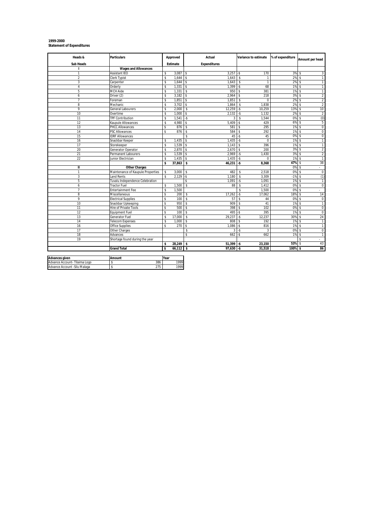# **1999-2000 Statement of Expenditures**

| Heads &                                               | <b>Particulars</b>                |      | Approved        | Actual                   | Variance to estimate              | % of expenditure | Amount per head                      |
|-------------------------------------------------------|-----------------------------------|------|-----------------|--------------------------|-----------------------------------|------------------|--------------------------------------|
| <b>Sub Heads</b>                                      |                                   |      | <b>Estimate</b> | <b>Expenditures</b>      |                                   |                  |                                      |
| ı                                                     | <b>Wages and Allowances</b>       |      |                 |                          |                                   |                  |                                      |
| 1                                                     | Assistant IEO                     | \$   | 3,087           | s<br>3,257               | 170<br>l-S                        | 3%               | -S<br>3                              |
| $\overline{2}$                                        | Clerk Typist                      | \$   | 1.644           | \$<br>1.643              | 1<br>-\$                          | 2%               | $\mathbf{1}$<br>$\mathbf{\hat{s}}$   |
| 3                                                     | Carpenter                         | \$   | 1,644           | 1.643<br>\$              | $\overline{1}$<br>s               | 2%               | \$<br>$\mathbf{1}$                   |
| $\overline{4}$                                        | Orderly                           | \$   | 1,331           | s<br>1.399               | 68<br>$-5$                        | 1%               | $\mathbf{1}$<br>-\$                  |
| 5                                                     | MCH Aide                          | \$   | 1,331           | \$<br>950                | 381<br>s                          | 1%               | $\mathsf{\$}$<br>$\mathbf{1}$        |
| 6                                                     | Driver (2)                        | \$   | 3,182           | s<br>2,964               | 218<br>$\sim$                     | 3%               | $\mathsf{\$}$<br>$\overline{2}$      |
| $\overline{7}$                                        | Foreman                           | \$   | 1,851           | \$<br>1.851              | $\mathbf{\hat{S}}$<br>$\Omega$    | 2%               | $\overline{2}$<br>$\mathbf{\hat{s}}$ |
| 8                                                     | Mechanic                          | \$   | 3,702           | s<br>1,864               | 1,838<br><sup>\$</sup>            | 2%               | $\overline{2}$<br>$\mathbf{\hat{S}}$ |
| 9                                                     | <b>General Labourers</b>          | s    | 2.000           | s<br>12.259              | 10.259<br>$-5$                    | 13%              | 10<br>\$                             |
| 10                                                    | Overtime                          | \$   | 1,000           | \$<br>2,132              | $-5$<br>1,132                     | 2%               | $\overline{2}$<br>\$                 |
| 11                                                    | <b>TPF Contribution</b>           | \$   | 1,541           | $-5$<br>3                | 1,544<br>Ŝ                        | 0%               | (0)<br>\$                            |
| 12                                                    | Kaupule Allowances                | \$   | 4,980           | 5,409<br>\$              | -Ŝ<br>429                         | 6%               | 5<br>$\mathbf{\hat{S}}$              |
| 13                                                    | PHCC Allowances                   | \$   | 876             | s<br>581                 | 295<br>s                          | 1%               | $\overline{0}$<br>$\mathsf{\$}$      |
| 14                                                    | <b>PSC Allowances</b>             | \$   | 876             | s<br>584                 | 292<br>s                          | 1%               | $\overline{0}$<br>\$                 |
| 15                                                    | <b>IDRF Allowances</b>            |      |                 | 45<br>\$                 | 45<br>$-5$                        | 0%               | $\overline{0}$<br>\$                 |
| 16                                                    | Snackbar Keeper                   | \$   | 1,435           | \$<br>1,435              | $\overline{0}$<br>$-5$            | 1%               | $\mathbf{\hat{s}}$<br>$\mathbf{1}$   |
| 17                                                    | Storekeeper                       | \$   | 1,539           | \$<br>1,143              | 396<br>l S                        | 1%               | $\mathbf{\hat{s}}$<br>$\mathbf{1}$   |
| 20                                                    | Generator Operator                | s    | 2.870           | s<br>2,670               | 200<br>$\mathbf{\hat{s}}$         | 3%               | $\overline{2}$<br>\$                 |
| 21                                                    | Permanent Labourers               | \$   | 1,539           | 2,969<br>\$              | 1,430<br>$\overline{\phantom{a}}$ | 3%               | $\overline{2}$<br>-\$                |
| 22                                                    | Junior Electrician                | \$   | 1.435           | $\mathsf{\$}$<br>1.435   | $-5$<br>$\Omega$                  | 1%               | $\mathbf{1}$<br>$\mathsf{\$}$        |
|                                                       |                                   | \$   | 37,863          | \$<br>46,231             | -\$<br>8,368                      | 47%              | 38<br>$\mathsf{\$}$                  |
| $\mathbf{I}$                                          | <b>Other Charges</b>              |      |                 |                          |                                   | 0%               | $\mathbf{\hat{s}}$                   |
| 1                                                     | Maintenance of Kaupule Properties | \$   | 3,000           | \$<br>482                | 2,518<br>\$                       | 0%               | $\mathbf 0$<br>$\mathbf{\hat{S}}$    |
| 3                                                     | <b>Land Rents</b>                 | \$   | 2,129           | $-5$<br>1,180            | Ŝ<br>3,309                        | $-1%$            | (1)<br><sup>\$</sup>                 |
| 5                                                     | Tuvalu Independence Celebration   |      |                 | \$<br>1.091              | 1.091<br>$-5$                     | 1%               | $\mathsf{s}$<br>$\mathbf{1}$         |
| 6                                                     | Tractor Fuel                      | \$   | 1,500           | s<br>88                  | Ŝ<br>1,412                        | 0%               | $\mathsf{\$}$<br>$\mathbf 0$         |
| $\overline{7}$                                        | <b>Entertainment Fee</b>          | \$   | 1,500           |                          | 1,500<br>\$                       | 0%               | $\mathbf{\hat{s}}$<br>a.             |
| 8                                                     | Miscellaneous                     | \$   | 200             | 17,262<br>s              | $-5$<br>17,062                    | 18%              | 14<br>$\mathbf{\hat{s}}$             |
| 9                                                     | <b>Electrical Supplies</b>        | s    | 100             | $\mathbf{\hat{S}}$<br>57 | $\mathbf{\hat{s}}$<br>44          | 0%               | $\mathbf{\hat{s}}$<br>$\mathbf 0$    |
| 10                                                    | Snackbar Upkeeping                | \$   | 950             | $\mathsf{\$}$<br>909     | 41<br>-S                          | 1%               | $\mathbf{1}$<br>$\mathsf{\$}$        |
| 11                                                    | Hire of Private Tools             | \$   | 500             | \$<br>398                | 102<br>$\sim$                     | 0%               | $\mathbf 0$<br>\$                    |
| 12                                                    | <b>Equipment Fuel</b>             | \$   | 100             | \$<br>495                | $-$ \$<br>395                     | 1%               | $\mathbf 0$<br>\$                    |
| 13                                                    | Generator Fuel                    | \$   | 17,000          | Ŝ<br>29,237              | 12,237<br>$-5$                    | 30%              | 24                                   |
| 14                                                    | <b>Telecom Expenses</b>           | \$   | 1,000           | \$<br>808                | 192<br>$\mathbf{\hat{S}}$         | 1%               | $\overline{1}$<br>\$                 |
| 16                                                    | Office Supplies                   | \$   | 270             | $\mathsf{\$}$<br>1,086   | 816<br>$-5$                       | 1%               | $\overline{1}$<br>\$                 |
| 17                                                    | Other Charges                     |      |                 | Ŝ<br>3                   | 3<br>$-5$                         | 0%               | $\overline{0}$<br>$\mathsf{\$}$      |
| 18                                                    | Advances                          |      |                 | \$<br>662                | $-5$<br>662                       | 1%               | $\overline{1}$<br><sup>\$</sup>      |
| 19                                                    | Shortage found during the year    |      |                 |                          |                                   |                  | \$<br>ä,                             |
|                                                       |                                   | \$   | $28,249$ \$     | $51,399 - $$             | 23,150                            | 53%              | 43<br>$\mathbf{s}$                   |
|                                                       | <b>Grand Total</b>                | \$.  | 66,112          | \$<br>97,630             | l-s<br>31,518                     | 100%             | 86<br>\$                             |
|                                                       |                                   |      |                 |                          |                                   |                  |                                      |
| <b>Advances given</b><br>Advance Account-Tilaima Logo | Amount<br>\$<br>386               | Year | 1999            |                          |                                   |                  |                                      |
|                                                       | $\overline{\mathbf{s}}$           |      | 1999            |                          |                                   |                  |                                      |
| Advance Account - Silu Malaga                         | 275                               |      |                 |                          |                                   |                  |                                      |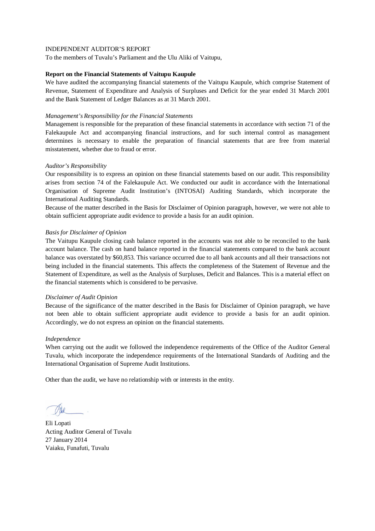To the members of Tuvalu's Parliament and the Ulu Aliki of Vaitupu,

# **Report on the Financial Statements of Vaitupu Kaupule**

We have audited the accompanying financial statements of the Vaitupu Kaupule, which comprise Statement of Revenue, Statement of Expenditure and Analysis of Surpluses and Deficit for the year ended 31 March 2001 and the Bank Statement of Ledger Balances as at 31 March 2001.

# *Management's Responsibility for the Financial Statements*

Management is responsible for the preparation of these financial statements in accordance with section 71 of the Falekaupule Act and accompanying financial instructions, and for such internal control as management determines is necessary to enable the preparation of financial statements that are free from material misstatement, whether due to fraud or error.

# *Auditor's Responsibility*

Our responsibility is to express an opinion on these financial statements based on our audit. This responsibility arises from section 74 of the Falekaupule Act. We conducted our audit in accordance with the International Organisation of Supreme Audit Institution's (INTOSAI) Auditing Standards, which incorporate the International Auditing Standards.

Because of the matter described in the Basis for Disclaimer of Opinion paragraph, however, we were not able to obtain sufficient appropriate audit evidence to provide a basis for an audit opinion.

# *Basis for Disclaimer of Opinion*

The Vaitupu Kaupule closing cash balance reported in the accounts was not able to be reconciled to the bank account balance. The cash on hand balance reported in the financial statements compared to the bank account balance was overstated by \$60,853. This variance occurred due to all bank accounts and all their transactions not being included in the financial statements. This affects the completeness of the Statement of Revenue and the Statement of Expenditure, as well as the Analysis of Surpluses, Deficit and Balances. This is a material effect on the financial statements which is considered to be pervasive.

#### *Disclaimer of Audit Opinion*

Because of the significance of the matter described in the Basis for Disclaimer of Opinion paragraph, we have not been able to obtain sufficient appropriate audit evidence to provide a basis for an audit opinion. Accordingly, we do not express an opinion on the financial statements.

#### *Independence*

When carrying out the audit we followed the independence requirements of the Office of the Auditor General Tuvalu, which incorporate the independence requirements of the International Standards of Auditing and the International Organisation of Supreme Audit Institutions.

Eli Lopati Acting Auditor General of Tuvalu 27 January 2014 Vaiaku, Funafuti, Tuvalu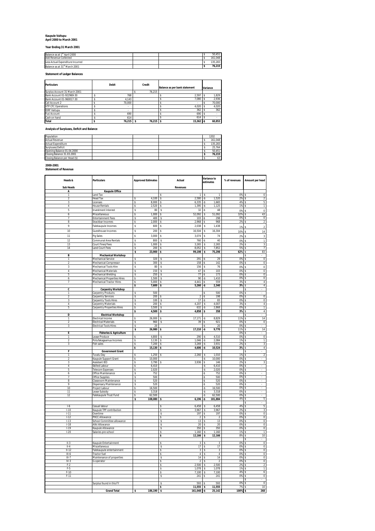# **Kaupule Vaitupu April 2000 to March 2001**

**Year Ending 31 March 2001**

| Balance as at 1 <sup>st</sup> April 2000   |  | 50.451   |
|--------------------------------------------|--|----------|
| Add Revenue Collected                      |  | (61.048) |
| Less Actual Expenditure Incurred           |  | 135.283  |
| Balance as at 31 <sup>st</sup> March 2001. |  | 76.215   |

**Statement of Ledger Balances**

| <b>Particulars</b>            | <b>Debit</b> | Credit     | Balance as per bank statement | Variance |
|-------------------------------|--------------|------------|-------------------------------|----------|
| Surplus Account 31 March 2001 |              | 76.215     |                               |          |
| Bank Account 01-922969-30     | 768          |            | 2.597                         | 1.829    |
| Bank Account 01-960017-30     | 4.143        |            | 7.080                         | 2.936    |
| Call Account 2                | 70.000       |            |                               | 70,000   |
| <b>VTP CFC Operations</b>     |              |            | 4.020                         | 4.020    |
| <b>IDRF Vaitupu</b>           |              |            | 362                           | 362      |
| <b>Fusi Account</b>           | 690          |            | 690                           |          |
| Cash on hand                  | 614          |            | 614                           |          |
| <b>Total</b>                  | $76.215$ S   | $76.215$ S | $15,362$ -\$                  | 60.853   |

**Analysis of Surpluses, Deficit and Balance**

| Population                    |  |  | 1202    |
|-------------------------------|--|--|---------|
| <b>Actual Revenue</b>         |  |  | 161.048 |
| <b>Actual Expenditure</b>     |  |  | 135.283 |
| Surpluses/Deficit             |  |  | 25.764  |
| Opening Balance 01.04.2000    |  |  | 50.451  |
| Closing Balance 31.03.2001    |  |  | 76.215  |
| Closing Balance per Head (\$) |  |  | 63      |

**2000-2001 Statement of Revenue**

| Heads &                  | Particulars                                        | <b>Approved Estimates</b>        | Actual                                             | Variance to<br>estimates                                 | % of revenues                | Amount per head                        |
|--------------------------|----------------------------------------------------|----------------------------------|----------------------------------------------------|----------------------------------------------------------|------------------------------|----------------------------------------|
| <b>Sub Heads</b>         |                                                    |                                  | Revenues                                           |                                                          |                              |                                        |
| A                        | <b>Kaupule Office</b>                              |                                  |                                                    |                                                          |                              |                                        |
| 1<br>$\overline{2}$      | Land Tax<br><b>Head Tax</b>                        | s<br>4.100                       | $\overline{1}$<br>s<br>$\sqrt{2}$<br>2.580         | $\mathbf{1}$<br>\$<br>$-S$<br>1,520                      | 0%<br>$2\%$ \$               | $\mathbf 0$<br>s<br>$\overline{2}$     |
| 3                        | icenses                                            | 8,000<br>\$                      | 6,335<br>\$                                        | 1,665<br>۰S                                              | 4%                           | \$<br>5                                |
| 4                        | <b>House Rentals</b>                               | Ś<br>2.520                       | \$<br>1.395                                        | -Ŝ<br>1.125                                              | 1%                           | \$<br>1                                |
| 5                        | Investment Interest                                | \$<br>80                         | $\mathbb S$<br>32                                  | 48<br>-Ŝ                                                 | 0%                           | \$<br>$\boldsymbol{0}$                 |
| 6                        | Miscellaneous                                      | 1.000<br>\$                      | 52,092<br>$\sim$                                   | 51.092<br>$\hat{\mathbf{s}}$                             | 32%                          | 43<br>$\hat{\mathbf{x}}$               |
| 7                        | <b>Entertainment Fees</b>                          | 400<br>s                         | 103<br>s                                           | -S<br>298                                                | 0%                           | 0<br>s                                 |
| 8                        | Snackbar Incomes                                   | 2,000<br>Ś                       | 2,968<br>s                                         | 968<br>s                                                 | 2%                           | $\overline{2}$<br>s                    |
| $\mathbf{q}$             | Falekaupule Incomes                                | \$<br>600                        | \$<br>2.038                                        | 1.438<br>s                                               | 1%                           | $\sqrt{2}$<br>Š.                       |
| 10                       | Guesthouse Incomes                                 | \$<br>200                        | 16,504<br>\$                                       | 16,304<br>Ś                                              | 10%                          | 14<br>\$                               |
| $\overline{11}$          | Pig Sales                                          | s<br>3,000                       | 3,074<br>\$                                        | 74<br>\$                                                 | 2%                           | 3<br>\$                                |
| 12                       | Communal Area Rentals                              | \$<br>800                        | \$<br>760                                          | 40<br>-Ŝ                                                 | 0%                           | \$<br>$\mathbf{1}$                     |
| 13                       | Court Fines/Fees                                   | s<br>1.000                       | -S<br>3.265                                        | s<br>2.265                                               | 2%                           | s<br>3                                 |
| 14                       | Land Court Fees                                    | 200<br>\$                        | 8,052<br>s<br>99,198                               | 7,852<br>s                                               | 5%<br>$62\%$ \$              | s<br>$\overline{7}$<br>83              |
| B                        | <b>Mechanical Workshop</b>                         | \$<br>23,900                     | l s                                                | 75,298<br>\$.                                            |                              | Ś                                      |
| $\overline{1}$           | Mechanical Service                                 | s<br>320                         | 291<br>-S                                          | 29<br>-S                                                 | 0% \$                        | 0                                      |
| $\overline{a}$           | Mechanical Compressor                              | \$<br>300                        | \$<br>158                                          | 142<br>-S                                                | 0%                           | \$<br>$\,0\,$                          |
| 3                        | Mechanical Tools Hire                              | 80<br>s                          | 156<br>s                                           | s<br>76                                                  | 0%                           | \$<br>$\,0\,$                          |
| $\overline{4}$           | Mechanical Materials                               | 150<br>\$.                       | 47<br>s                                            | 103<br>-S                                                | 0% S                         | $\overline{0}$                         |
| 5                        | Mechanical Welding                                 | \$<br>250                        | s<br>77                                            | 173<br>-S                                                | 0%                           | \$<br>$\overline{0}$                   |
| 6                        | Mechanical Properties Hires                        | 1,500<br>ς                       | 90<br>ΓS                                           | 1,410<br>$\cdot$ s<br>559                                | 0% \$                        | 0                                      |
| $\overline{7}$           | Mechanical Tractor Hires                           | \$<br>5,000<br>\$<br>7,600       | -\$<br>4,441<br>5,260<br>s                         | $-S$<br>2,340<br>۰S                                      | $3\%$ \$<br>3%               | $\sqrt{4}$<br>4<br>\$                  |
| C                        | <b>Carpentry Workshop</b>                          |                                  |                                                    |                                                          |                              | $\tilde{\mathbf{x}}$                   |
| 1                        | Carpentry Products                                 | \$<br>500                        |                                                    | 500<br>-S                                                | 0% \$                        |                                        |
| $\mathfrak{p}$           | Carpentry Services                                 | 200<br>\$                        | $\mathcal{P}$<br>l s                               | 198<br>$\cdot$ s                                         | $0%$ \$                      | $\Omega$                               |
| 3                        | Carpentry Tools Hires                              | \$<br>100                        | S<br>17                                            | 83<br>-\$                                                | 0%                           | s<br>$\overline{0}$                    |
| 4                        | Carpentry Materials                                | 200<br>s<br>3.500                | 4,207<br>$\mathsf{s}$                              | s<br>4.007<br>$\overline{\mathcal{S}}$                   | 3% \$<br>$0\%$ $\frac{1}{2}$ | $\overline{4}$<br>$\overline{1}$       |
| 5                        | Carpentry Properties Hires                         | s<br>\$<br>4,500                 | ऽ<br>632<br>\$<br>4,858                            | 2,868<br>358<br>Ś                                        | 3%                           | $\overline{4}$<br>Ś                    |
| D                        | <b>Electrical Workshop</b>                         |                                  |                                                    |                                                          |                              | \$                                     |
| 1                        | Electrical Income                                  | \$<br>26,000                     | \$<br>17,171                                       | 8,829<br>۰S                                              | 11% \$                       | 14                                     |
| $\overline{\phantom{a}}$ | Electrical Materials                               | 960<br>$\overline{\mathbf{s}}$   | 39<br>$\mathbf{s}$                                 | 921<br>۰S                                                | 0%                           | $\overline{0}$<br>-S                   |
| 3                        | lectrical Tools Hires                              | s<br>20                          |                                                    | 20<br>۰Ś                                                 | 0%                           | \$                                     |
| E                        |                                                    | \$<br>$26,980$ \$                | 17,210                                             | 9,770<br>$\cdot$ s                                       | 11% \$<br>0% \$              | 14                                     |
| 1                        | <b>Fisheries &amp; Agriculture</b><br>ease Produce | 4,800<br>Ś                       | 290<br>\$                                          | 4,510<br>۰S                                              | 0%                           | Ś<br>0                                 |
| $\overline{2}$           | Potufakagaamua Incomes                             | 3.130<br>s                       | 1,046<br>$\mathsf{s}$                              | 2.084<br>$\cdot$ s                                       | $1\%$ \$                     | $\overline{1}$                         |
| 3                        | Fish sales                                         | \$<br>7,200                      | 3,269<br>s                                         | 3,931<br>-S                                              | 2%S                          | 3                                      |
|                          |                                                    | \$<br>15,130                     | 4,606<br>s                                         | 10,524<br>-\$                                            | 3%                           | $\overline{4}$<br>s                    |
| F<br>$\overline{1}$      | <b>Government Grant</b><br>Tuvalu Day              | 1,250<br>\$                      | $\overline{\mathbf{s}}$<br>2,260                   | 1,010<br>s                                               | $1\%$ \$                     | \$<br>$\overline{\mathbf{c}}$          |
| $\overline{2}$           | Kaupule Support Grant                              | s<br>10,000                      |                                                    | 10.000<br>ś.                                             | 0% \$                        |                                        |
| 3                        | Assistant IEO                                      | Ś<br>3,790                       | 3,936                                              | 146<br>s                                                 | 2%                           | \$                                     |
| $\overline{4}$           | Skilled Labour                                     | s<br>6.410                       |                                                    | 6.410<br>۰\$                                             | $0\%$ \$                     |                                        |
| 5                        | <b>Telecom Expenses</b>                            | \$<br>2,020                      |                                                    | 2,020<br>٠S                                              | 0% \$                        |                                        |
| 6                        | Office Maintenance                                 | 752<br>$\mathbf{s}$              |                                                    | 752<br>$\mathcal{S}$                                     | 0%                           | s.                                     |
| $\overline{7}$<br>8      | Office Supplies<br>Classroom Maintenance           | \$<br>500<br>520<br>$\mathsf{s}$ |                                                    | 500<br>٠Ŝ<br>520<br>-S                                   | 0%<br>0% \$                  | \$                                     |
| 9                        | Dispensary Maintenance                             | \$<br>520                        |                                                    | -S<br>520                                                | 0% \$                        |                                        |
| 10                       | Project Labour                                     | \$<br>16,500                     |                                                    | ٠\$<br>16,500                                            | 0%                           | \$                                     |
| 11                       | Lease Subsidy                                      | 3.318<br>s.                      |                                                    | 3.318<br>$\cdot$ s                                       | $0\%$ \$                     |                                        |
| 12                       | Falekaupule Trust Fund                             | \$<br>62,500                     |                                                    | .\$<br>62,500                                            | 0% \$                        |                                        |
|                          |                                                    | s<br>108,080                     | 6,196<br>s                                         | 101,884<br>-\$                                           | 4%                           | 5<br>s<br>s                            |
| $1-6$                    | Casual labour                                      |                                  | 6,458<br>$\mathsf{s}$                              | 6,458<br>s                                               | 4% \$                        | $\overline{5}$                         |
| $1 - 10$                 | Kaupule TPF contribution                           |                                  | s<br>3,967                                         | s<br>3,967                                               | $2\%$ \$                     | 3                                      |
| $1 - 11$                 | Overtime                                           |                                  | \$<br>197                                          | \$<br>197                                                | 0%                           | Ś<br>$\bf 0$                           |
| 1.12                     | PHCC Allowance                                     |                                  | s<br>$\mathcal{D}$                                 | s<br>$\mathcal{D}$                                       | 0% \$                        | $\overline{0}$                         |
| $1-13$                   | School Committee allowance                         |                                  | S<br>13                                            | s<br>13<br>20                                            | 0% \$<br>0% \$               | 0<br>$\overline{0}$                    |
| $1-18$<br>$1 - 19$       | Aliki Allowance<br><b>Kaupule Allowance</b>        |                                  | 20 <sub>0</sub><br>$\mathbf{\hat{s}}$<br>\$<br>350 | <sup>\$</sup><br>350<br>\$                               | 0%                           | $\,0\,$<br>\$                          |
| $1 - 20$                 | Salaries pre-school                                |                                  | 1,160<br>s                                         | s<br>1.160                                               | $1\%$ \$                     | T                                      |
|                          |                                                    |                                  | s<br>12,166                                        | \$<br>12,166                                             | 8%                           | 10<br>$\hat{\mathbf{x}}$               |
|                          |                                                    |                                  |                                                    |                                                          |                              | s                                      |
| $II-3$                   | Kaupule Entertainment                              |                                  | s<br>3                                             | -S<br>3                                                  | $0\%$ \$                     | $\overline{0}$                         |
| $II-4$<br>$II - 12$      | Miscellaneous                                      |                                  | s<br>17<br>3<br>$\overline{\mathbf{s}}$            | 17<br>s<br>$\overline{\mathbf{3}}$<br>$\hat{\mathbf{s}}$ | 0% \$<br>0%                  | $\overline{0}$<br>$\overline{0}$<br>\$ |
| $III-6$                  | Falekaupule entertainment<br>Tractor fuel          |                                  | s<br>4                                             | \$<br>4                                                  | 0%                           | s<br>0                                 |
| $III-7$                  | Maintenance of properties                          |                                  | 14<br>s                                            | s<br>14                                                  | 0% \$                        | $\overline{0}$                         |
| $IV-3$                   | G-operator                                         |                                  | s<br>$\overline{2}$                                | -S<br>$\overline{2}$                                     | 0% \$                        | $\mathbf 0$                            |
| $F-2$                    |                                                    |                                  | \$<br>2,500                                        | 2,500<br>S                                               | 2%                           | s<br>$\overline{\mathbf{c}}$           |
| F-5                      |                                                    |                                  | 1.078<br>-S                                        | 1.078<br><sub>S</sub>                                    | $1\%$ S                      | T                                      |
| $F-10$<br>$F-11$         |                                                    |                                  | \$<br>7,100<br>-S<br>241                           | 7,100<br>s<br>241<br>s                                   | 4% \$<br>0%                  | 6<br>$\overline{0}$<br>s               |
|                          |                                                    |                                  |                                                    |                                                          |                              | \$                                     |
|                          | Surplus found in this FY                           |                                  | \$<br>593                                          | 593<br>$\mathbf{\hat{s}}$                                | 0% \$                        | $\overline{0}$                         |
|                          |                                                    |                                  | s<br>11.555                                        | <b>s</b><br>11.555                                       | 7%                           | 10<br>$\hat{\mathbf{x}}$               |
|                          | <b>Grand Total</b>                                 | 186,190                          | $\overline{\mathbf{s}}$<br>161.048 -\$             | 25,142                                                   | 100% \$                      | 268                                    |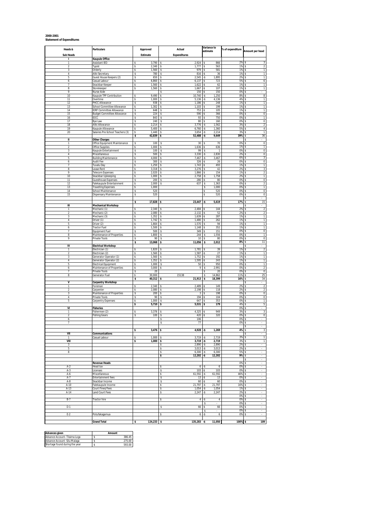# **2000-2001 Statement of Expenditures**

| Heads &             | <b>Particulars</b>                                       | Approved                    | Actual                               |                                  | Variance to<br>% of expenditure<br>estimate |                                           |
|---------------------|----------------------------------------------------------|-----------------------------|--------------------------------------|----------------------------------|---------------------------------------------|-------------------------------------------|
| <b>Sub Heads</b>    |                                                          | Estimate                    | <b>Expenditures</b>                  |                                  |                                             | Amount per head                           |
| ı<br>1              | Kaupule Office<br>Assistant IEO                          | 3,790<br>s                  | 2,924<br>\$                          | 866<br>s                         | 2%                                          | -S                                        |
| $\overline{2}$      | Typist                                                   | 2,340<br>s                  | 1,777<br>\$                          | 563<br>\$                        | 1%                                          | $\,2$<br>s.                               |
| 3                   | Orderly                                                  | 1,560<br>\$                 | 979<br>s                             | 581<br>\$                        | 1%                                          | 1<br>-S                                   |
| 4<br>5              | Aliki Secretary<br>Guest House Keepers (2)               | \$<br>780<br>Ś<br>650       | 816<br>s<br>2,545                    | 36<br>٠Ŝ<br>1,895<br>.s          | 1%<br>2%                                    | 1<br>Ŝ<br>s                               |
| 6                   | Casual Labour                                            | 6,860<br>\$                 | 6,137<br>\$                          | 723<br>\$                        | 5%                                          | s.<br>6                                   |
| 7                   | Snackbar Keeper                                          | \$<br>1,560                 | 1,622                                | 62<br>٠Ŝ                         | 1%                                          | s.<br>1                                   |
| 8<br>9              | Storekeeper<br>Nurse Aide                                | \$<br>1,560                 | \$<br>1,667<br>150<br>\$             | 107<br>-\$<br>150<br>۰S          | 1%<br>0%                                    | $\overline{1}$<br>s.<br>-S                |
| 10                  | Kaupule TPF Contribution                                 | 9,490<br>s                  | 10,740<br>\$                         | 1,250<br>-\$                     | 8%                                          | $^{\rm 8}$<br>\$                          |
| 11                  | Overtime                                                 | 1,000<br>s                  | 5,136<br>\$                          | 4,136<br>-S                      | 4%                                          | T<br>-S                                   |
| 12<br>13            | PHCC Allowance<br>School Committee Allowance             | 938<br>s<br>\$<br>1,302     | 1,186<br>\$<br>1,103<br>\$           | 248<br>s<br>199<br>\$            | 1%<br>1%                                    | 1<br>s<br>\$<br>1                         |
| 14                  | <b>IDRF Committee Allowance</b>                          | 648<br>\$                   | 753<br>\$                            | 105<br>s                         | 1%                                          | $\mathbf{1}$<br>\$                        |
| 15                  | <b>Budget Committee Allowance</b>                        | 224<br>\$                   | 590<br>s                             | 366                              | 0%                                          | 0<br>s                                    |
| 16<br>17            | IDCC<br>Bye Law                                          | \$<br>843<br>240<br>\$      | 93<br>\$<br>80<br>\$                 | s<br>750<br>160<br>\$            | 0%<br>0%                                    | $\mathbf 1$<br>s<br>0<br>s                |
| 18                  | Aliki Allowance                                          | \$<br>2,214                 | 3,776<br>\$                          | 1,562<br>۰\$                     | 3%                                          | $\,2$<br>s.                               |
| 19                  | Kaupule Allowance                                        | 5,400<br>s                  | 6,760<br>\$                          | 1,360<br>-\$                     | 5%                                          | 4<br>-S                                   |
| 20                  | Salaries Pre-School Teachers (3)                         | \$<br>1,440<br>\$<br>42,839 | \$<br>3,654<br>52,488<br>\$          | -\$<br>2,214<br>9,649<br>۰\$     | 3%<br>39%                                   | $\mathbf{1}$<br>Ŝ<br>36<br>s              |
| Ш                   | <b>Other Charges</b>                                     |                             |                                      |                                  |                                             | Ŝ                                         |
| 1                   | Office Equipment Maintenance                             | \$<br>100                   | 30<br>s                              | 70<br>s                          | 0%                                          | s.<br>$\,0\,$                             |
| $\overline{2}$<br>3 | Office Supplies<br>Kaupule Entertainment                 | 1,000<br>\$<br>100<br>\$    | 1,636<br>\$<br>99<br>\$              | 636<br>-\$<br>\$<br>$\mathbf{1}$ | 1%<br>0%                                    | $\mathbbm{1}$<br>s.<br>0<br>-S            |
| $\sqrt{4}$          | Miscellaneous                                            | s<br>500                    | 3,330<br>\$                          | 2,830<br>-\$                     | 2%                                          | $\pmb{0}$<br>-S                           |
| 5                   | <b>Building Maintenance</b>                              | 4,000<br>s                  | 7,467<br>s                           | 3,467<br>-S                      | 6%                                          | 3<br>-S                                   |
| 6<br>7              | Audit Fee<br>Tuvalu Day                                  | 300<br>s<br>\$<br>1,250     | 326<br>s<br>1,743<br>\$              | 26<br>٠Ŝ<br>493                  | 0%<br>1%                                    | 0<br>s<br>s<br>1                          |
| 8                   | Lease Rent                                               | 3,318<br>\$                 | 3,276<br>\$                          | 42                               | 2%                                          | 3<br>\$                                   |
| 9                   | <b>Telecom Expenses</b>                                  | \$<br>2,020                 | 1,866<br>\$                          | 154<br>s                         | 1%                                          | 2<br>-S                                   |
| 10<br>11            | Snackbar Upkeeping<br><b>Guesthouse Expenses</b>         | 1,000<br>\$<br>200<br>\$    | 2,758<br>\$<br>280<br>s              | 1,758<br>-\$<br>80               | 2%<br>0%                                    | 1<br>s<br>0<br>s.                         |
| 12                  | Falekaupule Entertainment                                | s<br>2,000                  | 637<br>s                             | 1,363<br>s                       | 0%                                          | $\,2$<br>s                                |
| 13                  | <b>Travelling Expenses</b>                               | 1,000<br>s                  |                                      | 1,000<br>s                       | 0%                                          | $\overline{1}$<br>s                       |
| 14<br>15            | <b>School Maintenance</b><br>Dispensary Maintenance      | \$<br>520<br>520<br>\$      |                                      | 520<br>520<br>\$                 | 0%<br>0%                                    | $\bf 0$<br>Ŝ<br>0                         |
|                     |                                                          |                             |                                      |                                  |                                             |                                           |
|                     |                                                          | s<br>17,828                 | 23,447<br>s                          | $\cdot$ s<br>5,619               | 17%                                         | 15<br>-S                                  |
| Ш<br>1              | <b>Mechanical Workshop</b><br>Mechanic (1)               | 2,340<br>s                  | 2,484<br>s                           | 144<br>۰S                        | 2%                                          | s.<br>×.<br>$\overline{\mathbf{c}}$<br>-S |
| $\sqrt{2}$          | Mechanic (2)                                             | 2,080<br>s                  | 2,132<br>\$                          | 52<br>۰S                         | 2%                                          | $\overline{2}$<br>\$                      |
| 3                   | Mechanic (3)                                             | 1,352<br>s                  | 1,639<br>s                           | 287<br>۰S                        | 1%                                          | T<br>-S                                   |
| 4<br>5              | Driver (1)<br>Driver (2)                                 | \$<br>1,742<br>1,664<br>\$  | 1,480<br>\$<br>1,570<br>\$           | 262<br>\$<br>94<br>s             | 1%<br>1%                                    | $\mathbf{1}$<br>s<br>\$<br>1              |
| 6                   | <b>Tractor Fuel</b>                                      | 1,500<br>\$                 | 1,148<br>\$                          | 352                              | 1%                                          | $\mathbf 1$<br>s                          |
| 7                   | Equipment Fuel                                           | \$<br>500                   | \$<br>349                            | \$<br>151                        | 0%                                          | 0<br>\$                                   |
| 8<br>9              | Maintenance of Properties<br>Private Tools               | 1,800<br>\$<br>90<br>\$     | 244<br>\$<br>10<br>\$                | 1,556<br>\$<br>80<br>s           | 0%<br>0%                                    | s<br>1<br>0<br>s                          |
|                     |                                                          | \$<br>13,068                | 11,056<br>\$                         | 2,012<br>s                       | 8%                                          | 11<br>s.                                  |
| IV                  | <b>Electrical Workshop</b>                               |                             |                                      |                                  |                                             | s                                         |
| 1<br>$\sqrt{2}$     | Electrician (1)<br>Electrician (2)                       | Ś<br>1,820<br>1,560<br>s    | 1,781<br>1,587<br>\$                 | 39<br>27<br>$-5$                 | 1%<br>1%                                    | $\overline{\mathbf{c}}$<br>s<br>s<br>1    |
| 3                   | Generator Operator (1)                                   | 1,560<br>s                  | 1,752<br>s                           | 192<br>$-5$                      | 1%                                          | s<br>$\mathbf{1}$                         |
| $\overline{4}$      | Generator Operator (2)                                   | \$<br>1,352                 | \$<br>1,595                          | -\$<br>243                       | 1%                                          | $\mathbf{1}$<br>s.                        |
| 5                   | <b>Electrical Equipment</b><br>Maintenance of Properties | \$<br>1,000<br>3,000<br>s   | 50<br>\$<br>9<br>s                   | 950<br>s<br>2,991<br>\$          | 0%<br>0%                                    | $\mathbf{1}$<br>s<br>$\overline{2}$<br>s. |
| 6<br>$\overline{7}$ | Private Tools                                            | 20<br>s                     |                                      | 20<br>s                          | 0%                                          | $\overline{0}$<br>-S                      |
| 8                   | Generator Fuel                                           | 30,000<br>s                 | 15138                                | 14,862<br>\$                     | 11%                                         | 25<br>s                                   |
| V                   |                                                          | \$<br>40,312                | 21,913                               | \$<br>18,399                     | 16%                                         | 34<br>s.                                  |
| 1                   | <b>Carpentry Workshop</b><br>Foreman                     | s<br>2,340                  | 2,489                                | 149                              | 2%                                          | \$<br>$\sqrt{2}$<br>s                     |
| $\sqrt{2}$          | Carpenter                                                | \$<br>2,080                 | 2,198<br>\$                          | 118<br>۰S                        | 2%                                          | $\overline{\mathbf{c}}$<br>s              |
| 3                   | Maintenance of Properties                                | \$<br>200                   | s<br>3                               | 198                              | 0%                                          | $\overline{0}$<br>s                       |
| 4<br>5              | Private Tools<br><b>Carpentry Expenses</b>               | 90<br>s<br>1,000<br>\$      | 194<br>s<br>647<br>s                 | 104<br>s<br>353<br>٩             | 0%<br>0%                                    | 0<br>s<br>1<br>-S                         |
|                     |                                                          | \$<br>5,710                 | 5,531<br>\$                          | 179<br>\$                        | 4%                                          | 5<br>Ŝ                                    |
| VI                  | <b>Fisheries</b>                                         |                             |                                      |                                  | 0%                                          | s                                         |
| 1<br>$\overline{2}$ | Fishermen (2)<br><b>Fishing Gears</b>                    | 3,376<br>\$<br>100<br>\$    | 4,325<br>420<br>s                    | 949<br>320                       | 3%<br>0%                                    | s<br>3<br>s.<br>$\,0\,$                   |
| 6                   |                                                          |                             | \$<br>106                            |                                  | 0%                                          | \$<br>×.                                  |
| 7                   |                                                          |                             | \$<br>77                             |                                  | 0%                                          | -S                                        |
|                     |                                                          | 3,476                       | 4,928                                | 1,269                            | 4%                                          | \$<br>$\overline{\phantom{a}}$            |
| VII                 | Communications                                           |                             |                                      |                                  |                                             | \$                                        |
| $\mathbf{1}$        | Casual Labour                                            | 1,000<br>\$                 | 3,719<br>\$                          | 2,719<br>٠Ŝ                      | 3%                                          | $\overline{1}$<br>s                       |
| VIII<br>3           |                                                          | 1,000<br>\$                 | 3,719<br>\$<br>2,890<br>\$           | 2,719<br>۰\$<br>2,890<br>-\$     | 3%<br>2%                                    | $\mathbbm{1}$<br>\$<br>-S                 |
| 5                   |                                                          |                             | \$<br>3,013                          | -\$<br>3,013                     | 2%                                          | \$<br>÷.                                  |
| 8                   |                                                          |                             | \$<br>6,300                          | -\$<br>6,300                     | 5%                                          | -S<br>٠                                   |
|                     |                                                          |                             | \$<br>12,202                         | 12,202<br>۰\$                    | 9%                                          | s<br>٠<br>-S<br>ä,                        |
|                     | <b>Revenue Heads</b>                                     |                             |                                      |                                  | 0%                                          | \$                                        |
| A-2                 | <b>Head tax</b>                                          |                             | \$<br>6                              | $-5$<br>6                        | 0%                                          | s<br>×,                                   |
| $A-3$<br>A-6        | Licenses<br>Miscellaneous                                |                             | $103 - $$<br>s<br>\$<br>$61,592 - $$ | 103<br>61,592                    | 0%<br>46%                                   | s.<br>$\epsilon$<br>s.<br>$\sim$          |
| A-7                 | <b>Entertainment fees</b>                                |                             | \$<br>$13 - S$                       | 13                               | 0%                                          | \$<br>$\epsilon$                          |
| $A-8$               | Snackbar Income                                          |                             | \$<br>60                             | 60<br>l-S                        | 0%                                          | -S<br>$\overline{\phantom{a}}$            |
| A-10<br>A-13        | Falekaupule Income<br>Court Fines/Fees                   |                             | 21,797<br>\$<br>1,054<br>\$          | 21,797<br>-\$<br>1,054<br>-Ŝ     | 16%<br>1%                                   | s<br>$\sim$<br>-S<br>٠                    |
| A-14                | Land Court Fees                                          |                             | \$<br>2,247                          | 2,247<br>-S                      | 2%                                          | s.                                        |
|                     |                                                          |                             |                                      |                                  | 0%                                          | \$                                        |
| $B-7$               | Tractor hire                                             |                             | $\sqrt{4}$<br>\$                     | ۰\$<br>4<br>s                    | 0%<br>0%                                    | \$<br>s                                   |
| $D-1$               |                                                          |                             | 66<br>\$                             | 66<br>۰S                         | 0%                                          | ł.<br>s                                   |
|                     |                                                          |                             |                                      | s                                | 0%                                          | s.<br>ä,                                  |
| $E-2$               | Potufakagamua                                            |                             | \$<br>6                              | ۰\$<br>6                         | 0%                                          | s                                         |
|                     | <b>Grand Total</b>                                       | 124,233<br>\$               | $135,283 - $$<br>\$                  | 11,050                           | 100%                                        | 109<br>s                                  |

| Advances given                 | Amount |
|--------------------------------|--------|
| Advance Account-Tilaima Logo   | 386.45 |
| Advance Account -Silu Malaga   | 275.00 |
| Shortage found during the year | 593.00 |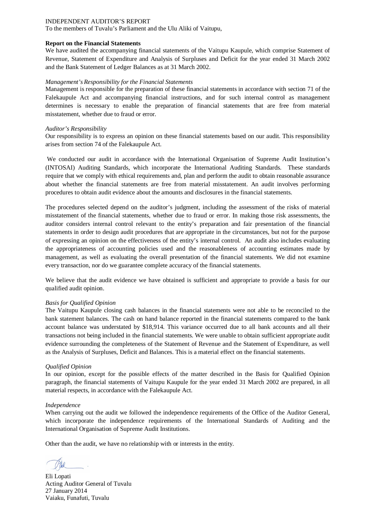To the members of Tuvalu's Parliament and the Ulu Aliki of Vaitupu,

#### **Report on the Financial Statements**

We have audited the accompanying financial statements of the Vaitupu Kaupule, which comprise Statement of Revenue, Statement of Expenditure and Analysis of Surpluses and Deficit for the year ended 31 March 2002 and the Bank Statement of Ledger Balances as at 31 March 2002.

#### *Management's Responsibility for the Financial Statements*

Management is responsible for the preparation of these financial statements in accordance with section 71 of the Falekaupule Act and accompanying financial instructions, and for such internal control as management determines is necessary to enable the preparation of financial statements that are free from material misstatement, whether due to fraud or error.

#### *Auditor's Responsibility*

Our responsibility is to express an opinion on these financial statements based on our audit. This responsibility arises from section 74 of the Falekaupule Act.

We conducted our audit in accordance with the International Organisation of Supreme Audit Institution's (INTOSAI) Auditing Standards, which incorporate the International Auditing Standards. These standards require that we comply with ethical requirements and, plan and perform the audit to obtain reasonable assurance about whether the financial statements are free from material misstatement. An audit involves performing procedures to obtain audit evidence about the amounts and disclosures in the financial statements.

The procedures selected depend on the auditor's judgment, including the assessment of the risks of material misstatement of the financial statements, whether due to fraud or error. In making those risk assessments, the auditor considers internal control relevant to the entity's preparation and fair presentation of the financial statements in order to design audit procedures that are appropriate in the circumstances, but not for the purpose of expressing an opinion on the effectiveness of the entity's internal control. An audit also includes evaluating the appropriateness of accounting policies used and the reasonableness of accounting estimates made by management, as well as evaluating the overall presentation of the financial statements. We did not examine every transaction, nor do we guarantee complete accuracy of the financial statements.

We believe that the audit evidence we have obtained is sufficient and appropriate to provide a basis for our qualified audit opinion.

#### *Basis for Qualified Opinion*

The Vaitupu Kaupule closing cash balances in the financial statements were not able to be reconciled to the bank statement balances. The cash on hand balance reported in the financial statements compared to the bank account balance was understated by \$18,914. This variance occurred due to all bank accounts and all their transactions not being included in the financial statements. We were unable to obtain sufficient appropriate audit evidence surrounding the completeness of the Statement of Revenue and the Statement of Expenditure, as well as the Analysis of Surpluses, Deficit and Balances. This is a material effect on the financial statements.

#### *Qualified Opinion*

In our opinion, except for the possible effects of the matter described in the Basis for Qualified Opinion paragraph, the financial statements of Vaitupu Kaupule for the year ended 31 March 2002 are prepared, in all material respects, in accordance with the Falekaupule Act.

#### *Independence*

When carrying out the audit we followed the independence requirements of the Office of the Auditor General, which incorporate the independence requirements of the International Standards of Auditing and the International Organisation of Supreme Audit Institutions.

Eli Lopati Acting Auditor General of Tuvalu 27 January 2014 Vaiaku, Funafuti, Tuvalu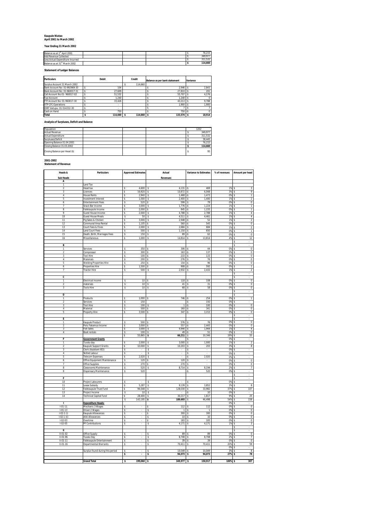#### **Kaupule Niutao April 2001 to March 2002**

#### **Year Ending 31 March 2002**

| Balance as at 1 <sup>st</sup> April 2001 |  |  | 76.215  |
|------------------------------------------|--|--|---------|
| Add Revenue Collected                    |  |  | 349.977 |
| Less Actual Expenditure Incurred         |  |  | 311.532 |
| Balance as at 31st March 2002            |  |  | 114.660 |

**Statement of Ledger Balances**

| <b>Particulars</b>            | Debit   | Credit     | Balance as per bank statement | Variance |        |
|-------------------------------|---------|------------|-------------------------------|----------|--------|
| Surplus Account 31 March 2002 |         | 114.660    |                               |          |        |
| Bank Account No: 01-992969-30 | 104     |            | 2.946                         |          | 2.843  |
| Bank Account No: 01-960017-31 | 27.609  |            | 27.810                        |          | 201    |
| Call Account No:01- 960017-02 | 51.532  |            | 55.707                        |          | 4.176  |
| Fusi Account                  | 1.240   |            | 1.240                         |          |        |
| FTF Account No: 01-960017-30  | 33.426  |            | 43.213                        |          | 9.788  |
| <b>VTP CFC Operations</b>     |         |            | 1.900                         |          | 1.900  |
| IDRF Vaitupu: 01-514332-30    |         |            |                               |          |        |
| Cash on Hand                  | 750     |            | 750                           |          |        |
| <b>Total</b>                  | 114.660 | 114.660 \$ | $133.574$ \$                  |          | 18.914 |

#### **Analysis of Surpluses, Deficit and Balance**

| Population                    |  |  | 1202    |
|-------------------------------|--|--|---------|
| <b>Actual Revenue</b>         |  |  | 349.977 |
| <b>Actual Expenditure</b>     |  |  | 311,532 |
| Surpluses/Deficit             |  |  | 38.445  |
| Opening Balance 01.04.2001    |  |  | 76.215  |
| Closing Balance 31.03.2002    |  |  | 114,660 |
| Closing Balance per Head (\$) |  |  | 95      |

#### **2001-2002 Statement of Revenue**

| Heads &                          | <b>Particulars</b>                                      | <b>Approved Estimates</b>             | Actual                                     | <b>Variance to Estimates</b>                                     | % of revenues | Amount per head                                 |
|----------------------------------|---------------------------------------------------------|---------------------------------------|--------------------------------------------|------------------------------------------------------------------|---------------|-------------------------------------------------|
| <b>Sub Heads</b>                 |                                                         |                                       | Revenues                                   |                                                                  |               |                                                 |
| A                                |                                                         |                                       |                                            |                                                                  |               |                                                 |
| $\mathbf{1}$                     | Land Tax                                                |                                       |                                            |                                                                  |               |                                                 |
| $\overline{2}$                   | <b>Head tax</b>                                         | 4,600<br>\$                           | 4,131<br>s                                 | 469<br>-\$                                                       | 1%            | -S<br>3                                         |
| 3                                | Licences                                                | 16,920<br>\$                          | 10,872<br>\$                               | 6,048<br>-Ŝ                                                      | 3%            | 9<br>s                                          |
| 4                                | <b>House Rents</b>                                      | \$<br>2,940                           | s<br>1,468                                 | 1,473<br>۰\$                                                     | 0%            | 1<br>s                                          |
| 5<br>6                           | <b>Investment Interest</b><br><b>Entertainment Fees</b> | \$<br>1,000<br>\$<br>520 <sup>5</sup> | s<br>2,400<br>599                          | 1,400<br>Ś<br>79<br>\$                                           | 1%<br>0%      | s<br>$\overline{2}$<br>s                        |
| 7                                | Snack Bar Income                                        | 3.000<br>Ś                            | 1,776<br>s.                                | 1,224<br>-\$                                                     | 1%            | 0<br>s<br>1                                     |
| 8                                | Falekaupule Income                                      | 2,000<br>\$                           | 845<br>\$                                  | 1,155<br>۰\$                                                     | 0%            | T<br>s                                          |
| $\overline{Q}$                   | Guest House Income                                      | \$<br>2,000                           | s<br>4,788                                 | \$<br>2,788                                                      | 1%            | s<br>$\sqrt{4}$                                 |
| 10                               | <b>Guest House Meals</b>                                | \$<br>50                              | s<br>4,511                                 | 4,461<br>ŝ                                                       | $1\%$ S       | $\overline{4}$                                  |
| $\overline{11}$                  | Pig Sales & Chicken                                     | \$<br>3,000                           | s<br>2,948                                 | 52<br>-\$                                                        | $1\%$ s       | $\overline{2}$                                  |
| 12                               | Communal Area Rental                                    | 1,105<br>\$                           | 560<br>s                                   | 545<br>-\$                                                       | 0%            | $\overline{0}$<br>s                             |
| 13                               | Court Fees & Fines                                      | \$<br>2,000                           | s<br>2,684                                 | 684<br>\$                                                        | 1%            | s<br>$\mathfrak{p}$                             |
| 14                               | Land Court Fees                                         | \$<br>500                             | s<br>1,150                                 | 650<br>\$                                                        | 0%            | s<br>1                                          |
| 15<br>16                         | Death, Birth, Marriages Fees                            | s<br>150<br>\$<br>1,000               | s<br>89<br>$\mathsf{s}$<br>14,814          | 62<br>-Ŝ<br>13,814<br>ŝ                                          | 0%<br>4% S    | $\overline{0}$<br>s<br>12                       |
|                                  | Miscellaneous                                           |                                       |                                            |                                                                  |               | s                                               |
| B                                |                                                         |                                       |                                            |                                                                  |               | s                                               |
| 1                                | Services                                                | 350<br>s                              | 306<br>$\mathbf{\hat{z}}$                  | 44<br>ŝ                                                          | 0%            | $\bf{0}$<br>s                                   |
| $\boldsymbol{2}$                 | Compressor                                              | s<br>$300$ \$                         | 163                                        | 137<br>۰\$                                                       | 0%            | $\boldsymbol{\mathsf{s}}$<br>$\,0\,$            |
| 3                                | <b>Tool Hire</b>                                        | s<br>$100 \,$ \$                      | 233                                        | \$<br>133                                                        | 0% \$         | $\bf 0$                                         |
| $\overline{4}$                   | Materials                                               | 200<br>s                              | 276<br>$\hat{\mathbf{x}}$                  | 76<br>$\sim$                                                     | 0%            | $\overline{0}$<br><sup>s</sup>                  |
| 5                                | Welding Properties Hire                                 | 250<br>\$                             | 154<br>\$                                  | 96<br>-\$                                                        | 0%            | $\bf 0$<br>s                                    |
| 6                                | Properties Hire                                         | \$<br>1,500                           | 908<br><sub>\$</sub>                       | 592<br>-Ŝ                                                        | 0%            | $\overline{1}$<br>s                             |
| $\overline{\phantom{a}}$         | <b>Tractor Hire</b>                                     | s<br>500                              | s<br>2,932                                 | 2,432<br>Ś                                                       | 1%            | $\mathbf{\hat{S}}$<br>$\mathfrak{p}$            |
| C                                |                                                         |                                       |                                            |                                                                  |               | s<br>$\mathsf{s}$                               |
| $\mathbf{1}$                     | Electrical income                                       | \$<br>10                              | 118<br>s                                   | 108<br>Ś                                                         | 0%            | $\bf{0}$<br>s                                   |
| $\overline{2}$                   | materials                                               | \$<br>10                              | s<br>41                                    | $\mathsf{s}$<br>31                                               | 0%            | $\,0\,$<br>s                                    |
| 3                                | <b>Tools Hire</b>                                       | \$<br>10                              | s<br>68                                    | \$<br>58                                                         | 0%            | $\overline{0}$<br>s                             |
|                                  |                                                         |                                       |                                            |                                                                  |               | s                                               |
| D                                |                                                         |                                       |                                            |                                                                  |               | -S                                              |
| ī                                | Products                                                | 1,000<br>\$                           | 746<br>Ś                                   | 254                                                              | 0%            | $\overline{\mathbf{s}}$                         |
| $\overline{2}$                   | Services                                                | 150<br>Ś                              |                                            | 150<br>-\$                                                       | 0%            | $\mathbf{\hat{s}}$                              |
| 3                                | <b>Tool Hire</b>                                        | s<br>100                              | $\mathbf{1}$<br>-\$                        | 100<br>-\$                                                       | 0%            | s<br>$\mathbf{0}$                               |
| $\overline{4}$<br>5              | Material                                                | s<br>500                              | 160<br>$\mathsf{s}$                        | 341<br>-\$                                                       | 0%            | $\overline{0}$<br>s<br>$\Omega$                 |
|                                  | Property Hire                                           | Ś<br>3,500                            | \$<br>347                                  | 3,153<br>۰\$                                                     | 0%            | s<br>$\overline{\mathbf{s}}$                    |
| E                                |                                                         |                                       |                                            |                                                                  |               | s                                               |
| 1                                | Kaupule Product                                         | 500<br>Ś                              | 576                                        | 76                                                               | 0%            | $\overline{0}$<br>s                             |
| $\overline{2}$                   | Potu Fakamua Income                                     | $3,000$ \$<br>ŝ                       | 557                                        | 2,443<br>-\$                                                     | 0% \$         | $\overline{0}$                                  |
| 3                                | <b>Fish Sales</b>                                       | \$<br>$3.000$ $S$                     | 4.944                                      | $\hat{\mathbf{x}}$<br>1.944                                      | 1%            | $\mathbf{\hat{s}}$<br>$\overline{4}$            |
| $\overline{4}$                   | <b>Boat rentals</b>                                     | 100<br>\$                             | 49<br>s                                    | 51<br>۰\$                                                        | 0%            | $\overline{0}$<br>s                             |
| F                                | <b>Government Grants</b>                                | 55,865<br>\$                          | \$<br>66,211                               | 10,346<br>Ś<br>Ś                                                 | 19%<br>0%     | 55<br>s<br>$\mathbf{\hat{S}}$                   |
| $\mathbf{1}$                     | Tuvalu day                                              | \$<br>2,000                           | 3.000<br>s                                 | 1,000<br>\$                                                      | 1%            | s<br>$\overline{2}$                             |
| $\overline{2}$                   | Kaupule Support Grants                                  | \$<br>10,000                          | 10,203<br>$\mathsf{s}$                     | 203<br>\$                                                        | 3%            | $\overline{8}$<br>s                             |
| 3                                | Clerk (Assistant IEO)                                   | \$                                    | \$                                         | Ś<br>$\overline{\phantom{a}}$                                    | 0%            | s                                               |
| $\overline{4}$                   | Skilled Labour                                          | ŝ                                     | \$                                         | $\hat{\mathbf{x}}$                                               | 0%            | l s                                             |
| 5                                | <b>Telecom Expenses</b>                                 | \$<br>2,020                           | \$                                         | -Ŝ<br>2,020                                                      | 0%            | s                                               |
| 6                                | Office Equipment Maintenance                            | \$<br>120                             | s.<br>120                                  | l \$<br>$\cdot$                                                  | 0%            | $\mathbf{\hat{s}}$<br>$\Omega$                  |
| 7                                | Office Supplies                                         | s<br>270                              | \$<br>270                                  | \$                                                               | 0%            | $\bf{0}$<br>s                                   |
| 8                                | Classrooms Maintenance                                  | \$<br>520                             | s<br>8,714                                 | \$<br>8,194                                                      | 2%            | s<br>$\overline{7}$                             |
| 9                                | Dispensary Maintenance                                  | $\mathbb{S}$<br>520                   |                                            | 520<br>ŝ.                                                        | 0% S          |                                                 |
| F                                |                                                         |                                       |                                            |                                                                  |               | s<br>s                                          |
| 10                               | Project Labourers                                       | Ś                                     | \$                                         |                                                                  | 0%            | ł,<br>s                                         |
| 11                               | Lease Subsidy                                           | 5,287<br>\$                           | s<br>9,139                                 | 3,852<br>\$                                                      | 3%            | s<br>8                                          |
| 12                               | Falekaupule Trust Fund                                  | 94,048<br>\$                          | s<br>128,030                               | 33,982<br>$\mathsf{s}$                                           | 37% \$        | 107                                             |
| 13                               | Project Income                                          | \$<br>$10 \quad$ \$                   |                                            | 10<br>٠Ŝ                                                         | 0% \$         |                                                 |
| 14                               | <b>Technical Capital Fund</b>                           | 28,400<br>\$                          | $\mathbf{s}$<br>30.217                     | 1,817<br>$\hat{\mathbf{x}}$                                      | 9%            | 25<br>-S                                        |
|                                  |                                                         | 143,195<br>\$                         | \$<br>189,693                              | 46,498<br>\$                                                     | 54%           | 158<br>s                                        |
| T.                               | <b>Expenditure Heads:</b>                               |                                       |                                            |                                                                  | 0%            | s                                               |
| $1 - 01 - 11$                    | Mechanic 3 Wages                                        | ŝ                                     | 112<br>s                                   | 112<br>s                                                         | 0%S           | $\Omega$                                        |
| $1 - 01 - 13$<br>$1-02-1$ (i)    | Driver 2 Wages<br>Kaupule Allowances                    | \$<br>\$                              | s<br>T<br>\$<br>300                        | \$<br>$\overline{1}$<br>300<br>\$                                | 0%<br>0%      | s<br>$\overline{0}$<br>$\overline{0}$<br>s      |
| $1-02-1$ (ii)                    | Aliki Allowances                                        | \$                                    | s<br>10                                    | $\mathsf{s}$<br>10                                               | 0%            | $\bf 0$<br>s                                    |
| $1-02-03$                        | Overtime                                                | \$                                    | \$<br>183                                  | $\overline{\mathbf{s}}$<br>183                                   | 0%            | 0<br>s                                          |
| $1-02-05$                        | PF Contributions                                        | $\hat{\mathbf{x}}$                    | 4,171<br><sub>s</sub>                      | 4,171<br>l \$                                                    | $1\%$ S       | $\mathbf{3}$                                    |
|                                  |                                                         |                                       |                                            |                                                                  |               | s                                               |
| π                                |                                                         |                                       |                                            |                                                                  |               | Γs                                              |
| $II - 01 - 02$                   | Office Supply                                           | Ś                                     | $\mathbf{\hat{s}}$<br>89                   | 89<br>l \$                                                       | 0%            | $\mathbf{\hat{s}}$<br>$\mathbf 0$               |
| $II - 01 - 06$                   | Tuvalu Day                                              | Ś<br>$\hat{\mathbf{x}}$               | s<br>8,708<br>$\mathbf{\hat{s}}$<br>$30 -$ | 8,708<br>$\mathsf{s}$<br>$\overline{\mathbf{s}}$<br>$30^{\circ}$ | 2%<br>0%      | 7<br>\$<br>$\overline{0}$<br>$\hat{\mathbf{x}}$ |
| $II - 01 - 11$<br>$II - 01 - 16$ | Falekaupule Entertainment<br>Departmental Warrants      | \$                                    | s<br>70,411                                | 70,411<br>l \$                                                   | 20%           | 59<br>s                                         |
|                                  |                                                         |                                       |                                            |                                                                  | 0%            | s                                               |
|                                  | Surplus found during this period                        | Ś                                     | 10,049<br>Ś                                | 10,049<br>l \$                                                   | 3%            | 8<br>s                                          |
|                                  |                                                         | s                                     | 94,073 \$<br><b>s</b>                      | 94,073                                                           | 27% \$        | 78                                              |
|                                  |                                                         |                                       |                                            |                                                                  |               |                                                 |
|                                  | <b>Grand Total</b>                                      | 199,060 \$<br>\$                      | 349,977 \$                                 | 150,917                                                          | 100%          | 307                                             |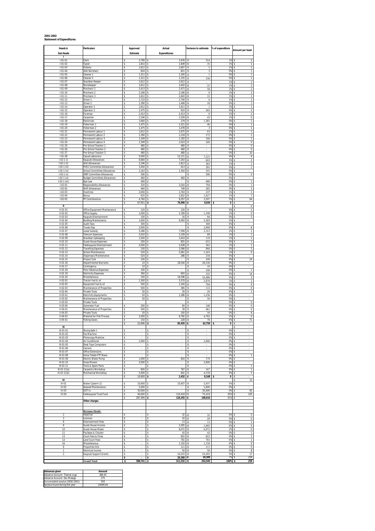#### **2001-2002 Statement of Expenditures**

| Heads &                            | <b>Particulars</b>                                              | Approved                            | Actual                      | Variance to estimate                         | % of expenditure   | Amount per head                          |
|------------------------------------|-----------------------------------------------------------------|-------------------------------------|-----------------------------|----------------------------------------------|--------------------|------------------------------------------|
| <b>Sub Heads</b>                   |                                                                 | Estimate                            | <b>Expenditures</b>         |                                              |                    |                                          |
| л<br>$1 - 01 - 01$                 | Clerk                                                           | 3,790<br>\$                         | 3,476<br>Ś                  | 314<br>Ś                                     | 1%                 | $\overline{2}$<br>s                      |
| $1 - 01 - 02$                      | Typist                                                          | \$<br>1,814                         | \$<br>1,849                 | 35<br>-S                                     | 1%                 | 1<br>Ŝ                                   |
| $1 - 01 - 03$<br>$I - 01 - 04$     | Orderly<br>Aliki Secretary                                      | 1,612<br>\$<br>824<br>s             | 1,607<br>\$<br>821<br>\$    | 5<br>s<br>3<br>s                             | 1%<br>0%           | $\,1\,$<br>Ŝ<br>1<br>s                   |
| $I - 01 - 05$                      | Cleaner 1                                                       | 1,311<br>\$                         | \$<br>1,304                 | $\tau$<br>Ś                                  | 0%                 | Ś<br>1                                   |
| $1 - 01 - 06$                      | Cleaner 2                                                       | \$<br>1,311                         | 1,155<br>\$                 | 156                                          | 0%                 | 1<br>s                                   |
| $1 - 01 - 07$<br>$I - 01 - 08$     | Snackbar Keeper<br>Storekeeper                                  | 1,612<br>\$<br>1,612<br>Ś           | 1,612<br>\$<br>Ś<br>1,643   | s<br>31<br>S                                 | 1%<br>1%           | 1<br>Ŝ<br>$\overline{\mathbf{c}}$<br>Ŝ   |
| $1 - 01 - 09$                      | Mechanic 1                                                      | Ś<br>2,413                          | Ś<br>2,471                  | 58<br>Ś                                      | 1%                 | $\overline{2}$<br>Ŝ                      |
| $I - 01 - 10$<br>$1 - 01 - 11$     | Mechanic 2<br>Mechanic 3                                        | 2,166<br>\$<br>1,612<br>\$          | 2,166<br>\$<br>\$<br>1,643  | $\boldsymbol{0}$<br>Ś<br>31<br>S             | 1%<br>1%           | 1<br>s<br>1<br>s                         |
| $1 - 01 - 12$                      | Driver 1                                                        | 1,710<br>s                          | 1,704<br>s                  | s<br>6                                       | $1\%$              | $\,1\,$<br>Ŝ                             |
| $1 - 01 - 13$                      | Driver <sub>2</sub>                                             | 1,390<br>\$                         | 1,408<br>\$                 | 18<br>S                                      | 0%                 | 1<br>s                                   |
| $1 - 01 - 14$<br>$1 - 01 - 15$     | Operator 1<br>Operator 2                                        | 1,612<br>\$<br>1,475<br>\$          | 1,611<br>\$<br>910<br>\$    | $\mathbf{1}$<br>565                          | 1%<br>0%           | 1<br>Ŝ<br>$\overline{\mathbf{2}}$<br>s   |
| $1 - 01 - 16$                      | Foreman                                                         | 2,413<br>\$                         | 2,413<br>\$                 | $\boldsymbol{0}$                             | 1%                 | $\boldsymbol{2}$<br>s                    |
| $1 - 01 - 17$                      | Carpenter                                                       | 2,166<br>\$                         | 2,209<br>\$                 | 43                                           | 1%                 | $\,0\,$<br>Ŝ                             |
| $I - 01 - 18$<br>$1 - 01 - 19$     | Electrician<br>Fisherman 1                                      | 1,660<br>\$<br>1,475<br>\$          | 279<br>Ś<br>1,521<br>\$     | ,381<br>46                                   | 0%<br>0%           | $\mathbf{1}$<br>s<br>1<br>Ŝ              |
| $1 - 01 - 20$                      | Fisherman 2                                                     | 1,475<br>\$                         | 1,478<br>\$                 | 3<br>s                                       | 0%                 | $\overline{1}$<br>Ŝ                      |
| $1 - 01 - 21$<br>$1 - 01 - 22$     | Permanent Labour 1<br>Permanent Labour 2                        | 1,612<br>s<br>1,390<br>\$           | 1,675<br>\$<br>\$<br>1,218  | 63<br>s<br>172<br>Ś                          | 1%<br>0%           | 1<br>s<br>1<br>s                         |
| $1 - 01 - 23$                      | Permanent Labour 3                                              | \$<br>1,349                         | 1,183<br>\$                 | 166                                          | 0%                 | 1<br>s                                   |
| $1 - 01 - 24$                      | Permanent Labour 4                                              | 1.349<br>\$                         | 1,023<br>\$                 | 326<br>S                                     | 0%                 | $\overline{0}$<br>Ŝ                      |
| $I - 01 - 25$<br>$1 - 01 - 26$     | Pre-School Teacher 1<br>Pre-School Teacher 2                    | 480<br>\$<br>480<br>Ś               | 480<br>\$<br>Ś<br>480       | s<br>Ś<br>÷.                                 | 0%<br>0%           | $\bf 0$<br>Ŝ<br>$\bf 0$<br>s             |
| $1 - 01 - 27$                      | Pre-School Teacher 3                                            | \$<br>480                           | 480<br>\$                   | s<br>÷,                                      | 0%                 | 10<br>s                                  |
| $1 - 01 - 28$                      | Casual Labourers                                                | 5,000<br>\$                         | 12,121<br>\$                | 7,121<br>s                                   | 4%                 | 6<br>Ŝ                                   |
| $1-02-1$ (i)<br>$1-02-1$ (ii)      | Kaupule Allowances<br>Aliki Allowances                          | 6.660<br>\$<br>Ś<br>2,196           | 7.263<br>s<br>1,813<br>\$   | 603<br>s<br>383                              | 2%<br>1%           | $\sqrt{2}$<br>s<br>s<br>1                |
| $1-02-1$ (iii)                     | PHCC Committee Allowance:                                       | \$<br>1,004                         | 613<br>\$                   | 391                                          | 0%                 | s                                        |
| $1-02-1$ (iv)<br>$1-02-1$ (v)      | School Committee Allowances<br><b>IDRE Committee Allowances</b> | \$<br>1,163<br>306<br>\$            | 1,354<br>\$<br>\$           | 191                                          | 0%<br>0%           | s<br>$\bf 0$<br>s                        |
| $1-02-1$ (vi)                      | <b>Budget Committee Allowances</b>                              | \$<br>460                           | Ś<br>460                    | 306                                          | 0%                 | s                                        |
| I-02-1 (vii)                       | Bye-Law                                                         | 400<br>\$                           | \$<br>÷                     | 400                                          | 0%                 | s<br>$\mathbf{1}$                        |
| $1 - 02 - 01$<br>$I - 02 - 02$     | Responsibility Allowances<br>Shift Allowances                   | 320<br>\$<br>464<br>s               | 1,024<br>\$<br>749<br>s     | 704<br>-S<br>285<br>s                        | 0%<br>0%           | 1<br>Ŝ<br>$\,1\,$<br>s                   |
| $1-02-03$                          | Overtime                                                        | 2,000<br>\$                         | 1,763<br>\$                 | 237<br>s                                     | 1%                 | 1<br>s                                   |
| $1 - 02 - 04$                      | Bonus                                                           | 625<br>\$                           | Ś<br>1,652                  | 1,027<br>Ś                                   | 1%                 | 7<br>s                                   |
| $1-02-05$                          | PF Contributions                                                | 4,760<br>\$<br>67.951<br>s          | 8,357<br>\$<br>76,990<br>\$ | 3,597<br>9,039                               | 3%<br>$\mathbf{0}$ | 64<br>s<br>s                             |
| $\mathbf H$                        |                                                                 |                                     |                             |                                              |                    | 0                                        |
| $II - 01 - 01$<br>$II - 01 - 02$   | Office Equipment Maintenance<br>Office Supply                   | 120<br>\$<br>1,000<br>\$            | 120<br>\$<br>2,199<br>\$    | 1,199<br>s                                   | 0%<br>1%           | $\sqrt{2}$<br>s<br>$\overline{0}$<br>s   |
| $II - 01 - 03$                     | Kaupule Entertainment                                           | 100<br>\$                           | 16<br>\$                    | 84<br>s                                      | 0%                 | 5<br>s                                   |
| $II - 01 - 04$                     | <b>Building Maintenance</b>                                     | \$<br>1,000                         | 6,583<br>\$                 | 5,583                                        | 2%                 | Ś                                        |
| $II - 01 - 05$<br>$II - 01 - 06$   | Audit Fees<br>Tuvalu Day                                        | 300<br>\$<br>2,000<br>\$            | \$<br>\$                    | 300<br>2,000                                 | 0%<br>0%           | s<br>6                                   |
| $II - 01 - 07$                     | Lease Subsidy                                                   | 5,286<br>Ś                          | 7,599<br>\$                 | Ś<br>2,313                                   | 2%                 | $\sqrt{2}$<br>Ŝ                          |
| $II - 01 - 08$<br>$II - 01 - 09$   | <b>Telecom Expenses</b><br>Snackbar Upkeeping                   | \$<br>2,020<br>1,500<br>\$          | Ś<br>2,109<br>1,610<br>\$   | 89<br>110                                    | 1%<br>1%           | $\overline{1}$<br>$\mathbf{1}$           |
| $II - 01 - 10$                     | <b>Guest House Expenses</b>                                     | 200<br>\$                           | 855<br>\$                   | 655                                          | 0%                 | 1<br>s                                   |
| $II - 01 - 11$                     | Falekaupule Entertainment                                       | 2,000<br>s                          | 1,638<br>s                  | 362<br>s                                     | 1%                 | $\,1\,$<br>s                             |
| $II - 01 - 12$<br>$II - 01 - 13$   | <b>Travelling Expenses</b><br>Chool Maintenance                 | 100<br>\$<br>520<br>\$              | 1,066<br>\$<br>2,061<br>\$  | 966<br>,541                                  | 0%<br>1%           | $\sqrt{2}$<br>s<br>$\bf{0}$<br>s         |
| $II - 01 - 14$                     | Dispensary Maintenance                                          | 520<br>\$                           | 286<br>\$                   | 234                                          | 0%                 | s                                        |
| $II - 01 - 15$<br>$II - 01 - 16$   | Project Cost<br>Departmental Warrants                           | 100<br>\$<br>10<br>\$               | ŝ<br>28,540<br>\$           | 100<br>s<br>28,530<br>S                      | 0%<br>9%           | 24<br>Ŝ<br>s                             |
| $II - 01 - 17$                     | Contingency                                                     | Ś<br>10                             | Ś                           | 10<br>Ś                                      | 0%                 | ÷.                                       |
| $II - 01 - 18$                     | Potu Fakamua Expenses                                           | \$<br>100                           | \$                          | 100<br>s                                     | 0%                 | s<br>$\mathbf{1}$                        |
| $II - 01 - 19$<br>$II - 01 - 20$   | <b>Electricity Expenses</b><br>Miscellaneous                    | 360<br>\$<br>100<br>\$              | 693<br>\$<br>16,596<br>s    | 333<br>S<br>16,496<br>S                      | 0%<br>5%           | 14<br>s<br>3<br>s                        |
| $II - 02 - 01$                     | Tractor fuel & oil                                              | Ś<br>300                            | 3,370<br>\$                 | 2,070                                        | 1%                 | 1                                        |
| $II-02-02$                         | Equipment fuel & oil                                            | 500<br>\$                           | 1,204<br>\$                 | 704                                          | 0%                 | 0                                        |
| $II - 02 - 03$<br>$II - 02 - 04$   | Maintenance of Properties<br>Private Tools                      | 500<br>\$<br>50<br>\$               | 385<br>\$<br>30<br>\$       | 115<br>20                                    | 0%<br>0%           | $\bf{0}$<br>1<br>s                       |
| $II - 03 - 01$                     | <b>Electricity Equipments</b>                                   | 50<br>\$                            | Ś<br>1,286                  | ,236                                         | 0%                 |                                          |
| $II - 03 - 02$<br>$II - 03 - 03$   | Maintenance of Properties<br>Private Tools                      | 50<br>\$                            | \$                          | 50<br>s<br>s                                 | 0%<br>0%           | s<br>$\bf 0$<br>s                        |
| $II - 03 - 04$                     | Generator Fuel                                                  | 200<br>s                            | 60<br>s                     | 140<br>s                                     | 0%                 | $\bf{0}$<br>s                            |
| $II - 04 - 01$                     | <b>Maintenance of Properties</b>                                | 500<br>\$                           | 39<br>\$                    | 461                                          | 0%                 | $\bf{0}$                                 |
| $II - 04 - 02$<br>$II - 04 - 03$   | Private Tools<br>Material for Fish Process                      | 50<br>\$<br>2,000<br>\$             | 100<br>\$<br>6,782<br>\$    | 50<br>4,782                                  | 0%<br>2%           | 6<br>s<br>$\bf 0$<br>Ŝ                   |
| $II - 05 - 01$                     | <b>Fishing Gears</b>                                            | 150<br>Ś                            | 228<br>\$                   | 78<br>s                                      | 0%                 | 71<br>s                                  |
|                                    |                                                                 | 22,696                              | 85,455<br>\$                | 62,759                                       | 0                  | s                                        |
| Ш<br>III-01-01                     | Strong Safe 1                                                   | \$                                  | \$                          | s<br>$\overline{\phantom{a}}$                | 0%                 | s                                        |
| III-01-02                          | Fax Machine                                                     | Ś                                   | \$                          | s<br>×,                                      | 0%                 | s<br>$\overline{\phantom{a}}$            |
| III-01-03<br>III-01-04             | Photocopy Machine<br>Air Conditioner                            | \$<br>2,000<br>\$                   | \$<br>\$                    | Ś<br>2,000<br>\$                             | 0%<br>0%           | s<br>÷.<br>s                             |
| III-01-05                          | Desk Tops Computers                                             | \$                                  | \$                          | S                                            | 0%                 | s<br>÷.                                  |
| III-01-06                          | Camera                                                          | Ś                                   | \$<br>÷.                    | Ś<br>ä,                                      | 0%                 | s<br>÷.                                  |
| III-01-07<br>III-01-08             | Office Extensions<br>Koloa Talake FTF Share                     | Ś<br>$\sim$<br>ŝ<br>÷,              | Ś<br>\$                     | Ś<br>$\sim$<br>s<br>$\overline{\phantom{a}}$ | 0%<br>0%           | Ś<br>$\sim$<br>$\overline{1}$<br>Ŝ       |
| III-01-09                          | Electric Water Pump                                             | 1,000<br>\$                         | \$<br>824                   | 176<br>\$                                    | 0%                 | s<br>$\sim$                              |
| $III - 01 - 10$<br>$III - 01 - 11$ | Grass Mower<br>Tools & Spare Parts                              | 2,000<br>\$<br>Ś                    | \$<br>\$                    | 2,000<br>s<br>Ś                              | 0%<br>0%           | s<br>$\,1\,$<br>Ś                        |
| $III - O1 - 11(a)$                 | Carpentry Workshop                                              | \$<br>600                           | \$<br>767                   | 167<br>-S                                    | 0%                 | s<br>$\mathbf{1}$                        |
| III-01-11(b)                       | Mechanical Workshop                                             | 5,000<br>\$                         | 841<br>\$                   | Ś<br>4,159                                   | 0%                 | $\sqrt{2}$<br>s                          |
| IV                                 |                                                                 | 10,600<br>Ś                         | 2,432<br>Ś                  | 8,168                                        | $\pmb{0}$          | Ś<br>13<br>Ś                             |
| $IV-01$                            | Water Cystern (1)                                               | 10,000<br>\$                        | 15,937<br>\$                | 5,937<br>ś                                   | 5%                 | Ŝ<br>$\overline{\phantom{a}}$            |
| $IV-02$<br>IV-03                   | Seawall Maintenance<br>DOT tv                                   | 5,000<br>\$<br>30,000<br>\$         | Ś<br>Ś                      | 5,000<br>s<br>30,000<br>Ś                    | 0%<br>0%           | Ŝ<br>$\overline{\phantom{a}}$<br>92<br>s |
| IV-04                              | Falekaupule Trust Fund                                          | 40,000<br>\$                        | 110,418<br>Ś                | 70,418<br>Š.                                 | 35%                | 105<br>Ś                                 |
|                                    |                                                                 | 287,494<br>\$                       | 126,355<br>s                | 168,616<br>-S                                | 41%                | Ŝ                                        |
|                                    | Other charges                                                   |                                     |                             |                                              |                    |                                          |
|                                    |                                                                 |                                     |                             |                                              |                    |                                          |
| $\overline{2}$                     | <b>Revenue Heads:</b><br>Head tax                               | s                                   | 32<br>\$                    | 32                                           | 0%                 | 0<br>s                                   |
| $\sqrt{3}$                         | Licences                                                        | s                                   | $20\,$<br>\$                | $20\,$<br>S.                                 | 0%                 | $\,0\,$<br>s                             |
| 6                                  | <b>Entertainment Fees</b>                                       | Ś                                   | 13<br>Ś                     | 13                                           | 0%                 | 1<br>s                                   |
| 9<br>10                            | Guest House Income<br><b>Guest House Meals</b>                  | Ś<br>ä,<br>s<br>$\mathcal{L}^{\pm}$ | 1,005<br>Ś<br>\$<br>6,072   | 1,005<br>-S<br>6,072<br>-S                   | 0% \$<br>$2\%$ \$  | $\sf 5$<br>$\,0\,$                       |
| 11                                 | Pig Sales & Chicken                                             | s<br>÷,                             | 43<br>\$                    | 43<br>-S                                     | 0%                 | s<br>1                                   |
| 13                                 | Court Fees & Fines                                              | s<br>$\overline{\phantom{a}}$       | 822<br>\$                   | 822<br>S                                     | 0%                 | $\overline{1}$<br>s                      |
| 14<br>16                           | Land Court Fees<br>Miscellaneous                                | s<br>s<br>÷.                        | 781<br>\$<br>\$<br>1,150    | 781<br>S<br>1,150                            | 0% \$<br>0%        | $\overline{1}$<br>$\bf 0$<br>Ś           |
| 6                                  | Properties Hire                                                 | s                                   | \$<br>111                   | 111                                          | 0%                 | $\bf 0$<br>s                             |
| $\overline{1}$<br>$\sqrt{2}$       | Electrical income                                               | s<br>s                              | $50\,$<br>\$<br>10,203<br>Ś | 50<br>S<br>10,203<br>Ś                       | 0%<br>3%           | 8<br>s<br>s<br>17                        |
|                                    | Kaupule Support Grants                                          | \$                                  | $20,300 - $$<br>\$          | 20,300                                       | 7% S               | 259                                      |
|                                    | <b>Grand Total</b>                                              | s<br>388,741 \$                     | 311,532 - \$                | 252,545                                      | 100% \$            | 259                                      |

| Advances given                  | Amount   |
|---------------------------------|----------|
| Advance Account- Tilaima Logo   | 386 45   |
| Advance Account - Silu Malaga   | 275      |
| Accumulated surplus (2000-2001) | 593      |
| Surplus found during the year   | 10049 44 |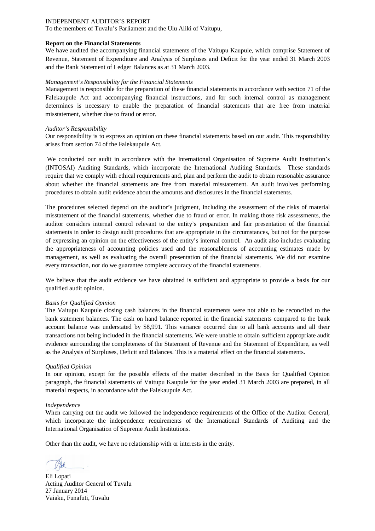To the members of Tuvalu's Parliament and the Ulu Aliki of Vaitupu,

#### **Report on the Financial Statements**

We have audited the accompanying financial statements of the Vaitupu Kaupule, which comprise Statement of Revenue, Statement of Expenditure and Analysis of Surpluses and Deficit for the year ended 31 March 2003 and the Bank Statement of Ledger Balances as at 31 March 2003.

#### *Management's Responsibility for the Financial Statements*

Management is responsible for the preparation of these financial statements in accordance with section 71 of the Falekaupule Act and accompanying financial instructions, and for such internal control as management determines is necessary to enable the preparation of financial statements that are free from material misstatement, whether due to fraud or error.

#### *Auditor's Responsibility*

Our responsibility is to express an opinion on these financial statements based on our audit. This responsibility arises from section 74 of the Falekaupule Act.

We conducted our audit in accordance with the International Organisation of Supreme Audit Institution's (INTOSAI) Auditing Standards, which incorporate the International Auditing Standards. These standards require that we comply with ethical requirements and, plan and perform the audit to obtain reasonable assurance about whether the financial statements are free from material misstatement. An audit involves performing procedures to obtain audit evidence about the amounts and disclosures in the financial statements.

The procedures selected depend on the auditor's judgment, including the assessment of the risks of material misstatement of the financial statements, whether due to fraud or error. In making those risk assessments, the auditor considers internal control relevant to the entity's preparation and fair presentation of the financial statements in order to design audit procedures that are appropriate in the circumstances, but not for the purpose of expressing an opinion on the effectiveness of the entity's internal control. An audit also includes evaluating the appropriateness of accounting policies used and the reasonableness of accounting estimates made by management, as well as evaluating the overall presentation of the financial statements. We did not examine every transaction, nor do we guarantee complete accuracy of the financial statements.

We believe that the audit evidence we have obtained is sufficient and appropriate to provide a basis for our qualified audit opinion.

#### *Basis for Qualified Opinion*

The Vaitupu Kaupule closing cash balances in the financial statements were not able to be reconciled to the bank statement balances. The cash on hand balance reported in the financial statements compared to the bank account balance was understated by \$8,991. This variance occurred due to all bank accounts and all their transactions not being included in the financial statements. We were unable to obtain sufficient appropriate audit evidence surrounding the completeness of the Statement of Revenue and the Statement of Expenditure, as well as the Analysis of Surpluses, Deficit and Balances. This is a material effect on the financial statements.

#### *Qualified Opinion*

In our opinion, except for the possible effects of the matter described in the Basis for Qualified Opinion paragraph, the financial statements of Vaitupu Kaupule for the year ended 31 March 2003 are prepared, in all material respects, in accordance with the Falekaupule Act.

#### *Independence*

When carrying out the audit we followed the independence requirements of the Office of the Auditor General, which incorporate the independence requirements of the International Standards of Auditing and the International Organisation of Supreme Audit Institutions.

Eli Lopati Acting Auditor General of Tuvalu 27 January 2014 Vaiaku, Funafuti, Tuvalu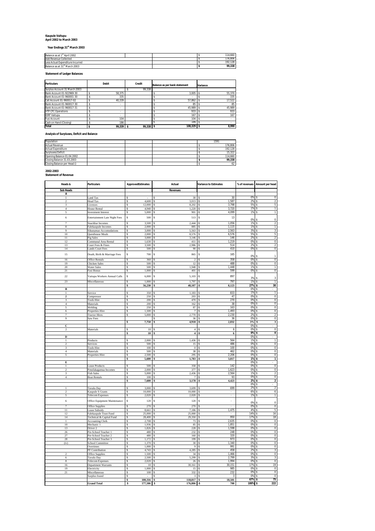# **Kaupule Vaitupu April 2002 to March 2003**

**Year Endings 31st March 2003**

| Year Endings 31" March 2003 |  |
|-----------------------------|--|
|-----------------------------|--|

| Balance as at 1 <sup>31</sup> April 2002  |  | 114.660 |
|-------------------------------------------|--|---------|
| Add Revenue Collected                     |  | 176.806 |
| Less Actual Expenditure Incurred          |  | 192.128 |
| Balance as at 31 <sup>st</sup> March 2003 |  | 99,338  |

**Statement of Ledger Balances**

| <b>Particulars</b>            | <b>Debit</b> | Credit    | Balance as per bank statement | Variance |        |
|-------------------------------|--------------|-----------|-------------------------------|----------|--------|
| Surplus Account 31 March 2003 |              | 99.338    |                               |          |        |
| Bank Account 01-922969-30     | 58.375       |           | 3.005                         |          | 55.370 |
| Bank Account 01-960001-30     | 335          |           |                               |          | 335    |
| Call Account 01-960017-02     | 40.339       |           | 57.862                        |          | 17.522 |
| Bank Account 01-960017-30     |              |           | 85                            |          | 85     |
| Bank Account 01-960017-31     | ÷            |           | 45.989                        |          | 45.989 |
| <b>VTP CFC Operations</b>     |              |           | 933                           |          | 933    |
| <b>IDRF Vaitupu</b>           |              |           | 167                           |          | 167    |
| <b>Fusi Account</b>           | 104          |           | 104                           |          |        |
| Cash on Hand (Closing)        | 186          |           | 186                           |          |        |
| <b>Total</b>                  | 99.339 S     | 99.338 \$ | 108.329 \$                    |          | 8.990  |

**Analysis of Surpluses, Deficit and Balance**

| Population                  |  |  | 1591    |
|-----------------------------|--|--|---------|
| <b>Actual Revenue</b>       |  |  | 176.806 |
| <b>Actual Expenditure</b>   |  |  | 192.128 |
| Surpluses/Deficit           |  |  | 15.322  |
| Opening Balance 01.04.2002  |  |  | 114.660 |
| Closing Balance 31.03.2003  |  |  | 99.338  |
| Closing Balance per Head () |  |  | 62      |

**2002-2003 Statement of Revenue**

| Heads &                  | Particulars                             | ApprovedEstimates         | Actual                              | <b>Variance to Estimates</b>      | % of revenues | Amount per head                            |
|--------------------------|-----------------------------------------|---------------------------|-------------------------------------|-----------------------------------|---------------|--------------------------------------------|
| <b>Sub Heads</b>         |                                         |                           | <b>Revenues</b>                     |                                   |               |                                            |
| A                        |                                         |                           |                                     |                                   |               |                                            |
| $\mathbf{1}$             | Land Tax                                | s                         | s<br>30                             | 30<br>\$                          | 0%            | $\mathbf 0$<br>s                           |
| $\overline{\mathbf{r}}$  | <b>Head Tax</b>                         | 4.600<br>s                | 3,013<br>$\mathbf{\hat{s}}$         | 1,587<br>٠Ŝ                       | 2%            | $\overline{2}$<br>s                        |
| 3<br>$\overline{4}$      | Licenses<br>House Rental                | 12,000<br>s<br>4.940      | 8,202<br>s<br>$1.220 - $$           | 3,798<br>٠Ŝ<br>3.720              | 5%<br>1%      | $\,$ 5<br>s                                |
| 5                        | <b>Investment Interest</b>              | s<br>5,000                | -8<br>901<br>Ś                      | 4,099<br>-Ŝ                       | 1%            | T<br>s.<br>$\mathbf{1}$                    |
|                          |                                         |                           |                                     |                                   |               |                                            |
| 6                        | Entertainment Late Night Fees           | $\mathbf{s}$<br>500       | $\mathbf{s}$<br>513                 | 13<br>\$                          | 0%            | $\bf 0$                                    |
| 7                        | Snackbar Incomes                        | 3,500<br>s                | 2,444<br>s                          | 1,056<br>٠Ŝ                       | 1%            | $\overline{2}$<br>\$                       |
| $\mathbf{\hat{x}}$       | Falekaupule Incomes                     | 2.000<br>\$               | 885<br>-S                           | 1.115<br>٠Ŝ                       | 1%            | $\overline{1}$<br>\$                       |
| 9<br>10                  | Sikunamao Accomodations                 | 3,000S<br>s<br>2.000      | 5,563                               | 2,563<br>s.                       | 3%<br>5%      | 3<br>\$<br>5<br>\$                         |
| 11                       | Questhouse Meals<br>Pig Sales           | s<br>3,000<br>Ŝ           | l s<br>8,576<br>3,146<br>Ś          | 6,576<br>s<br>146<br>s            | 2%            | $\overline{2}$                             |
| 12                       | Communal Area Rental                    | s<br>1,630                | 411<br>S                            | -Ŝ<br>1,219                       | 0%            | $\overline{\mathbf{0}}$<br>s               |
| 13                       | Court Fees & Fines                      | 3,500<br>s                | 2,986<br>\$.                        | 514<br>-Ŝ                         | 2%            | $\overline{2}$<br>s                        |
| 14                       | <b>Lands Court Fees</b>                 | 500<br>\$                 | 90<br>\$                            | 410<br>٠Ŝ                         | 0%            | $\,0\,$<br>\$                              |
| 15                       | Death, Birth & Marriage Fees            | $\mathbb S$<br>700        | \$<br>865                           | \$<br>165                         | 0%            | $\mathbbm{1}$                              |
| 16                       | <b>Office Rentals</b>                   | 360<br>\$                 | <b>S</b><br>$\mathfrak{D}$          | 358<br>$-5$                       | 0%            | 0<br>\$                                    |
| 19                       | <b>Chicken Sales</b>                    | 500<br>Ś                  | 12<br>s                             | .s<br>488                         | 0%            | $\boldsymbol{0}$<br>Ś                      |
| 20                       | <b>Water Sales</b>                      | s<br>500                  | 1,948<br>-S                         | s<br>1,448<br>599                 | 1%<br>0%      | T<br>s                                     |
| 21                       | Fusi Bonus                              | 1,000<br>\$.              | 401<br>-S                           | ۰Ŝ                                |               | $\overline{0}$<br>\$                       |
| $22\,$                   | Vaitupu Workers Annual Calls            | \$<br>6,000               | \$<br>5,103                         | -\$<br>897                        | 3%            | $\mathsf 3$                                |
| 23                       | Miscellaneous                           | 1,000                     | 1,797                               | 797<br>s                          | 1%            | ī<br>\$                                    |
| $\overline{B}$           |                                         | \$<br>56,230              | \$<br>48,107                        | 8,123<br>-\$                      | 27%<br>0%     | 30<br>\$<br>s                              |
| $\mathbf{1}$             | Service                                 | 350<br>s                  | 1,183                               | 833<br>s                          | 1%            | $\mathbf{1}$<br>\$                         |
| $\overline{\mathbf{z}}$  | Compressor                              | 250<br>s                  | $203 - $$<br>-8                     | 47                                | 0%            | 0<br>\$                                    |
| 3                        | <b>Tools Hire</b>                       | 200<br>s                  | 470<br>s                            | 270<br>\$                         | 0%            | $\mathbf 0$                                |
| $\overline{4}$           | Materials                               | 200<br>s                  | l \$<br>$162 - $$                   | 38                                | 0%            | $\overline{0}$<br>\$                       |
| 5                        | Welding                                 | 250<br>s                  | 87<br>\$.<br>7                      | ٠\$<br>163                        | 0%            | $\overline{0}$                             |
| 6<br>$\overline{7}$      | Properties Hire<br><b>Tractor Hires</b> | 1,500<br>s<br>5,000<br>\$ | S<br>2.770<br>-S                    | 1,493<br>۰S<br>2.230<br>٠Ŝ        | 0%<br>2%      | $\overline{0}$<br>$\overline{2}$<br>¢      |
| 9                        | Saw Fees                                |                           | 36                                  | 36<br>s                           | 0%            | $\,0\,$<br>\$                              |
|                          |                                         | 7,750<br>s                | $4,918 - $$<br>\$                   | 2,832                             | 3%            | $\overline{\mathbf{3}}$<br>s               |
| C                        |                                         |                           |                                     |                                   | 0%            |                                            |
| $\mathcal{L}$            | Materials                               | 10<br>¢                   | $\overline{4}$<br>s                 | $\cdot$ s<br>6                    | 0%            | $\overline{0}$<br>\$                       |
|                          |                                         | 10<br>s                   | $\overline{4}$<br>\$                | $6\phantom{1}6$<br>-\$            | 0%            | $\overline{\mathbf{0}}$<br>¢               |
| D<br>1                   | Products                                | 2,000<br>s                | 1,436<br>s                          | 564<br>۰S                         | 0%<br>1%      | $\overline{1}$<br>¢                        |
| $\overline{\mathcal{L}}$ | Services                                | 500<br>s                  | 15                                  | 486<br>٠Ŝ                         | 0%            | $\overline{0}$                             |
| $\overline{\mathbf{3}}$  | <b>Tools Hire</b>                       | 100<br>\$                 | $\overline{0}$<br>S                 | 100<br>-Ŝ                         | 0%            | $\pmb{0}$<br>¢                             |
| $\overline{4}$           | Materials                               | 500<br>Ś                  | 38                                  | 462<br>.s                         | 0%            | $\overline{0}$                             |
| 5                        | Properties Hire                         | Ŝ<br>2,500                | 295<br>s                            | -\$<br>2,206                      | 0%            | $\pmb{0}$                                  |
| E                        |                                         | 5,600<br>s                | 1,783<br>¢                          | 3,817<br>-\$                      | 1%<br>0%      | $\blacksquare$<br>٩<br>\$                  |
| $\mathbf{1}$             | <b>Lease Products</b>                   | 500<br>\$                 | 358                                 | 142<br>٠Ŝ                         | 0%            | $\overline{0}$<br>\$                       |
| $\overline{2}$           | Potufakagamua Incomes                   | 2,000<br>s                | 377                                 | 1,623<br>-Ŝ                       | 0%            | $\mathbf 0$                                |
| $\overline{\mathbf{3}}$  | <b>Fish Sales</b>                       | s<br>5,000                | 2,436<br>l s                        | $-5$<br>2,564                     | 1%            | $\overline{2}$<br>¢                        |
| $\overline{4}$           | <b>Boat Rentals</b>                     | Ŝ<br>100                  | s<br>7                              | 93<br>-Ŝ                          | 0%            | $\overline{0}$                             |
|                          |                                         | 7,600                     | 3,178                               | 4,423                             | 2%<br>0%      | $\mathbf 2$<br>¢                           |
|                          | Tuvalu Day                              | 3,000                     | 3,699                               | 699                               | 2%            | $\overline{a}$                             |
| $\mathfrak{D}$           | Kaupule S Grants                        | 10,000<br>s               | 10,000<br>-S                        | s<br>×                            | 6%            | $\boldsymbol{6}$<br>\$                     |
| ς                        | <b>Telecom Expenses</b>                 | 2,020<br>Ś                | 2,020<br>s                          | s.                                | 1%            | T                                          |
| 6                        | Office Equipment Maintenance            | $\mathbb S$<br>120        | 120<br>$\mathbf{s}$                 | \$<br>i,                          | 0%            | $\bf 0$                                    |
| $\overline{7}$           | Office Supplies                         | 270<br>\$                 | 270<br>S                            | s                                 | 0%            | $\,0\,$<br>\$                              |
| 11                       | <b>Lease Subsidy</b>                    | 8,661<br>s                | 7.186<br><b>S</b>                   | 1,475<br>٠Ŝ                       | 4%            | 5<br>s                                     |
| 12                       | Falekaupule Trust Fund                  | s<br>25,000               | 25,000<br>Ś                         | Ś                                 | 14%           | 16                                         |
| 14                       | Technical & Capital Fund                | Ś<br>28.400               | 29.350                              | 950<br>s.                         | 17%           | 18                                         |
| $\mathbf{1}$<br>$10\,$   | <b>Accounting Clerk</b><br>Mechanic 1   | 2,708<br>\$<br>1,936<br>¢ | 73<br>85<br>-8                      | 2,635<br>ŝ.<br>1,851<br>۰\$       | 0%<br>0%      | $\,0\,$<br>$\overline{0}$                  |
| 13                       | Driver <sub>2</sub>                     | 1,826<br>Ŝ                | 228<br><sup>\$</sup>                | 1,598<br>-Ŝ                       | 0%            | $\overline{0}$<br>s                        |
| 26                       | Pre-School Teacher 1                    | 480<br>Ŝ                  | Ś<br>232                            | 248<br>-Ŝ                         | 0%            | $\overline{0}$<br>\$                       |
| 27                       | Pre-School Teacher 2                    | $\mathbf{s}$<br>480       | 160<br>-S                           | 320<br>-Ŝ                         | 0%            | 0<br>Ś                                     |
| 28                       | Pre-School Teacher 3                    | 1,172<br>Ś                | 199<br>s                            | 973<br>.s                         | 0%            | 0                                          |
| (iv)                     | School Committee                        | s<br>1,370                | 30<br>-S                            | -Ŝ<br>1,340                       | 0%            | $\pmb{0}$<br>s                             |
|                          | Overtimes<br>PF Contribution            | 1.000<br>\$<br>4,743<br>Ŝ | $\overline{9}$<br>-S<br>4,285<br>\$ | 991<br>۰Ŝ<br>458<br>۰\$           | 0%<br>2%      | $\overline{0}$<br>$\sqrt{3}$<br>Ś          |
| $\overline{\mathcal{L}}$ | <b>Office Supplies</b>                  | 1,500S<br>s               | 34                                  | 1,466<br>٠S                       | 0%            | $\overline{0}$<br>Ŝ                        |
| 6                        | Tuvalu Day                              | 2,500<br>s                | 5,299<br>\$.                        | 2,799<br>\$                       | 3%            | 3<br>Ś                                     |
| $\mathbf{8}$             | <b>Telecom Expenses</b>                 | 2.020<br>s                | 26<br>-S                            | 1.994<br>-Ŝ                       | 0%            | $\overline{0}$<br>\$                       |
| 16                       | Department Warrants                     | 10<br>Ŝ                   | \$.<br>30,161                       | 30,151<br>\$                      | 17%           | 19                                         |
| 19                       | Electricity                             | 1,000<br>¢                | \$<br>15                            | ۰\$<br>985                        | 0%            | 0<br>Ŝ.                                    |
| $\overline{21}$          | Miscellaneous<br>Surplus found          | 100<br>s<br>s             | 332<br>s<br>s<br>3                  | \$<br>232<br>\$<br>$\overline{3}$ | 0%<br>0%      | $\overline{0}$<br>Ś<br>s<br>$\overline{0}$ |
|                          |                                         | 100,316<br>Ś              | 118,817<br>\$                       | \$<br>18,501                      | 67%           | 75<br>s                                    |
|                          | <b>Grand Total</b>                      | 177,506<br>s              | 176,806 -S<br>۱s                    | 700                               | 100%          | \$<br>222                                  |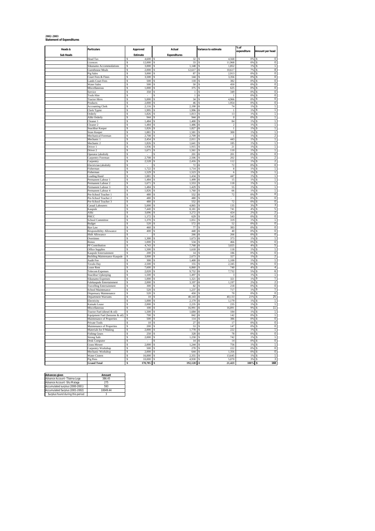# **2002-2003 Statement of Expenditures**

| Heads &          | <b>Particulars</b>                                           | Approved                                        | Actual                          | Variance to estimate              | % of<br>expenditure | Amount per head                               |  |
|------------------|--------------------------------------------------------------|-------------------------------------------------|---------------------------------|-----------------------------------|---------------------|-----------------------------------------------|--|
| <b>Sub Heads</b> |                                                              | Estimate                                        | <b>Expenditures</b>             |                                   |                     |                                               |  |
|                  | Head Tax<br>Licences                                         | 4,600<br>Ŝ<br>$12.000 - S$<br>s.                | s<br>32<br>33                   | 4,568<br>s<br>11.968<br>-S        | 0%<br>0%            | ΓS<br>$\mathbf 0$<br>$\overline{0}$<br>$\sim$ |  |
|                  | Sikunamo Accommodations                                      | s<br>3,000S                                     | $1,148$ \$                      | 1,852                             | 1%                  | T<br><b>S</b>                                 |  |
|                  | <b>Guesthouse Meals</b>                                      | 2.000<br>s                                      | 12.617<br>s                     | 10.617<br>.s                      | 7%                  | $\overline{\mathbf{8}}$<br>s                  |  |
|                  | Pig Sales                                                    | s<br>3,000                                      | 87<br>S.                        | 2,913<br>s                        | 0%                  | $\overline{0}$<br>Ŝ.                          |  |
|                  | Court Fees & Fines<br><b>Lands Court Fees</b>                | Ś<br>3,500<br>s.<br>500                         | 144<br><b>S</b><br>118          | Ś<br>3,356<br><b>S</b><br>382     | 0%<br>0%            | 0<br>$\overline{0}$<br><sup>\$</sup>          |  |
|                  | <b>Water Sales</b>                                           | 500<br>Ś                                        | 50<br>Ś                         | 450                               | 0%                  | $\overline{0}$                                |  |
|                  | Miscellaneous                                                | 1.000<br>s                                      | 375<br>-S                       | 625<br>s                          | 0%                  | $\overline{0}$                                |  |
|                  | Service                                                      | s<br>350                                        | $\overline{1}$<br>\$.           | 349<br>\$.                        | 0%                  | $\mathbf 0$                                   |  |
|                  | <b>Tools Hire</b>                                            | s<br>$\mathbf{s}$                               | $\overline{1}$<br>s<br>34       | $\mathbf{1}$<br>s<br>s            | 0%<br>0%            | $\overline{0}$                                |  |
|                  | <b>Tractor Hires</b><br>Products                             | 5.000<br>s<br>2,000                             | \$.<br>46<br>Ś                  | 4,966<br>Ś<br>1,954               | 0%                  | $\mathbf 0$<br>$\mathbf 0$                    |  |
|                  | <b>Accounting Clerk</b>                                      | s<br>2.116                                      | 2.190<br>\$.                    | 74<br>-Ŝ                          | 1%                  | $\mathbf{1}$<br>-S                            |  |
|                  | Clerk Typist                                                 | 1,995<br>\$                                     | 1,996<br>\$                     | Ś<br>$\,1\,$                      | 1%                  | $\overline{1}$                                |  |
|                  | Orderly                                                      | 1.826<br>$\mathbf{s}$<br>Ś                      | 1.813<br><b>S</b>               | 13<br><b>S</b><br>Ś.              | 1%                  | $\overline{1}$<br><b>S</b>                    |  |
|                  | Aliki Orderly<br>Cleaner 1                                   | 944<br>1.484<br>s                               | 944<br>S<br>1,400<br>s          | $\theta$<br>84                    | 0%<br>1%            | $\mathbf{1}$<br>$\overline{1}$                |  |
|                  | Cleaner <sub>2</sub>                                         | s<br>1.484                                      | 1,486<br>S.                     | $\overline{2}$<br>S.              | 1%                  | $\overline{1}$                                |  |
|                  | Snackbar Keeper                                              | Ś<br>1,826                                      | 1,827                           | $\overline{1}$                    | 1%                  | $\overline{1}$                                |  |
|                  | Store Keeper                                                 | s<br>1.881                                      | 1.581<br><b>S</b>               | 300<br>S                          | 1%                  | 1<br>-8                                       |  |
|                  | Mechanical Foreman<br>Mechanic 1                             | Ś<br>2,708<br>2.454<br>s                        | 2.709<br>2,011<br>s             | $\mathbf{1}$<br>443<br>\$         | 1%<br>1%            | $\overline{2}$<br>1<br>s                      |  |
|                  | Mechanic 2                                                   | s<br>1,826                                      | 1,641<br>\$                     | 185<br>s                          | 1%                  | $\mathbf{1}$<br>$\mathbf{\hat{S}}$            |  |
|                  | Driver 1                                                     | Ś<br>1,936                                      | 1,915<br>s                      | 21<br>Ś                           | 1%                  | 1                                             |  |
|                  | Driver <sub>2</sub>                                          | $\mathbf{s}$<br>1,671                           | \$<br>1.561                     | 110<br>\$.                        | 1%                  | T                                             |  |
|                  | Operator (abolish)<br>Carpentry Foreman                      | s<br>2.708<br>s.                                | 201<br>Ś<br>2.506<br><b>S</b>   | Ls<br>201<br>202<br>S.            | 0%<br>1%            | $\mathbf 0$<br>$\overline{2}$<br>-S           |  |
|                  | Carpentry                                                    | 2,528<br>\$                                     | 2,416<br>\$                     | 112<br>\$                         | 1%                  | $\overline{a}$                                |  |
|                  | Electrician (abolish)                                        | s                                               | 72<br>\$                        | 72<br>Ż.                          | 0%                  | $\overline{0}$<br><b>S</b>                    |  |
|                  | Fisherman                                                    | $\mathbf{s}$<br>1.722                           | \$.<br>1.714                    | 8<br>\$.                          | 1%                  | $\mathbf{1}$<br><b>R</b>                      |  |
|                  | Fisherman<br><b>Leading Hand</b>                             | 1,529<br>s<br><sup>\$</sup><br>1.881            | 1,523<br>s<br>1,434<br><b>S</b> | $\overline{6}$<br>447<br><b>S</b> | 1%<br>1%            | T<br>$\overline{1}$                           |  |
|                  | Permanent Labour 1                                           | s<br>1,484                                      | 1,499<br>s                      | 15                                | 1%                  | T                                             |  |
|                  | Permanent Labour 2                                           | 1.671<br>s                                      | 1.553<br>s                      | 118<br>s                          | 1%                  | $\overline{1}$<br>s                           |  |
|                  | Permanent Labour 3                                           | $\overline{\mathbf{s}}$<br>1,484                | 1,429<br>Ś                      | 55<br>Ś,                          | 1%                  | T                                             |  |
|                  | Permanent Labour 4<br>Pre-School Teacher 1                   | s<br>1,826<br>s<br>480                          | 1,760<br>S<br>552<br>-S         | 66<br>\$.<br>$72\,$<br>Ś.         | 1%<br>0%            | $\overline{1}$<br>$^{\circ}$<br>-S            |  |
|                  | Pre-School Teacher 2                                         | Ś<br>480                                        | 480<br>s                        |                                   | 0%                  | $\pmb{0}$                                     |  |
|                  | Pre-School Teacher 3                                         | s<br>480                                        | 552<br>S.                       | 72<br>R                           | 0%                  | $\overline{0}$                                |  |
|                  | Casual Labourers                                             | 5,000<br>\$                                     | 4,865<br>\$.                    | 135<br>s                          | 3%                  | 3                                             |  |
|                  | Kaupule<br>Aliki                                             | 7.440<br>\$.<br>3,696<br>Ś                      | \$.<br>8.181<br>3,272<br>Ś      | 741<br>A.<br>424<br>Ś             | 4%<br>2%            | 5<br>$\boldsymbol{2}$                         |  |
|                  | PHCC                                                         | s<br>1.172                                      | 629<br>\$                       | 543<br>-S                         | 0%                  | o                                             |  |
|                  | School Committee                                             | s<br>1,370                                      | 1,051<br>-S                     | 319<br>s                          | 1%                  | $\mathbf{1}$<br>-S                            |  |
|                  | Budget                                                       | 520<br>s<br>460                                 | 572                             | 52<br>383                         | 0%<br>0%            | 0<br>$\overline{0}$                           |  |
|                  | Bye Law<br>Responsibility Allowance                          | <sup>\$</sup><br>s<br>400                       | 77<br><b>S</b><br>440<br>S      | S<br>40<br>Ś.                     | 0%                  | -S<br>$\overline{0}$                          |  |
|                  | Shift Allowance                                              | s                                               | 266<br>s                        | 266<br>-8                         | 0%                  | $\overline{0}$                                |  |
|                  | Overtimes                                                    | s<br>1,300                                      | S<br>1,673                      | 373<br>S.                         | 1%                  | 1<br>s                                        |  |
|                  | Bonus<br>PF Contribution                                     | $\overline{\mathbf{s}}$<br>1,000<br>s.<br>4.743 | 534<br>\$.<br>7.768<br>-S       | Ś<br>466<br>3.025<br>L\$          | 0%<br>4%            | 0<br>5<br>-S                                  |  |
|                  | Office Supplies                                              | Ś<br>1.500                                      | 1,618<br>Ś                      | 118                               | 1%                  | $\overline{1}$                                |  |
|                  | Kaupule Entertainment                                        | 200<br>s                                        | 14<br>-S                        | 186<br>S.                         | 0%                  | $\overline{0}$                                |  |
|                  | <b>Building Maintenance Kaupule</b>                          | \$<br>3,000                                     | 2,673<br>S                      | 327<br>S                          | 1%                  | $\overline{2}$<br>Ŝ                           |  |
|                  | Audit Fee                                                    | 300<br>Ŝ<br>$\hat{\mathbf{S}}$<br>2.500         | 1,400<br>s<br>155<br>\$.        | 1,100<br>s<br>Ś,<br>2.345         | 1%<br>0%            | T<br>х<br>¢                                   |  |
|                  | Tuvalu Day<br>Lease Rent                                     | s<br>7,600                                      | 6,860<br>S                      | 740<br>s                          | 4%                  | $\pmb{0}$<br>4                                |  |
|                  | <b>Telecom Expenses</b>                                      | s<br>2.020                                      | \$.<br>9,752                    | 7,732<br>-Ŝ                       | 5%                  | 6<br>-S                                       |  |
|                  | Snackbar Upkeeping                                           | 1,500<br>\$                                     | 1,497                           | \$                                | 1%                  | T                                             |  |
|                  | Sikunamo Expenses                                            | $\overline{\mathbf{s}}$<br>1.000<br>s<br>2,000  | 1,321<br>\$.<br>S               | 321<br>.s<br>1.197<br>Ś.          | 1%<br>2%            | T                                             |  |
|                  | Falekaupule Entertainment<br><b>Travelling Entertainment</b> | 300<br>Ŝ                                        | 3,197<br>82<br>s                | 218<br>s                          | 0%                  | 2<br>$\overline{0}$                           |  |
|                  | School Maintenance                                           | s.<br>520                                       | S<br>1.237                      | 717<br>-Ŝ                         | 1%                  | $\mathbf{1}$<br>s.                            |  |
|                  | Dispensary Maintenance                                       | 520<br>s                                        | 450<br>S                        | Ś<br>70                           | 0%                  | $\pmb{0}$                                     |  |
|                  | Department Warrants                                          | 10 <sup>10</sup><br><sup>\$</sup><br>Ś          | 40.143<br>-S<br>2.179           | 40.133<br>L\$<br>Ś<br>1.179       | 21%<br>1%           | 25<br>-5<br>$\overline{1}$                    |  |
|                  | Electricity<br>Kainaki Lease                                 | 1,000<br>2.000<br>s                             | 2,235<br>-S                     | 235<br>$-S$                       | 1%                  | 1                                             |  |
|                  | Miscellaneous                                                | s<br>100                                        | 16,991<br>S                     | 16,891<br>-S                      | 9%                  | 11<br>s                                       |  |
|                  | Tractor Fuel (diesel & oil)                                  | 1,500<br>s                                      | 1,684<br>s                      | 184<br>S                          | 1%                  | T<br>s                                        |  |
|                  | Equipment Fuel (benzene & oil)                               | s<br>700<br>500<br>s                            | \$.<br>842<br>s<br>114          | Ż.<br>142<br>386<br>s             | nw<br>0%            | $\overline{1}$<br>-S<br>0                     |  |
|                  | Maintenance of Properties<br>Private Tools                   | 10 <sup>10</sup><br>s.                          | 27<br><b>S</b>                  | 17<br>L\$                         | 0%                  | $\overline{0}$<br>l \$                        |  |
|                  | Maintenance of Properties                                    | 200<br>\$                                       | 53                              | 147<br>Ś                          | 0%                  | $\overline{0}$                                |  |
|                  | Materials for F/Making                                       | 2.000<br>s                                      | 1.778<br>s                      | 222<br><b>S</b>                   | 1%                  | $\overline{1}$<br>s                           |  |
|                  | <b>Fishing Gears</b>                                         | s<br>250<br>s                                   | 328<br>S.                       | 78<br>A.                          | 0%                  | $\overline{0}$<br>÷.                          |  |
|                  | <b>Strong Safe</b><br>Desk Computer                          | 2,000<br>s.                                     | 1,258<br>s<br><b>S</b><br>14    | 742<br>L\$<br>14                  | 1%<br>0%            | $\overline{1}$<br>$\overline{0}$<br>-S        |  |
|                  | <b>Grass Mower</b>                                           | 2,000<br>Ś                                      | 1,244<br>S                      | 756                               | 1%                  | $\mathbf{1}$                                  |  |
|                  | Carpentry Workshop                                           | 500<br>s                                        | 278<br>s                        | 222<br>S.                         | 0%                  | $\overline{0}$<br>s                           |  |
|                  | Mechanic Workshop                                            | s<br>2,000<br>s                                 | 644<br>Ś,                       | 1,356<br>Ś,                       | 0%                  | $\mathbf 0$<br>¢                              |  |
|                  | Water Cistern<br>Pig Pens                                    | 16,000<br>Ś<br>10.000                           | 2,355<br>Ś<br>4.930<br><b>S</b> | 13,645<br>Ś<br>5.070<br>s         | 1%<br>300           | $\overline{1}$<br>$\mathbf{3}$<br>s           |  |
|                  | <b>Grand Total</b>                                           | 170.705<br>s                                    | 192.128<br>-\$                  | 21,423<br>L\$                     | 100%                | 168<br>.s                                     |  |
|                  |                                                              |                                                 |                                 |                                   |                     |                                               |  |

| <b>Advances given</b>            | Amount   |
|----------------------------------|----------|
| Advance Account- Tilaima Logo    | 386.45   |
| Advance Account -Silu Malaga     | 275      |
| Accumulated surplus (2000-2001)  | 593      |
| Accumulated Surplus (2001-2002)  | 10049.44 |
| Surplus found during this period |          |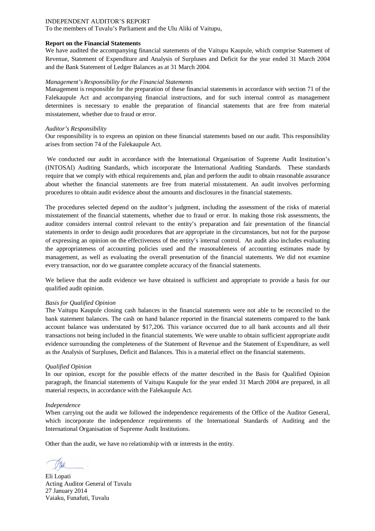To the members of Tuvalu's Parliament and the Ulu Aliki of Vaitupu,

#### **Report on the Financial Statements**

We have audited the accompanying financial statements of the Vaitupu Kaupule, which comprise Statement of Revenue, Statement of Expenditure and Analysis of Surpluses and Deficit for the year ended 31 March 2004 and the Bank Statement of Ledger Balances as at 31 March 2004.

#### *Management's Responsibility for the Financial Statements*

Management is responsible for the preparation of these financial statements in accordance with section 71 of the Falekaupule Act and accompanying financial instructions, and for such internal control as management determines is necessary to enable the preparation of financial statements that are free from material misstatement, whether due to fraud or error.

#### *Auditor's Responsibility*

Our responsibility is to express an opinion on these financial statements based on our audit. This responsibility arises from section 74 of the Falekaupule Act.

We conducted our audit in accordance with the International Organisation of Supreme Audit Institution's (INTOSAI) Auditing Standards, which incorporate the International Auditing Standards. These standards require that we comply with ethical requirements and, plan and perform the audit to obtain reasonable assurance about whether the financial statements are free from material misstatement. An audit involves performing procedures to obtain audit evidence about the amounts and disclosures in the financial statements.

The procedures selected depend on the auditor's judgment, including the assessment of the risks of material misstatement of the financial statements, whether due to fraud or error. In making those risk assessments, the auditor considers internal control relevant to the entity's preparation and fair presentation of the financial statements in order to design audit procedures that are appropriate in the circumstances, but not for the purpose of expressing an opinion on the effectiveness of the entity's internal control. An audit also includes evaluating the appropriateness of accounting policies used and the reasonableness of accounting estimates made by management, as well as evaluating the overall presentation of the financial statements. We did not examine every transaction, nor do we guarantee complete accuracy of the financial statements.

We believe that the audit evidence we have obtained is sufficient and appropriate to provide a basis for our qualified audit opinion.

#### *Basis for Qualified Opinion*

The Vaitupu Kaupule closing cash balances in the financial statements were not able to be reconciled to the bank statement balances. The cash on hand balance reported in the financial statements compared to the bank account balance was understated by \$17,206. This variance occurred due to all bank accounts and all their transactions not being included in the financial statements. We were unable to obtain sufficient appropriate audit evidence surrounding the completeness of the Statement of Revenue and the Statement of Expenditure, as well as the Analysis of Surpluses, Deficit and Balances. This is a material effect on the financial statements.

#### *Qualified Opinion*

In our opinion, except for the possible effects of the matter described in the Basis for Qualified Opinion paragraph, the financial statements of Vaitupu Kaupule for the year ended 31 March 2004 are prepared, in all material respects, in accordance with the Falekaupule Act.

#### *Independence*

When carrying out the audit we followed the independence requirements of the Office of the Auditor General, which incorporate the independence requirements of the International Standards of Auditing and the International Organisation of Supreme Audit Institutions.

Eli Lopati Acting Auditor General of Tuvalu 27 January 2014 Vaiaku, Funafuti, Tuvalu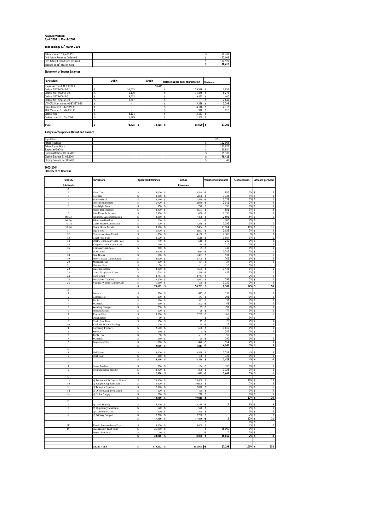### **Kaupule Vaitupu April 2003 to March 2004**

# **Year Endings 31st March 2004**

| Balance as at 1st April 2003           |  |  | 99.338  |
|----------------------------------------|--|--|---------|
| Add Actual Revenue Collected           |  |  | 152.003 |
| Less Actual Expenditure Incurred       |  |  | 172.927 |
| Balance at 31 <sup>st</sup> March 2004 |  |  | 78.415  |

# **Statement of Ledger Balances**

| <b>Particulars</b>               |   | <b>Debit</b> | Credit    | Balance as per bank confirmation | Variance |        |
|----------------------------------|---|--------------|-----------|----------------------------------|----------|--------|
| Surplus Account 31.03.2003       |   |              | 78.415    |                                  |          |        |
| Cash at NBT 960017-02            |   | 56.675       |           | 59.526                           |          | 2.851  |
| Cash at NBT 960017-30            |   | 5,170        |           | 11.445                           |          | 6.275  |
| Cash at NBT 960017-31            |   | 9.423        |           | 9.823                            |          | 400    |
| Cash at NBT 922363-30            |   | 2.647        |           | ٠                                |          | 2.647  |
| VTP CFC Operations: 01-970872-30 |   | ×.           |           | 5.299                            |          | 5.299  |
| Bank Account:01-922969-30        |   | ×.           |           | 4.118                            |          | 4.118  |
| IDRF Vaitupu: 01-514332-30       |   | ×.           |           | 910                              |          | 910    |
| Cash at Fusi                     |   | 3.131        |           | 3.131                            |          | ٠      |
| Cash on Hand 31/03/2004          |   | 1.369        |           | 1.369                            |          | ٠      |
| Total                            | Ś | $78,415$ \$  | 78,415 \$ | 95,620 \$                        |          | 17,206 |

#### **Analysis of Surpluses, Deficit and Balance**

| Population                 |  |  | 1591    |
|----------------------------|--|--|---------|
| <b>Actual Revenue</b>      |  |  | 152.003 |
| <b>Actual Expenditure</b>  |  |  | 172.927 |
| Surpluses/Deficit          |  |  | 20.924  |
| Opening Balance 01.04.2003 |  |  | 99,338  |
| Closing Balance 31.03.2004 |  |  | 78.415  |
| Closing Balance per Head 0 |  |  | 49      |

# **2003-2004 Statement of Revenue**

| Heads &                                   | <b>Particulars</b>                                | <b>Approved Estimates</b>                                                       | Actual                    | <b>Variance to Estimates</b>   | % of revenues | Amount per head                            |
|-------------------------------------------|---------------------------------------------------|---------------------------------------------------------------------------------|---------------------------|--------------------------------|---------------|--------------------------------------------|
| <b>Sub Heads</b>                          |                                                   |                                                                                 | Revenues                  |                                |               |                                            |
| A                                         |                                                   |                                                                                 |                           |                                |               |                                            |
| $\overline{2}$                            | Head Tax                                          | Ś<br>5,000                                                                      | 4,344                     | 656                            | 3%            | s<br>3                                     |
| 3                                         | Licenses                                          | 9,000<br>Ś                                                                      | 5,866<br>Ś                | 3,134<br>$\cdot$ s             | 4%            | \$<br>$\sqrt{4}$                           |
| $\overline{4}$                            | <b>House Rental</b>                               | s<br>5,240                                                                      | 1,468<br>\$.              | 3,773<br>$\mathbf{S}$          | 1%            | s<br>1                                     |
| 5                                         | <b>Investment Interest</b>                        | 5,000<br>s                                                                      | 2,989 - \$<br>s           | 2,011                          | 2%            | $\overline{\mathbf{2}}$<br>ŝ               |
| 6<br>7                                    | Late Night Fees<br>Snack-Bar Incomes              | s<br>550<br>S<br>4,000                                                          | 740<br>\$<br>4,551<br>Ś   | 190<br>\$<br>551<br>s          | 0%<br>3%      | $\mathbf 0$<br>s<br>3<br>\$                |
| $\bf8$                                    | Fale Kaupule Income                               | Ŝ<br>2,990                                                                      | 660                       | 2,330<br>۰\$                   | 0%            | $\overline{0}$<br>s                        |
| 09(a)                                     | Sikunamo Accommodation                            | Ś<br>4,880                                                                      | 7,478                     | 2,598                          | 5%            | 5<br>ŝ                                     |
| 09(b)                                     | Sikunamo Bedding                                  | s<br>$200\,$                                                                    |                           | 200<br>٠Ŝ                      | 0%            | \$                                         |
| 10(a)                                     | <b>Guest House Commission</b>                     | s<br>$200\,$                                                                    | 1,396<br>Ś                | 1,196<br>\$                    | 1%            | $\overline{1}$<br>ŝ                        |
| 10(b)                                     | <b>Guest House Meals</b>                          | 3,500<br>S                                                                      | 17,464<br>s               | 13,964<br>$\hat{\mathbf{x}}$   | 11%           | $\overline{11}$<br>s                       |
| 11                                        | Pigs Sales                                        | s<br>6,000                                                                      | 3,967                     | 2,033<br>ŝ<br>\$               | 3%            | Ś<br>$\sqrt{2}$                            |
| 12<br>13                                  | Communal Area Rental<br>Court Fees-Fine           | s<br>1,800<br>s<br>3,500                                                        | 4,100<br>1,516<br>s       | 2,300<br>$-5$<br>1,984         | 3%<br>1%      | 3<br>\$<br>ŝ<br>1                          |
| 14                                        | Death, Birth, Marriages Fees                      | $\mathbb{S}% _{t}\left( t\right) \equiv\mathbb{S}_{t}\left( t\right)$<br>750    | 510<br>s                  | 240<br>-\$                     | 0%            | $\overline{\mathbf{0}}$<br>\$              |
| 15                                        | Kaupule Office Room Rent                          | 240<br>s                                                                        | 30<br>\$                  | 210<br>-\$                     | $0\%$         | $\bf 0$<br>s                               |
| 16                                        | Chicken Fines-Sales                               | s<br>200                                                                        | 55<br>Ś                   | 145<br>۰\$                     | 0%            | $\overline{0}$<br>s                        |
| 17                                        | Water Sale                                        | Ŝ<br>3,000                                                                      | Ś<br>1,614                | 1,386<br>۰\$                   | 1%            | \$<br>1                                    |
| 18                                        | Fusi Bonus                                        | Ś<br>500                                                                        | 1,431<br>Ś                | 931<br>\$                      | 1%            | $\overline{1}$<br>ŝ                        |
| 19                                        | Project Local Contribution                        | s<br>8,000                                                                      | 8,705<br>Ś                | 705<br>ŝ                       | 6%            | \$<br>5                                    |
| 20                                        | Miscellaneous                                     | s<br>$100\,$                                                                    | 134<br>\$                 | 34<br>ŝ                        | 0%            | $\overline{0}$<br>ŝ                        |
| 21                                        | Harbour Fees                                      | S<br>50                                                                         | Ś<br>Ś                    | 50<br>ŝ                        | 0%            | \$                                         |
| 22<br>23                                  | Falesinu Income<br><b>Island Magistrate Court</b> | $\mathbb S$<br>3,000<br>Ś<br>1,728                                              | 1,555<br>1,296<br>Ś       | 1,445<br>ŝ<br>432<br>-Ŝ        | 1%<br>1%      | \$<br>$\mathbf{1}$<br>$\overline{1}$<br>ŝ  |
| 24                                        | <b>Land Court</b>                                 | s<br>3,744                                                                      | 3,744<br>s.               | l \$                           | 2%            | $\hat{\mathbf{s}}$<br>$\overline{2}$       |
| 25                                        | Pre-School Teacher                                | $\mathbb{S}% _{t}\left( t\right) \equiv\mathbb{S}_{t}\left( t\right)$<br>2,200  | 2,992<br>s                | 792<br>\$                      | 2%            | $\overline{\mathbf{2}}$<br>\$              |
| $26\,$                                    | Vaitupu Worker Annual Call                        | s<br>1,290                                                                      | 160<br>\$                 | 1,130<br>-\$                   | 0%            | $\bf 0$<br>s                               |
|                                           |                                                   | \$<br>76,662                                                                    | 78,763<br>\$              | 2,101<br>\$                    | 52%           | 50<br>\$                                   |
| в                                         |                                                   |                                                                                 |                           |                                |               |                                            |
| $\mathbf{1}$                              | Service                                           | Ś<br>550                                                                        | 417                       | 133                            | 0%            | $\pmb{0}$                                  |
| $\,2\,$                                   | Compressor                                        | s<br>250                                                                        | 147                       | 103                            | 0%            | 0<br>ŝ                                     |
| $\overline{\mathbf{3}}$<br>$\overline{4}$ | Tools                                             | 350<br>s<br>250                                                                 | 381<br>203                | 31<br>48                       | 0%<br>0%      | $\overline{0}$<br>Ŝ<br>$\overline{0}$<br>Ś |
| 5                                         | Materials<br><b>Welding Charges</b>               | S<br>Ś<br>250                                                                   | 59                        | 191                            | 0%            | Ś<br>$\bf 0$                               |
| 6                                         | Properties Hire                                   | s<br>100                                                                        | 26                        | 74                             | 0%            | 0<br>s                                     |
| 7                                         | <b>Tractor Hire</b>                               | s<br>3,000                                                                      | <b>s</b><br>2,232         | 769<br>-\$                     | 1%            | $\hat{\mathbf{s}}$<br>$\overline{1}$       |
| 8                                         | Desalination                                      | $\mathbb{S}% _{t}\left( t\right) \equiv\mathbb{S}_{t}\left( t\right)$<br>$10\,$ | \$                        | 10<br>-Ŝ                       | 0%            | \$                                         |
| $\overline{9}$                            | Chain Saw Fees                                    | 150<br>s                                                                        | $75\,$<br>\$              | 75<br>۰\$                      | 0%            | $\bf{0}$<br>ŝ                              |
| 10                                        | Vechicle Water Cleaning                           | S<br>100                                                                        | 74<br>Ś                   | 26<br>۰\$                      | 0%            | $\overline{0}$<br>ŝ                        |
| $\,1$                                     | Carpentry Products                                | 2,500<br>Ŝ                                                                      | 690<br>\$                 | 1,810<br>ŝ.                    | 0%            | $\bf 0$<br>\$                              |
| $\overline{c}$                            | Service                                           | Ś<br>250                                                                        | 5<br>Ś                    | 245<br>$-5$                    | 0%            | $\bf 0$<br>ŝ                               |
| $\overline{3}$<br>$\overline{4}$          | <b>Tools Hire</b>                                 | Ś<br>50<br>250                                                                  | Ś<br>\$                   | 50<br>-Ŝ<br>190<br>-\$         | 0%<br>0%      | s<br>$\overline{0}$<br>ŝ                   |
| 5                                         | Materials<br>Properties Hire                      | s<br>S<br>1,000                                                                 | 60<br>¢<br>446            | 554<br>ŝ                       | 0%            | $\overline{0}$<br>s                        |
|                                           |                                                   | s<br>9,060                                                                      | 4,815                     | 4,245<br>٠Ŝ                    | 3%            | Ś<br>3                                     |
| E                                         |                                                   |                                                                                 |                           |                                |               |                                            |
| $\mathbf{1}$                              | Fish Sales                                        | Ŝ<br>4,000                                                                      | 5,558                     | 1,558<br>\$                    | 4%            | 3<br>s                                     |
| $\,2\,$                                   | <b>Boat Rent</b>                                  | $\mathbb S$<br>300                                                              | 168<br>S                  | 132<br>-Ŝ                      | 0%            | $\overline{\mathbf{0}}$<br>ŝ               |
|                                           |                                                   | \$<br>4,300                                                                     | 5,726<br>s                | 1,426<br>\$                    | 4%            | 4<br>s                                     |
| F                                         |                                                   |                                                                                 |                           |                                |               |                                            |
| $\,1\,$<br>$\overline{\mathcal{L}}$       | <b>Lease Product</b>                              | Ŝ<br>500                                                                        | 164                       | 336<br>۰\$                     | 0%            | $\bf 0$<br>s                               |
|                                           | Potufakagamua Income                              | Ś<br>2,000<br>\$<br>2,500                                                       | 868<br>1,031              | 1,133<br>-Ŝ<br>1,469<br>-Ŝ     | 1%<br>1%      | ŝ<br>1<br>$\overline{1}$<br>Ś              |
| G                                         |                                                   |                                                                                 |                           |                                |               |                                            |
| 1a                                        | a) Techanical & Capital Grants                    | 28,400<br>Ś                                                                     | 28,400                    |                                | 19%           | 18                                         |
| 1 <sub>b</sub>                            | b) Kaupule Support Grant                          | s<br>10.000                                                                     | 10,000                    | i,<br>\$                       | 7%            | $\overline{6}$<br>ŝ                        |
| 1 <sup>c</sup>                            | c) Telecom Expenses                               | S<br>2,020                                                                      | 2,020<br>s                | \$<br>i,                       | 1%            | $\overline{1}$<br>ŝ                        |
| 1d                                        | d) Office Equipment Maint.                        | s<br>120                                                                        | s<br>120                  | \$<br>÷,                       | 0%            | $\overline{0}$<br>\$                       |
| $1\mathrm{e}$                             | e) Office Supply                                  | $\mathbb S$<br>270                                                              | 270<br>s                  | \$<br>$\overline{\phantom{a}}$ | 0%            | $\overline{\mathbf{0}}$<br>\$              |
| п                                         |                                                   | \$<br>40,810                                                                    | 40,810<br>$\ddot{\bm{s}}$ | s<br>٠                         | 27%           | 26<br>\$                                   |
|                                           | a) Land Subsidy                                   |                                                                                 | Ś                         | $\sqrt{2}$<br>۰\$              | 9%            | 9                                          |
| a<br>b                                    | b) Dispensary Maintain.                           | Ŝ<br>14,120<br>520<br>s                                                         | 14,118<br>520<br>Ś        |                                | 0%            | s<br>0<br>\$                               |
| $\mathbf c$                               | c) Classroom Grant                                | 520<br>s                                                                        | \$<br>520                 | \$                             | 0%            | 0<br>\$                                    |
| ${\bf d}$                                 | d) Primary Support                                | $\mathbb{S}% _{t}\left( t\right) \equiv\mathbb{S}_{t}\left( t\right)$<br>2,700  | 2,700<br>\$               | \$<br>÷                        | 2%            | $\,2\,$<br>ŝ                               |
|                                           |                                                   | s<br>17,860                                                                     | 17,858<br>¢               | $\overline{2}$<br>۰Ŝ           | 12%           | $\overline{11}$<br>\$                      |
|                                           |                                                   |                                                                                 |                           |                                | 0%            | s                                          |
| Ш                                         | Tuvalu Independence Day                           | 3,000<br>S                                                                      | 3,000                     | ŝ                              | 2%            | $\overline{2}$<br>ŝ                        |
| IV                                        | Falekaupule Trust Fund                            | s<br>25,000                                                                     | \$<br>×.                  | 25,000<br>-\$                  | 0%            | $\hat{\mathbf{s}}$<br>٠                    |
|                                           | Project Proposal                                  | $\mathbb{S}% _{t}\left( t\right) \equiv\mathbb{S}_{t}\left( t\right)$<br>$10\,$ | s                         | -Ŝ<br>10                       | 0%            | ŝ                                          |
|                                           |                                                   | \$<br>28,010                                                                    | $3,000 - $$<br>5          | 25,010                         | 2%            | $\overline{2}$<br>-S                       |
|                                           |                                                   |                                                                                 |                           |                                |               |                                            |
|                                           | <b>Grand Total</b>                                | 179,202                                                                         | 152,003                   | 27,199<br>l-s                  | 100%          | 133<br>s                                   |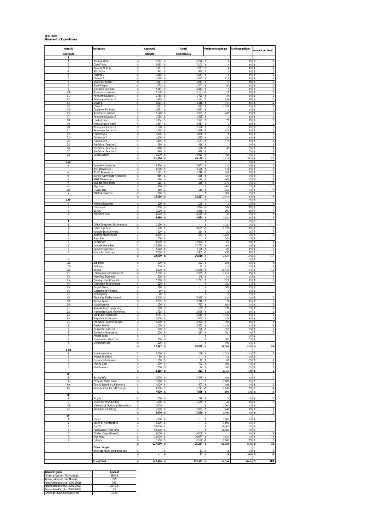#### **2003-2004 Statement of Expenditures**

| Heads &<br><b>Sub Heads</b>    | <b>Particulars</b>                                     | Approved<br>Estimate           | Actual<br><b>Expenditures</b>           | Variance to estimate                          | % of expenditure | Amount per head                                          |
|--------------------------------|--------------------------------------------------------|--------------------------------|-----------------------------------------|-----------------------------------------------|------------------|----------------------------------------------------------|
| ı                              |                                                        |                                |                                         |                                               |                  |                                                          |
| $\mathbf{1}$<br>$\overline{2}$ | Account clerk<br>Clerk/Typist                          | 2,222<br>ŝ<br>2,095<br>s       | 2,220<br>ŝ<br>2,103<br>s                | $\overline{2}$<br>S.<br>8<br>-S               | 1%<br>1%         | s<br>1<br>s                                              |
| 3<br>$\overline{4}$            | Kaupule Orderly<br>Aliki Order                         | 1,917<br>\$<br>\$<br>992       | 1,913<br>ŝ<br>992<br>\$                 | s<br>$\overline{4}$<br>\$<br>$\boldsymbol{0}$ | 1%<br>1%         | Ś<br>s<br>1                                              |
| 5<br>6                         | Cleaner 1<br>Cleaner 2                                 | 1,558<br>s<br>1,558<br>ŝ       | 1,557<br>ŝ<br>1,045<br>ŝ                | $\mathbf{1}$<br>\$<br>s<br>513                | 1%<br>1%         | $\mathbf{1}$<br>s<br>ŝ<br>$\mathbf{1}$                   |
| 7<br>8                         | Snack-Bar Keeper                                       | \$<br>1,917<br>1,755<br>s      | 1,917<br>s.<br>1,847<br>Ŝ               | $\bf{0}$<br>\$<br>$92\,$<br>-Ŝ                | 1%<br>1%         | 1<br>s<br>$\overline{1}$<br>s                            |
| 9                              | Store-Keeper<br>Mechanic Foreman                       | \$<br>2,843                    | 2,843                                   | $\,0\,$                                       | 2%               | $\overline{a}$                                           |
| 10<br>11                       | Assistance Foreman<br>Permanent Labour 1               | 2,158<br>\$<br>\$<br>1,755     | 2,183<br>\$<br>1,721<br>\$              | 25<br>34<br>\$                                | 1%<br>1%         | s<br>$\mathbf{1}$<br>ŝ                                   |
| 12<br>13                       | Permanent Labour 2<br>Driver 1                         | 1,439<br>ŝ<br>ŝ<br>2,033       | 1,191<br>1,616<br>ŝ                     | 248<br>s<br>417<br>\$                         | 1%<br>1%         | Ś<br>1<br>1<br>ŝ                                         |
| 14<br>15                       | Driver 2<br>Carpentry Foreman                          | 1,671<br>s<br>2,631<br>ŝ       | 643<br>ŝ<br>2,631<br>s                  | 1,028<br>\$<br>$\theta$<br>\$                 | $0\%$<br>2%      | $\pmb{0}$<br>ŝ<br>$\sqrt{2}$<br>s                        |
| 16                             | Assistance Foreman                                     | 2,528<br>\$                    | 2,061<br>\$                             | 467<br>\$                                     | 1%               | s<br>1                                                   |
| 17<br>18                       | Permanent Labour 3<br>Leading Hand                     | \$<br>1,558<br>\$<br>1,994     | ŝ<br>1,635<br>1,921<br>Ŝ                | $77\,$<br>-S<br>73<br>s                       | 1%<br>1%         | $\mathbbm{1}$<br>s<br>$\mathbf{1}$<br>$\hat{\mathbf{s}}$ |
| 19<br>20                       | Assist. Leading Hand<br>Permanent Labour 3             | \$<br>1,917<br>1,558<br>s      | 1,917<br>ŝ<br>1,558<br>s                | s<br>$\theta$<br>\$<br>$\overline{0}$         | 1%<br>1%         | $\mathbf{1}$<br>s<br>$\mathbf{1}$<br>s                   |
| 21<br>22                       | Permanent Labour 5<br>Fisherman 1                      | 1,158<br>ŝ<br>1,808<br>\$      | 1,486<br>\$<br>1,806                    | 328<br>-Ŝ<br>$\overline{2}$                   | 1%<br>1%         | 1<br>ŝ<br>1                                              |
| 23<br>24                       | Fisherman 2<br>Fisherman 3                             | 1,606<br>\$<br>Ś<br>1,439      | 1,382<br>s<br>1,551<br>s                | 224<br>s<br>112                               | 1%<br>1%         | $\mathbf{1}$<br>s<br>$\mathbf{1}$<br>s                   |
| 25                             | Pre-School Teacher 1                                   | 480<br>ŝ                       | 480                                     | s                                             | $0\%$            | $\pmb{0}$<br>Ŝ                                           |
| 26<br>27                       | Pre-School Teacher 2<br>Pre-School Teacher 3           | \$<br>480<br>480<br>s          | 520<br>ŝ<br>480<br>s                    | 40<br>-Ŝ<br>-S                                | $0\%$<br>0%      | 0<br>s<br>$\overline{0}$<br>s                            |
| 28                             | Casual Labour                                          | 6,000<br>\$<br>\$<br>51,550    | 5,911<br>\$<br>49,129<br>\$             | 89<br>s<br>2,421<br>\$                        | 3%<br>28%        | $\sqrt{4}$<br>31<br>s                                    |
| $1-02$<br>j.                   | Kaupule Allowances                                     | 8,370<br>ŝ                     | 7,953                                   | s<br>418<br>s                                 | 0%<br>5%         | s<br>$\hat{\mathbf{s}}$<br>5                             |
| ii                             | Aliki Allowances                                       | \$<br>3,690                    | 3,176<br>ŝ                              | 514<br>\$                                     | 2%               | $\overline{2}$<br>s                                      |
| iii<br>iv                      | PHCC Allowances<br>School-Committee Allowance          | 1,172<br>s<br>ŝ<br>986         | 1,340<br>Ŝ<br>559                       | 168<br>-S<br>427                              | 1%<br>$0\%$      | $\overline{1}$<br>s<br>$\overline{0}$                    |
| V<br>vi                        | <b>IDRF Allowances</b><br><b>Budget Allowances</b>     | 586<br>\$<br>525<br>ŝ          | 124<br>\$<br>255<br>\$                  | 462<br>270<br>-S                              | 0%<br>0%         | $\,0\,$<br>s<br>$\overline{\mathbf{0}}$<br>ŝ             |
| vii<br>viii                    | Bye Law<br>Tuvalu Day                                  | 460<br>ŝ<br>\$<br>340          | 110<br>\$                               | S<br>460<br>230<br>\$                         | $0\%$<br>0%      | $\pmb{0}$<br>s                                           |
| Х                              | <b>IDDC Allowances</b>                                 | 300<br>s                       | \$<br>$\sim$                            | $\overline{300}$<br>\$                        | $0\%$            | s<br>$\overline{\phantom{a}}$                            |
| $1-02$                         |                                                        | 16,429<br>\$                   | 13,517<br>s                             | 2,913<br>\$                                   | 8%<br>$0\%$      | 8<br>s                                                   |
| $\mathfrak{p}$<br>3            | Acting Allowances<br>Overtimes                         | 100<br>ŝ<br>\$<br>1,300        | 105<br>s<br>1,894                       | $\overline{5}$<br>-Ŝ<br>594<br>ŝ              | 0%<br>1%         | $\pmb{0}$<br>ŝ<br>$\mathbf{1}$<br>s                      |
| 4<br>5                         | Bonus<br>Provident Fund                                | ŝ<br>1,000<br>4,590<br>s       | 1,996<br>ŝ<br>4,639<br>s                | 996<br>-S<br>49<br>-S                         | 1%<br>3%         | $\mathbf{1}$<br>ŝ<br>3<br>s                              |
|                                |                                                        | 6,990<br>\$                    | 8,634<br>s                              | 1,644<br>-S                                   | 5%               | 5<br>ŝ<br>s                                              |
| ı<br>1                         | Office Equipment Maintenance                           | 1,120<br>s                     |                                         | 1,120<br>\$                                   | 0%<br>0%         | s                                                        |
| $\boldsymbol{2}$<br>3          | Office Supplies<br>Kaupule Entertainment               | 1,500<br>Ś<br>300<br>ŝ         | 3,695<br>264                            | 2,195<br>Ś<br>s<br>36                         | 2%<br>$0\%$      | $\sqrt{2}$<br>s<br>$\pmb{0}$<br>Ŝ                        |
| $\overline{4}$<br>5            | <b>Building Maintenance</b><br><b>Audit Fee</b>        | 4,000<br>s<br>700<br>s         | 371<br>s<br>s<br>٠                      | 3,629<br>-S<br>700<br>-S                      | 0%<br>0%         | $\overline{0}$<br>s<br>s                                 |
| 6                              | Tuvalu Day                                             | 3,000<br>\$                    | 2,934                                   | s<br>66                                       | 2%               | $\sqrt{2}$<br>9                                          |
| 7<br>8                         | Kaupule Lease Rent<br><b>Telecom Expenses</b>          | \$<br>14,830<br>2,020<br>ŝ     | 14,725<br>\$<br>2,106<br>s              | 105<br>\$<br>86<br>-S                         | 9%<br>1%         | s<br>$\overline{1}$<br>s                                 |
| 9                              | Snack-Bar Expenses                                     | 2,000<br>ŝ<br>29,470<br>ŝ      | 2,455<br>ŝ<br>26,550<br>\$              | 455<br>-Ŝ<br>2,920<br>\$                      | 1%<br>15%        | $\hat{\mathbf{s}}$<br>$\overline{2}$<br>$17\,$<br>s      |
| $\mathbf u$<br>10a             | Expenses                                               | 500<br>s                       | 292                                     | s<br>208<br>Š                                 | $0\%$<br>0%      | s<br>$\overline{\phantom{a}}$<br>$\overline{0}$          |
| 10 <sub>b</sub>                | Bedding                                                | 200<br>\$<br>ŝ                 | 85<br>\$<br>15,638<br>\$                | 116<br>-S                                     | 0%<br>9%         | $\,0\,$<br>s<br>ŝ                                        |
| 10c<br>11                      | Meals<br>Falekaupule Entertainment                     | 3,500<br>2,500<br>ŝ            | 1,085                                   | 12,138<br>s<br>1,416                          | 1%               | $10$<br>$\mathbf{1}$                                     |
| 12<br>13                       | <b>Travelling Expenses</b><br>Primary School Expenses  | \$<br>200<br>2,700<br>s        | 145<br>ŝ<br>1,787<br>ŝ                  | 55<br>\$<br>913<br>\$                         | $0\%$<br>1%      | $\,0\,$<br>Ŝ<br>$\mathbf 1$<br>s                         |
| 14<br>15                       | Dispensary Maintenance<br><b>Project Costs</b>         | 520<br>ŝ<br>\$<br>100          | s<br>\$                                 | 520<br>\$<br>100<br>\$                        | 0%<br>0%         | s                                                        |
| 16<br>17                       | Department Warrants<br>Contingency                     | \$<br>10<br>\$<br>10           | i,<br>ŝ<br>Ŝ                            | \$<br>$10\,$<br>$10\,$<br>s                   | 0%<br>0%         | ÷,<br>ŝ<br>s                                             |
| 18                             | <b>Electricity Bill/Equipment</b>                      | ŝ<br>2,500                     | 2,885<br>ŝ                              | 385<br>-S                                     | 2%               | $\overline{2}$<br>s                                      |
| 19<br>20                       | Kainaki Lease<br>Miscellaneous                         | 2,235<br>s<br>100<br>ŝ         | 2,210<br>Ŝ<br>783<br>s                  | 25<br>\$<br>683<br>-Ŝ                         | 1%<br>0%         | $\overline{1}$<br>s<br>$\bf 0$<br>ŝ                      |
| 21<br>22                       | Kaupule Lease Upkeeping<br>Magistrate Court Allowances | 500<br>\$<br>1,728<br>\$       | 169<br>2,059<br>s                       | 331<br>331                                    | 0%<br>1%         | $\pmb{0}$<br>-S<br>$\mathbf{1}$<br>s                     |
| 23<br>24                       | Land Court Allowance<br>Anipule Maintennace            | Ś<br>3,744<br>2,000<br>ŝ       | 2,614<br>1,667                          | 1,130<br>333<br>s                             | 2%<br>1%         | $\overline{2}$<br>$\mathbf{1}$<br>ŝ                      |
| 25<br>$\mathbf{1}$             | Pre-School Teacher Wages<br><b>Tractor Fuel Oil</b>    | 2,200<br>s<br>1,500<br>\$      | 2.992<br>s<br>2,923<br>\$               | 792<br>-S<br>1,423<br>-S                      | 2%<br>2%         | $\overline{\mathbf{c}}$<br>s<br>$\boldsymbol{2}$<br>s    |
|                                | quipment Fuel/Oil                                      | 700                            | 798                                     | 98                                            | 0%               |                                                          |
| 3<br>$\overline{4}$            | General Maintenance<br>Private Tools                   | \$<br>200<br>s                 | \$<br>397<br>s                          | 197<br>-\$<br>\$                              | 0%<br>0%         | $\overline{0}$<br>s<br>s                                 |
| 5<br>6                         | <b>Desalination Plants Fuel</b><br>Generator Fuel      | 200<br>s<br>ŝ<br>100           | \$<br>$\cdot$<br><sub>\$</sub>          | $200\,$<br>s<br>\$<br>100                     | $0\%$<br>$0\%$   | s<br>$\sim$<br>s                                         |
| $II-04$                        |                                                        | 27,947<br>s                    | 38,528<br>s                             | 10,581<br>-Ś                                  | 22%              | 24<br>-S                                                 |
| 1                              | Furniture making                                       | 2,500<br>\$                    | 126<br>\$                               | 2,374<br>\$                                   | $0\%$            | $\pmb{0}$<br>s                                           |
| $\overline{\phantom{a}}$<br>3  | Private Tool Hire<br>General Maintenance               | \$<br>50<br>100<br>\$          | $\hat{\mathbf{x}}$<br>12<br>ŝ           | s<br>50<br>s<br>$88\,$                        | $0\%$<br>0%      | s<br>$\overline{0}$<br>s                                 |
| 4<br>5                         | <b>Fishing Gear</b><br>Maintenance                     | 400<br>\$<br>200<br>s          | ŝ<br>702<br>94<br>ŝ                     | -Ŝ<br>302<br>107<br><sub>S</sub>              | 0%<br>$0\%$      | $\bf 0$<br>s<br>$\pmb{0}$<br>ŝ                           |
| Ш                              |                                                        | 3,250<br>\$                    | 933<br>\$                               | \$<br>2,317                                   | $1\%$            | $\overline{1}$<br>\$                                     |
| $\mathbf{1}$                   | Strong Safe                                            | 2,000<br>ŝ                     | 1,349<br>\$                             | 651<br>\$                                     | 1%               | $\overline{1}$<br>ŝ                                      |
| $\sqrt{4}$<br>6a               | Portable Water Pump<br>Tool & Spare Parts Carpentry    | \$<br>1,000<br>s<br>$1,000$ \$ | ŝ<br>807                                | 1,000<br>\$<br>\$<br>193                      | 0%<br>$0\%$      | \$<br>s<br>$\mathbf{1}$                                  |
| 6b                             | Tools & Spare Parts Mechanic                           | s<br>3,000<br>7,000<br>\$      | 5,743<br>ŝ<br>7,899<br>\$               | 2,743<br>-S<br>899<br>-Ś                      | 3%<br>$5\%$      | $\overline{4}$<br>s.<br>5<br>s                           |
| Ш<br>8                         |                                                        | 300<br>s                       | 289<br>s                                | $11\,$<br>-S                                  | 0%               | $\overline{0}$<br>s                                      |
| 9                              | Bicycle<br>Snack-Bar New Building                      | 1,200<br>\$                    | 1,169                                   | 31<br>s                                       | 1%               | \$<br>$\mathbf{1}$                                       |
| 10<br>71                       | Mechanical Workshop Renovation<br>Sikunamo Furnishing  | \$<br>2,000<br>1,500<br>s      | $1,051$ \$                              | 2,000<br>s<br>449                             | $0\%$<br>1%      | s<br>$\sim$<br>$\overline{1}$<br>s                       |
| IV                             |                                                        | \$<br>5,000                    | 2,510<br>Ś                              | 2,490<br>\$                                   | $1\%$            | $\overline{2}$<br>s                                      |
| $\mathbf{1}$<br>$\overline{2}$ | Cistern<br>Sea-Wall Maintenance                        | 1,000<br>\$<br>5,000<br>ŝ      | \$<br>s.<br>×,                          | 1,000<br>\$<br>5,000<br>\$                    | 0%<br>0%         | s<br>s<br>$\overline{a}$                                 |
| 3                              | Dot TV                                                 | \$<br>50,000                   | <sub>\$</sub><br>$\sim$                 | \$<br>50,000                                  | $0\%$            | s<br>$\cdot$                                             |
| 4<br>5                         | Falekaupule Trust Fund<br>Chicken Craps (Phase 2)      | $50,000$ \$<br>ŝ<br>5,000<br>s | $\overline{\phantom{a}}$<br>5,000<br>ŝ. | \$<br>50,000<br><sub>S</sub>                  | 0%<br>3%         | s<br>$\overline{\phantom{a}}$<br>3<br>s                  |
| 6<br>$\overline{7}$            | Pigs Pens<br>Falesinu                                  | 15,000<br>Ŝ<br>\$<br>1,500     | 16,637<br>\$<br>\$<br>3,580             | -Ŝ<br>1,637<br>2,080<br>-\$                   | 10%<br>2%        | $10$<br>Ŝ<br>s<br>$\overline{2}$                         |
|                                | Other charges                                          | \$<br>127,500                  | 25,217<br>\$                            | 102,283<br>s                                  | $15%$ \$         | 16                                                       |
|                                | Shortage found during the year                         | \$                             | \$<br>$11$ -S                           | 11                                            | 0%               | $\pmb{0}$<br>s                                           |
|                                |                                                        | \$<br>$\cdot$                  | $11 - $$<br>\$                          | $11\,$                                        | $0\%$            | $\pmb{0}$<br>s                                           |
|                                | <b>Grand Total</b>                                     | $147,636$ \$<br>\$             | $172,927 - $$                           | 25,291                                        | $100\%$ \$       | 109                                                      |

| <b>Advances given</b>           | Amount   |
|---------------------------------|----------|
| Advance Account- Tilaima Logo   | 386.45   |
| Advance Account - Silu Malaga   | 275      |
| Accumulated surplus (2000-2001) | 593      |
| Accumulated Surplus (2001-2002) | 10049 44 |
| Accumulated Surplus (2002-2003) | 28       |
| Shortage found during the year  | 10.61    |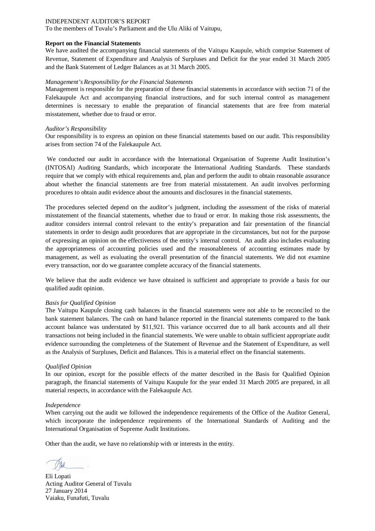To the members of Tuvalu's Parliament and the Ulu Aliki of Vaitupu,

#### **Report on the Financial Statements**

We have audited the accompanying financial statements of the Vaitupu Kaupule, which comprise Statement of Revenue, Statement of Expenditure and Analysis of Surpluses and Deficit for the year ended 31 March 2005 and the Bank Statement of Ledger Balances as at 31 March 2005.

#### *Management's Responsibility for the Financial Statements*

Management is responsible for the preparation of these financial statements in accordance with section 71 of the Falekaupule Act and accompanying financial instructions, and for such internal control as management determines is necessary to enable the preparation of financial statements that are free from material misstatement, whether due to fraud or error.

#### *Auditor's Responsibility*

Our responsibility is to express an opinion on these financial statements based on our audit. This responsibility arises from section 74 of the Falekaupule Act.

We conducted our audit in accordance with the International Organisation of Supreme Audit Institution's (INTOSAI) Auditing Standards, which incorporate the International Auditing Standards. These standards require that we comply with ethical requirements and, plan and perform the audit to obtain reasonable assurance about whether the financial statements are free from material misstatement. An audit involves performing procedures to obtain audit evidence about the amounts and disclosures in the financial statements.

The procedures selected depend on the auditor's judgment, including the assessment of the risks of material misstatement of the financial statements, whether due to fraud or error. In making those risk assessments, the auditor considers internal control relevant to the entity's preparation and fair presentation of the financial statements in order to design audit procedures that are appropriate in the circumstances, but not for the purpose of expressing an opinion on the effectiveness of the entity's internal control. An audit also includes evaluating the appropriateness of accounting policies used and the reasonableness of accounting estimates made by management, as well as evaluating the overall presentation of the financial statements. We did not examine every transaction, nor do we guarantee complete accuracy of the financial statements.

We believe that the audit evidence we have obtained is sufficient and appropriate to provide a basis for our qualified audit opinion.

#### *Basis for Qualified Opinion*

The Vaitupu Kaupule closing cash balances in the financial statements were not able to be reconciled to the bank statement balances. The cash on hand balance reported in the financial statements compared to the bank account balance was understated by \$11,921. This variance occurred due to all bank accounts and all their transactions not being included in the financial statements. We were unable to obtain sufficient appropriate audit evidence surrounding the completeness of the Statement of Revenue and the Statement of Expenditure, as well as the Analysis of Surpluses, Deficit and Balances. This is a material effect on the financial statements.

#### *Qualified Opinion*

In our opinion, except for the possible effects of the matter described in the Basis for Qualified Opinion paragraph, the financial statements of Vaitupu Kaupule for the year ended 31 March 2005 are prepared, in all material respects, in accordance with the Falekaupule Act.

#### *Independence*

When carrying out the audit we followed the independence requirements of the Office of the Auditor General, which incorporate the independence requirements of the International Standards of Auditing and the International Organisation of Supreme Audit Institutions.

Eli Lopati Acting Auditor General of Tuvalu 27 January 2014 Vaiaku, Funafuti, Tuvalu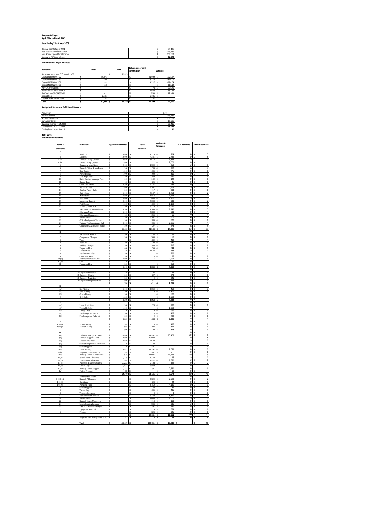#### **Kaupule Vaitupu April 2004 to March 2005**

**Year Ending 31st March 2005**

| Balance as at 1st April 2004<br>Add Actual Revenue Collected<br>Less Actual Expenditure Incurred |              |        |                                     |        |          | 78.415<br>143.151<br>158.687 |
|--------------------------------------------------------------------------------------------------|--------------|--------|-------------------------------------|--------|----------|------------------------------|
| Balance at 31st March 2005                                                                       |              |        |                                     |        |          | 62.879                       |
| <b>Statement of Ledger Balances</b>                                                              |              |        |                                     |        |          |                              |
| <b>Partculars</b>                                                                                | <b>Debit</b> | Credit | Balance as per bank<br>confirmation |        | Variance |                              |
| Surplus Account as at 31" March 2005                                                             |              | 62.879 |                                     |        |          |                              |
| Cash at NBT 960017-02                                                                            | 59.971       |        |                                     | 61.699 |          | 1.728.27                     |
|                                                                                                  |              |        |                                     |        |          |                              |

| Total                     | 62.879 | 62.879 | 74.799 | 11.920   |
|---------------------------|--------|--------|--------|----------|
| Cash on Hand 31/03/2004   | 71     |        |        |          |
| Cash at Fusi              | 2.101  |        | 2.101  |          |
| IDRF Valtupu 01-514332-30 |        |        | 865    | 864.86   |
| Bank Account 01-922969-30 |        |        | 1.652  | 1.651.65 |
| VTP CFC Operations        |        |        | 776    | 775.70   |
| Cash at NBT 922363-30     | 112    |        |        | 112.12   |
| Cash at NBT 960017-31     | 121    |        | 4.31)  | 4.196.04 |
| Cash at NBT 960017-30     | 502    |        | 3.318  | 2.816.01 |
| Cash at NBT 960017-02     | 59.971 |        | 61.699 | 1.728.27 |

#### **Analysis of Surpluses, Deficit and Balance**

| Population                 |  |  | 1591    |
|----------------------------|--|--|---------|
| Actual Revenue             |  |  | 143.151 |
| Actual Expenditure         |  |  | 158,687 |
| Surpluses/Deficit          |  |  | 15,536  |
| Opening Balance 01.04.2004 |  |  | 78.415  |
| Closing Balance 31.03.2005 |  |  | 62,879  |
| Closing Balance per Head 0 |  |  | 40      |

#### **2004-2005 Statement of Revenue**

| Heads &                               | Particulars                                          | <b>Approved Estimates</b> | Actual                                                              | Variance to<br><b>Estimates</b>    | % of revenues        | Amount per head                                     |
|---------------------------------------|------------------------------------------------------|---------------------------|---------------------------------------------------------------------|------------------------------------|----------------------|-----------------------------------------------------|
| Sub Hea                               |                                                      |                           | Revenu                                                              |                                    |                      |                                                     |
| A                                     | Head Tax                                             | 5.000                     | 4,276                                                               | 724                                | 3%                   |                                                     |
| $\mathbf{R}$                          | Licenses                                             | 10,000<br>s               | 7,241<br>ś                                                          | ż.<br>2.759                        | 5%                   | s<br>5                                              |
| 4(a)                                  | <b>Kaupule Living Quaters</b>                        | 2.970<br>s                | 1,618<br>-S                                                         | ۰Ŝ.<br>1.353                       | 1%                   | s<br>1                                              |
| 4(b)                                  | Private Living Quaters                               | s<br>2.000                | l s                                                                 | 2.000<br>۰Ŝ                        | 0%                   |                                                     |
| 5                                     | Communal Area Rents                                  | s<br>$2,150$ \$           | 1,900                                                               | -s<br>250                          | 1%                   |                                                     |
| 6<br>7                                | Kaupule Office Room Rents                            | s<br>240<br>s<br>1.210    | 30<br>s<br>435<br>ś                                                 | -Š<br>210<br>ż.<br>775             | n%<br>0%             | $\theta$<br>s<br>s<br>$\circ$                       |
| 8                                     | <b>Boat Rental</b><br>Picnic Bureau                  | s<br>1.000                | 190<br>s                                                            | ۰Ŝ<br>810                          | 0%                   | $\theta$<br>-5                                      |
| 9                                     | Late Night Fees                                      | s<br>700                  | s<br>480                                                            | ۰Ŝ<br>220                          | 0%                   | O                                                   |
| 10                                    | Birth, Deaths, Marriage Fees                         | 500<br>s                  | 642<br>l S                                                          | 142<br>s                           | 0%                   | O<br>s                                              |
| 11                                    | Habour Fees                                          | 50<br>s                   | 25<br>s                                                             | 25<br>۰\$                          | 0%                   | \$<br>o                                             |
| 12                                    | Court Fees / Fines                                   | 2,500<br>\$               | 2,736                                                               | \$<br>236                          | 2%                   | 2                                                   |
| 13<br>$\overline{14}$                 | Pig Fines / Fees                                     | \$<br>5,000<br>s<br>300   | 2,705<br>s<br>$\overline{17}$<br>ś                                  | ۰s<br>2,296<br>-5                  | 2%<br>n%             | t<br>$\overline{\mathbf{z}}$<br>t<br>$\overline{0}$ |
| 15                                    | Chicken Fines / Sales<br>Café Sales                  | s<br>5.000                | 3.247<br>s                                                          | 283<br>-S<br>1.753                 | 2%                   | $\hat{\mathbf{x}}$<br>$\overline{2}$                |
| 16                                    | Water Sales                                          | s<br>3,000                | 1.553<br>s                                                          | $\cdot$ s<br>1,448                 | 1%                   | 1<br>-S                                             |
| 17                                    | Sinu Sales                                           | s<br>$3,000$ $\sqrt{5}$   | $848 - S$                                                           | 2.152                              | 1%                   | s<br>1                                              |
| 18                                    | Investment Interest                                  | s<br>3,000 S              | 3,338 \$                                                            | 338                                | 2%                   | $\overline{\mathbf{z}}$<br>-S                       |
| 19                                    | Fusi Bonus                                           | 1,500<br>\$               | 400<br>s                                                            | ۰\$<br>1,100                       | 0%                   | 0<br>s                                              |
| 20                                    | Falekaupule Income                                   | \$<br>$1,500$ \$          | 3,320 \$                                                            | 1,820                              | 2%                   | ς<br>2                                              |
| $^{21}$                               | Sikunamoa Accommodation<br>Sikunamo Meals            | 5,500<br>s<br>₹<br>5.000  | 4,360<br>s<br>R<br>5.888                                            | 1,140<br>-5<br>र<br>888            | 3%<br>4%             | 3<br>ţ<br>t<br>$\overline{4}$                       |
|                                       | Sikunamo Commission                                  | ₹<br>$600 - 5$            | 655 \$                                                              | 55                                 | 0%                   | t<br>$\overline{0}$                                 |
| 22                                    | Miscellaneous                                        | s<br>200 S                | 5.702                                                               | 5.502<br>s                         | 4%                   | s<br>4                                              |
| 23                                    | Office Equipment Charges                             | l s<br>500 S              | $180 - S$                                                           | 320                                | 0%                   | $\overline{0}$<br>s                                 |
| $\frac{1}{24}$                        | Vaitupu Workers Annual Call                          | 3,000<br>s                | 135<br>s                                                            | 2,865<br>-S                        | 0%                   | 0<br>-S                                             |
| $\overline{25}$                       | Contingency & Disaster Relief                        | 500<br>s                  | 27<br>s                                                             | 473<br>$\sim$                      | n%                   | $\overline{0}$<br>\$.                               |
|                                       |                                                      | s<br>65.420 S             | 51,946                                                              | ß<br>13,501                        | 36%                  | 33<br>×                                             |
| $\mathbf{R}$<br>ı                     | Mechanical Service                                   | 500<br>s                  | 533                                                                 | 33<br>-5                           | n%<br>0%             | <b>t</b><br>$\theta$<br>s                           |
|                                       | Compressor Charges                                   | s<br>300                  | 360S                                                                | 60                                 | 0%                   | $\overline{0}$                                      |
|                                       | Tools                                                | s                         | 489                                                                 | 489<br>s                           | 0%                   | 0                                                   |
| $\overline{4}$                        | Materials                                            | 500<br>\$                 | 254                                                                 | .s<br>247                          | 0%                   | o                                                   |
| τ                                     | <b>Welding Charges</b>                               | 300<br>ś                  | 84                                                                  | 216<br>-s                          | 0%                   | O<br>र                                              |
| 6                                     | Properties Hire<br><b>Tractor Hire</b>               | 400<br>s<br>250<br>₹      | 56<br>1.038                                                         | 344<br>-s<br>s<br>788              | 0%<br>1%             | 0<br>Ŧ<br>×                                         |
| $\overline{\mathbf{x}}$               | <b>Desalination Sale</b>                             | ŝ<br>$200 -$              |                                                                     | .s<br>$\overline{200}$             | n%                   | ×                                                   |
| q                                     | Chain Saw Fees                                       | $100-5$<br>s              | $13\overline{5}$                                                    | 87                                 | 0%                   | $\overline{0}$<br>s                                 |
| 10(a)                                 | Motorcycles Water Clean                              | $3,000$ S<br>s            | 6                                                                   | 2.994<br>l-s                       | 0%                   | $\overline{0}$<br>-5                                |
| 10(b)                                 | Cars                                                 | 10<br>s                   |                                                                     | 3<br>10                            | 0%                   |                                                     |
| $\overline{\mathbf{H}}$               | Properties Hire                                      | 250<br>ś                  |                                                                     | 3<br>250                           | 0%                   |                                                     |
| $\overline{c}$                        |                                                      | \$<br>5,010               | $2,832 - S$                                                         | 3,560                              | 7%<br>n%             | ×                                                   |
|                                       | Carpentry Products                                   | 150<br>¢                  | 124                                                                 | 26<br>-Ś                           | n%                   | $\overline{0}$<br>×                                 |
|                                       | <b>Carpentry Service</b>                             | s<br>300                  | 27                                                                  | 273<br>ż.                          | 0%                   | $\overline{0}$                                      |
|                                       | <b>Carpentry Materials</b>                           | 250<br>s                  | $\overline{9}$                                                      | 241<br>l-s                         | 0%                   | $\overline{0}$<br>-5                                |
|                                       | 4 Carpentry Properties Hire                          | 1.000<br>s                | 251<br>s                                                            | 749<br>$\cdot$ s                   | 0%                   | $\overline{0}$                                      |
|                                       |                                                      | 1,700<br>\$               | 411                                                                 | 1,289<br>ś                         | 0%                   | $\overline{0}$                                      |
| D                                     |                                                      | 5.000                     | 4.550                                                               | 450                                | 0%<br>3%             | ¢<br>3                                              |
| l(a)<br>l(b)                          | Net Fishing<br>Reef Fishing                          | 1.500<br>s                | 18<br>¢                                                             | ż.<br>1.482                        | 0%                   | s<br>$\theta$                                       |
| 10                                    | Ocean Fishing                                        | 500<br>s                  |                                                                     | 500<br>۰\$                         | 0%                   |                                                     |
| $\overline{2}$                        | <b>Grab Sales</b>                                    | s<br>1.500                |                                                                     | 1.500<br>۰Ŝ.                       | 0%                   | s                                                   |
|                                       |                                                      | 8,500 \$<br>s             | 4,568                                                               | 3,932<br>ŀs                        | 3%                   | s                                                   |
| E                                     |                                                      |                           |                                                                     |                                    | 0%                   | -S                                                  |
| l(a)                                  | Lease Fruit Sales                                    | 300<br>\$                 | $_{20}$                                                             | 280<br>۰\$                         | 0%                   | o                                                   |
| l(b)<br>10                            | egetable Sales<br><b>Toddy Trees</b>                 | ś<br>1,000<br>ś<br>750    | 370<br>s                                                            | 1,000<br>-S<br>.s<br>380           | OX<br>0%             | $\overline{0}$<br>s                                 |
| 2(a)                                  | Potufakagamua Niu etc                                | s<br>500                  | 73<br>¢                                                             | .s<br>427                          | n%                   | $\overline{0}$<br>s                                 |
| 2 <sup>°</sup>                        | Potufakagamua Fafie ect                              | s<br>800                  | s<br>$\overline{2}$                                                 | ۰Ŝ<br>799                          | 0%                   | s<br>$\theta$                                       |
|                                       |                                                      | s<br>3,350                | s<br>464                                                            | -Ś<br>2.886                        | 0%                   | $\circ$<br>s                                        |
| F                                     |                                                      |                           |                                                                     |                                    | 0%                   | s                                                   |
| F:01(a)                               | Fafine Sewing                                        | 500<br>s                  | 14<br>s                                                             | 486<br>ŀS                          | 0%                   | o<br>-S                                             |
| F:01(b)                               | Fafine Cooking                                       | 500<br>s<br>\$<br>1,000   | 108<br>\$<br>\$<br>$122 - S$                                        | 392<br>۰s<br>878                   | 0%                   | 0<br>\$<br>ॱऽ                                       |
| G                                     |                                                      |                           |                                                                     |                                    | 0%<br>n%             | 0<br>s                                              |
| I(a)                                  | Technical & Capital Grant                            | s<br>28,400 \$            | 14.992                                                              | -5<br>13,408                       | 10%                  | 3<br>৽                                              |
| I(b)                                  | Kaupule Support Grant                                | ×<br>10.000               | 10,000<br>ś                                                         | s                                  | 7%                   | s<br>6                                              |
| I(c)                                  | <b>Telecom Expenses</b>                              | s<br>2.020                | 2.020<br>s                                                          | s                                  | 1%                   | s<br>1                                              |
| I(d)                                  | Office Equipment Maintenance                         | s<br>120                  | s<br>120                                                            | s<br>ł,                            | 0%                   | o<br>\$                                             |
| I(e)                                  | <b>Office Supplies</b>                               | 270<br>s                  | 270<br>s                                                            | s                                  | 0%                   | 0<br>ś                                              |
| $\Pi(a)$<br>$\Pi(b)$                  | Lease Subsidy                                        | ₹<br>14 475<br>s<br>520   | 11.797<br>520<br>l c                                                | x.<br>2,678<br>3                   | R <sup>2</sup><br>n% | t<br>7<br>$\overline{0}$<br>s.                      |
| H(c)                                  | Dispensary Maintenance<br>Primary School Maintenance | <sub>S</sub><br>520       | 14.995<br>s                                                         | 14.475<br>s                        | 10%                  | $\overline{9}$<br>s                                 |
| III(a)                                | <b>Island Court Allowance</b>                        | s<br>1.728                | 1.774                                                               | s<br>46                            | 1%                   | 1<br>-5                                             |
| $\overline{\mathrm{III}}(\mathrm{b})$ | Lands Court Allowance                                | 3,744<br>s                | $1,872 - $$                                                         | 1,872                              | 1%                   | ī<br>-S                                             |
| III(c)                                | Preschool Teachers Wages                             | 2,200<br>s                | 2.724                                                               | 524<br>s                           | 2%                   | $\overline{\mathbf{z}}$<br>s                        |
| III(d)                                | Tuvalu Day                                           | 3,000<br>S                | 3,000                                                               | 5                                  | 2%                   | 2<br>3                                              |
| III(e)                                | Primary School Support                               | 2,700<br>s                | 50                                                                  | 2,650<br>۰s                        | 0%<br>n%             | O<br>ţ<br>×                                         |
| IV                                    | Project Proposal                                     | 10<br>s<br>69,707         | 64,135 - \$<br>¢                                                    | 10<br>5,572                        | 45%                  | 40<br>$\epsilon$                                    |
|                                       | <b>Expenditure Heads</b>                             |                           |                                                                     | s                                  | 0%                   | s                                                   |
| $1-02-01$ (i)                         | Kaupule Allowance                                    | 5                         | 2.520S<br>-S                                                        | 2,520                              | 2%                   | $\overline{2}$<br>-9                                |
| $I - 02 - 03$                         | Overtimes                                            | s                         | s<br>24                                                             | <sub>S</sub><br>$\frac{24}{4,150}$ | 0%                   | 0                                                   |
| $1 - 02 - 05$                         | Provident Fund                                       |                           | 4,150<br>s                                                          | s                                  | 3%                   | 3<br>٦                                              |
|                                       | Office Supplies                                      |                           | 39<br>$\overline{\mathbf{s}}$                                       | 39<br>$\overline{\mathbf{s}}$      | 0%                   | O<br>3                                              |
| $\overline{6}$<br>ø                   | Tuvalu Day                                           |                           | $435$ \ $\overline{\phantom{1}}$ \$<br>ß<br>$\overline{\mathbf{3}}$ | 435<br>s<br>ż                      | 0%<br>$0\%$          | O<br>0                                              |
| $\overline{17}$                       | <b>Telecom Expenses</b><br>Departmental Warra        |                           | 8.340                                                               | 3<br>8.340                         | 6%                   | 5                                                   |
| 21                                    | Miscellaneous                                        | s                         | l s<br>$1000$ s                                                     | 1.000                              | 1%                   | ı<br>×                                              |
|                                       | Kaupule Lease Upkeeping                              | s                         | l s<br>118 <sup>5</sup>                                             | 118                                | 0%                   | $\overline{0}$<br>s                                 |
| $^{24}$                               | Lands Court Allowance                                | 5                         | 936 S<br>s                                                          | 936                                | 1%                   | ī<br>s                                              |
| 26<br>7                               | reschool Teachers Wages                              |                           | 192<br>s                                                            | ॱ<br>192                           | 0%                   | $\overline{0}$                                      |
| $\overline{6}$                        | Equipment Fuel Oil<br>5k                             | Ś                         | 3<br>579<br>326<br>s                                                | 579<br>ॱ<br>ॱ<br>326               | 0%<br>n%             | O<br>$\overline{0}$                                 |
|                                       |                                                      | \$                        | s<br>18,661                                                         | 3<br>18.661                        | 12 <sup>0</sup>      | $\overline{12}$<br>र                                |
|                                       | Surplus found during the month                       |                           | 13<br>ś                                                             | 3<br>13                            | 0%                   | $\overline{0}$<br>×                                 |
|                                       |                                                      |                           |                                                                     |                                    |                      |                                                     |
|                                       | Total                                                | 154.687                   | 43,151                                                              | 12.945                             | T.                   | <b>gn</b>                                           |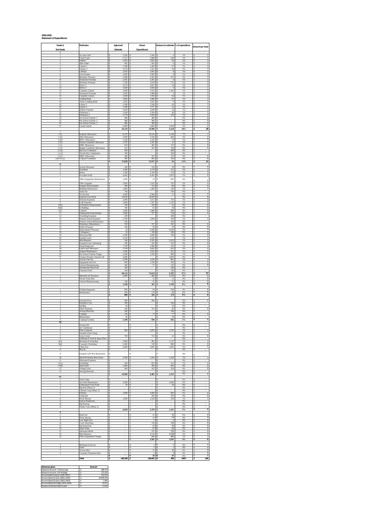#### **2004-2005 Statement of Expenditures**

| Heads &                                        | Particulars                                                                 | Approved                                 | Actual                                                   | Variance to estimate % of expenditure                     |                 | Amount per head                                                    |
|------------------------------------------------|-----------------------------------------------------------------------------|------------------------------------------|----------------------------------------------------------|-----------------------------------------------------------|-----------------|--------------------------------------------------------------------|
| Sub Heads<br>т<br>ı                            | Account clerk                                                               | Estimate<br>2.266<br>s                   | Expenditures<br>2.266<br>s                               | s<br>$\theta$                                             | 1%              | s<br>1                                                             |
| $\overline{2}$<br>3                            | Clerk/Typist<br>Orderly                                                     | s<br>2.137<br>1,955<br>\$                | s<br>1.898<br>1,925<br>\$                                | s<br>239<br>30<br>s                                       | 1%<br>1%        | s<br>$\mathbf{1}$<br>s<br>1                                        |
| $\ddot{a}$<br>5                                | Aliki Order<br>Cleaner 1                                                    | 992<br>s<br>1,589<br>\$                  | 992<br>s<br>s<br>1,492                                   | $\overline{0}$<br>s<br>s<br>97                            | 1%<br>1%        | 1<br>s<br>\$<br>ī                                                  |
| 6<br>7<br>$\overline{\mathbf{s}}$              | Cleaner <sub>2</sub><br><b>Taferian</b><br>Store-Keeper                     | 1,374<br>\$<br>1,955<br>1,995<br>\$      | 1,321<br>s<br>ś<br>1,955<br>1,995<br>s                   | s<br>53<br>$\overline{0}$<br>Ś<br>S<br>$\overline{0}$     | 1%<br>1%<br>1%  | ī<br>s<br>š<br>1                                                   |
| $\bf{Q}$<br>10                                 | Mechanic Foreman<br>Assistance Foreman                                      | Ś<br>2.900<br>s<br>2.201                 | s<br>2.425<br>2.201<br>s                                 | s<br>475<br>$\theta$<br>s                                 | 2%<br>1%        | s<br>s                                                             |
| 11<br>12                                       | Mechanic Foreman<br>Driver 1                                                | 1.790<br>s<br>2,073<br>\$                | 1.039<br>s<br>2,057<br>s                                 | 751<br>s<br>16<br>s                                       | 1%<br>1%        | s<br>\$                                                            |
| 13<br>14<br>15                                 | Driver <sub>2</sub><br>Carpentry Labour<br>Assistance Foreman               | 1,658<br>\$<br>2,684<br>\$<br>1,995<br>ś | 1,658<br>s<br>1,522<br>s<br>1,998                        | $\,$ 0<br>s<br>1,162<br>S<br>Ś<br>$\overline{\mathbf{3}}$ | 1%<br>1%<br>1%  | \$<br>\$<br>\$                                                     |
| 16<br>17                                       | Carpentry Labour<br>Leading Hand                                            | s<br>1,658<br>s<br>1.983                 | 1,594<br>s<br>1.896<br>ś                                 | s<br>64<br>87<br>s                                        | 1%<br>1%        | \$<br>1<br>Ś                                                       |
| 18<br>19                                       | Assist. Leading Hand<br>Labour 1                                            | s<br>1.955<br>s<br>1.589                 | s<br>1.955<br>s<br>1.546                                 | s<br>$\theta$<br>s<br>43                                  | 1%<br>1%        | s<br>s<br>1                                                        |
| 20<br>$^{21}$<br>22                            | abour 2<br><b>Fishery Foreman</b>                                           | 1,589<br>s<br>1,844<br>s<br>\$           | 1,577<br>s<br>1,830<br>s<br>1,594<br>s                   | 12<br>s<br>14<br>s<br>44<br>s                             | 1%<br>1%<br>1%  | 1<br>s<br>1<br>\$<br>\$<br>ī                                       |
| 23<br>24                                       | Fisherman 1<br>Fisherman 2<br>Pre-School Teacher 1                          | 1,638<br>1,374<br>ś<br>480<br>Ś          | s<br>1,050<br>480<br>s                                   | s<br>324<br>s                                             | 1%<br>0%        | \$<br>1<br>š<br>O                                                  |
| 25<br>26                                       | Pre-School Teacher 2<br>Pre-School Teacher 3                                | s<br>480<br>s<br>480                     | ś<br>480<br>s<br>480                                     | s<br>s<br>×.                                              | 0%<br>0%        | t<br>$\overline{\phantom{a}}$<br>$\overline{0}$<br>s               |
| 27                                             | Casual Labour                                                               | s<br>5.600<br>s<br>50,234                | s<br>2.682<br>s<br>43,906                                | s<br>2.918<br>s<br>6,328                                  | 2%<br>28%       | s<br>$\overline{2}$<br>28<br>s                                     |
| $\mathbf{I}$<br>l(i)<br>$\frac{1}{2}$ (ii)     | Kaupule Allowances<br>Aliki Allowances                                      | 8,370<br>s<br>3,690<br>\$                | 10,510<br>s<br>2,740<br>s                                | 2,140<br>۰S<br>950<br>s                                   | 7%<br>2%        | \$<br>7<br>$\overline{\mathbf{c}}$<br>š                            |
| $1$ (iii)<br>$1$ (iv)                          | PHCC Allowances<br>ichool-Committee Allowano                                | ś<br>1,296<br>1,370<br>\$                | 1,223<br>1,391<br>s                                      | 73<br>21<br>S                                             | 1%<br>1%        | ī<br>ś<br>š<br>T                                                   |
| 1(v)<br>1 (vi)                                 | <b>IDRF</b> Allowances<br><b>Budget Committee Allowances</b>                | s<br>834<br>s<br>525                     | s<br>462<br>425<br>s                                     | s<br>372<br>s<br>100                                      | 0%<br>0%        | s<br>$\circ$<br>s<br>$\circ$                                       |
| 1(vii)<br>$1$ (viii)                           | <b>Bye Law Committee</b><br>Tuvalu Day Commission                           | s<br>460<br>\$<br>340                    | s<br>s                                                   | s<br>460<br>s<br>340                                      | 0%<br>0%        | s<br>\$                                                            |
| $1$ (ix)<br>$I - 02 - 01(x)$                   | <b>IDDC</b> Allowances<br>Cultural Committee                                | 360<br>\$<br>385<br>\$<br>17,630<br>\$   | 225<br>s<br>695<br>s<br>Ś<br>17,671                      | 135<br>s<br>310<br>.s<br>41<br>Ś                          | 0%<br>0%<br>11% | $\overline{\mathbf{0}}$<br>\$<br>O<br>\$<br>11<br>\$               |
| п                                              | Acting Allowance                                                            | 200                                      | 150                                                      | 50                                                        | 0%              | 0                                                                  |
| 3<br>$\overline{4}$                            | Overtimes<br>Bonus                                                          | s<br>1.300<br>s<br>1.500                 | s<br>1.179<br>s<br>1.330                                 | s<br>121<br>s<br>170                                      | 1%<br>1%        | s<br>$\mathbf{1}$<br>s<br>1                                        |
| 5<br>$\mathbf{I}$                              | Provident Fund<br>Office Equipment Maintenance                              | 4,492<br>s<br>Ś<br>1,000                 | 8,362<br>s<br>\$<br>13                                   | 3,870<br>S<br>s<br>987                                    | 5%<br>0%        | 5<br>\$                                                            |
| 2<br>3                                         | Office Supplies<br>Kaupule Entertainment                                    | 3,000<br>\$<br>300<br>Ś                  | 3,325<br>s<br>214                                        | 325<br>ś<br>86<br>Ś                                       | 2%<br>0%        | \$<br>$\bf 0$<br>\$<br>2<br>š<br>O                                 |
| $\overline{4}$<br>5                            | <b>Building Maintenance</b><br>Audit Fee                                    | s<br>1,600<br>s<br>700                   | 1,280<br>s<br>Ś                                          | s<br>320<br>700<br>s                                      | 1%<br>0%        | s<br>ī<br>s                                                        |
| 6<br>7                                         | Tuvalu Day<br>Kaupule Lease Rent                                            | s<br>3.000<br>s<br>14.830                | 2.969<br>s<br>14.830                                     | s<br>31<br>Ś                                              | 2%<br>9%        | s<br>$\overline{2}$<br>9<br>s                                      |
| 8<br>9                                         | <b>Telecom Expenses</b><br>Café Expenses                                    | 2,400<br>s<br>3,000<br>s                 | 3,152<br>s<br>1,767<br>\$                                | 752<br>S<br>1,233<br>s                                    | 2%<br>1%        | 2<br>s<br>T<br>\$                                                  |
| 10(a)<br>10(b)<br>10 <sup>c</sup>              | a) Domestic Requirements<br>b) Bedding<br>:) Meals                          | 250<br>\$<br>100<br>5,000<br>\$          | 228<br>63<br>5,986<br>Ś                                  | $\overline{22}$<br>s<br>38<br>986<br>Ś                    | 0%<br>0%<br>4%  | \$<br>0<br>$\overline{\mathbf{0}}$<br>ś<br>\$<br>$\overline{4}$    |
| 11<br>12                                       | Falekaupule Entertainment<br><b>Travelling Expenses</b>                     | s<br>1.000<br>s<br>200                   | s<br>237<br>s                                            | s<br>764<br>200<br>s                                      | 0%<br>0%        | Ś<br>$\,0\,$<br>s                                                  |
| 13<br>$^{14}$                                  | Primary School Expenses<br>Primary School Maintenance                       | 2.700<br>s<br>\$<br>520                  | 2.000<br>s<br>s                                          | 700<br>s<br>520<br>S                                      | 1%<br>0%        | s<br>1<br>\$                                                       |
| 15<br>16                                       | Dispensary Maintenance<br>Project Proposal                                  | 520<br>s<br>100<br>\$                    | 357<br>\$<br>50<br>s                                     | 163<br>s<br>s<br>50                                       | 0%<br>0%        | o<br>s<br>O<br>\$                                                  |
| 17<br>18<br>19                                 | Departmental Warrants<br>Contingency<br><b>Electricity Bill</b>             | s<br>10<br>10<br>s<br>500<br>s           | 8,340<br>198<br>Ś<br>2.690<br>Ś                          | 8,330<br>š<br>188<br>Ś<br>190<br>Ś                        | 5%<br>0%<br>2%  | š<br>5<br>O<br>ś<br>š                                              |
| 20<br>21                                       | Kainaki Lease<br>Miscellaneous                                              | s<br>2.210<br>s<br>100                   | s<br>2.210<br>2.325<br>s                                 | s<br>s<br>2.225                                           | 1%<br>1%        | $\frac{2}{1}$<br>s<br>s<br>1                                       |
| 22<br>23                                       | Kaupule Lease Upkeeping<br>Island Magistrate                                | s<br>200<br>1,728<br>\$                  | 435<br>s<br>1,960<br>s                                   | 235<br>Ś<br>۰S<br>232                                     | 0%<br>1%        | $\overline{\phantom{a}}$<br>s<br>1<br>\$                           |
| $^{24}$<br>$\overline{25}$                     | Land Court Allowance<br>Anipule Maintennace                                 | 3,744<br>\$<br>1,000<br>\$               | 2,832<br>s<br>1,921<br>s                                 | 912<br>s<br>921<br>.s                                     | 2%<br>1%        | \$<br>2<br>\$<br>1<br>š<br>ī                                       |
| 26<br>27<br>I.                                 | Pre-School Teacher Wages<br>Vaitupu Workers Annual Call<br>Tractor Fuel Oil | 2,200<br>ś<br>s<br>3,000<br>s<br>2,500   | 1,320<br>s<br>1,639<br>Ś                                 | 880<br>Ś<br>3,000<br>S<br>s<br>861                        | 1%<br>0%<br>1%  | ŝ<br>s<br>1                                                        |
| $\overline{2}$<br>3                            | Equipment Fuel Oil<br>General Maintenancing                                 | s<br>800<br>s<br>200                     | 1.199<br>s<br>57<br>s                                    | ś<br>399<br>s<br>143                                      | 1%<br>0%        | s<br>1<br>$\overline{\mathbf{0}}$<br>s                             |
| $\ddot{4}$<br>5                                | <b>Desalination Plant Fuel</b><br>Generator Fuel                            | 100<br>s<br>100<br>s                     | \$<br>\$<br>٠                                            | 100<br>s<br>100<br>s                                      | 0%<br>0%        | s<br>\$                                                            |
| $\mathbf{I}$<br>$\overline{\phantom{a}}$       | Materials for Furniture                                                     | 68,114<br>\$<br>ś<br>2,000               | 74,619<br>s<br>464<br>12<br>s                            | 6,505<br>ŝ<br>Ś<br>1,536<br>š<br>12                       | 47%<br>0%<br>0% | \$<br>47<br>0<br>Ś<br>s                                            |
| 3                                              | Private Tools Hire<br>General Maintenancing                                 | \$<br>s<br>100<br>\$<br>2,100            | ś<br>$25 -$<br>501<br>Ś                                  | s<br>75<br>1,599<br>\$                                    | 0%<br>$0\%$     | O<br>s<br>$\overline{\phantom{a}}$<br>$\overline{\mathbf{0}}$<br>s |
| 1                                              | <b>Fishing Equipment</b>                                                    | 600<br>s                                 | 94                                                       | 506<br>s                                                  | 0%              | $\overline{\mathbf{0}}$<br>s                                       |
|                                                | Maintenance                                                                 | 200<br>s<br>800<br>\$                    | 132<br>\$<br>226<br>s                                    | 68<br>s<br>574<br>s                                       | 0%<br>$0\%$     | $\overline{\mathbf{0}}$<br>s<br>\$<br>O                            |
| Ï                                              | Fencing Wires                                                               | 600                                      | 600                                                      |                                                           | 0%              | s<br>0<br>ś                                                        |
| $\overline{2}$<br>$\overline{\mathbf{3}}$<br>4 | Fertilizers Cost<br>Seeding<br>Other Expenses                               | 100<br>\$<br>Ś<br>50<br>s<br>250         | Ś<br>s<br>÷.<br>165<br>s                                 | 100<br>S<br>Ś<br>50<br>s<br>85                            | 0%<br>0%<br>0%  | s<br>s<br>$\bf{0}$                                                 |
| $\mathbf{1}$                                   | Sewing Materials<br>Cooking                                                 | 300<br>s<br>\$<br>150                    | s<br>73<br>s                                             | 300<br>s<br>77<br>s                                       | 0%<br>0%        | s<br>o<br>\$                                                       |
| 3<br>4                                         | Maintenance<br><b>Cooking Facilitie</b>                                     | 50<br>\$<br>1,500                        | s<br>838                                                 | 50<br>s<br>662<br>S                                       | 0%<br>1%        | \$<br>\$                                                           |
| Ш<br>$\mathcal{P}$                             | Strong Safi                                                                 | s                                        | s                                                        | s                                                         | 0%<br>O%        | s                                                                  |
| 3<br>$\ddot{4}$                                | Air Conditioner<br>Desk Computer<br>Portable Water Pump                     | s<br>800<br>s                            | 2.055<br>s<br>s                                          | 1.255<br>s<br>s                                           | 1%<br>0%        | s<br>s                                                             |
| 5<br>6                                         | Grass Cutter<br>Ordering of Tools & Spare Parts                             | 700<br>s<br>s                            | 722<br>s<br>s                                            | $\overline{22}$<br>S<br>s                                 | 0%<br>0%        | o<br>s<br>\$                                                       |
| 6(a)<br>6(b)                                   | Mechanical Workshop<br>Carpentry Workshop                                   | 2,000<br>\$<br>s<br>1,000                | s<br>883<br>s<br>120                                     | 1,117<br>s<br>s<br>880                                    | 1%<br>0%        | \$<br>ī<br>\$<br>0                                                 |
| $\bf8$                                         | <b>Chain Saw</b><br>Bicycle                                                 | 2,000<br>s<br>s                          | 3,091<br>s<br>s                                          | 1,091<br>.s<br>s                                          | 2%<br>0%        | š<br>2<br>\$                                                       |
| 9<br>10                                        | Kaupule Café New Renovation<br>Mech/Workshop Renovation                     | \$<br>×,<br>2,500<br>s                   | s<br>×,<br>1,242<br>s                                    | s<br>×<br>1,258<br>s                                      | 0%<br>1%        | \$<br>1                                                            |
| 11<br>11(a)                                    | Sikunamo Expenses<br>Furnishing                                             | s<br>500<br>s                            | s<br>815<br>s                                            | s<br>315<br>-S                                            | 0%<br>1%        | s<br>\$<br>T                                                       |
| 11(b)<br>12                                    | Renovation<br><b>Fishing Gears</b>                                          | 1,000<br>\$<br>Ś<br>400                  | 395<br>s<br>Ś<br>162                                     | 605<br>S<br>Ś<br>238                                      | 0%<br>0%        | \$<br>O<br>s<br>O                                                  |
| 13<br>IV                                       | <b>Sewing Materials</b>                                                     | \$<br>\$<br>10,900                       | \$<br>9,485 S                                            | S<br>1.415                                                | 0%<br>6%        | š<br>s<br>6                                                        |
| $\mathbf{1}$                                   | <b>Water Sales</b><br>Sea Wall Maintenance                                  | s<br>2,900<br>s                          | \$                                                       | s<br>2,900<br>s                                           | 0%<br>0%        | s<br>\$                                                            |
| 3<br>4                                         | Falekaupule Trust Fund<br>Pig Pens (Phase 3)                                | $10\,$<br>s<br>\$                        | \$<br>s                                                  | 10<br>s<br>s                                              | 0%<br>0%        | s<br>\$                                                            |
| 5<br>6<br>$\overline{7}$                       | Chicken Coup (Phase 3)<br>Falesinu                                          | Ś<br>s<br>3,000<br>s                     | s<br>$3,685 - S$<br>265<br>ś                             | Ś<br>685<br>ś<br>265                                      | 0%<br>2%<br>0%  | \$<br>\$<br>$\overline{\mathbf{z}}$<br>ś<br>$\,0\,$                |
| 8<br>$\mathbf{Q}$                              | Vaimoana<br>Picnic Bureau<br>Kaleye Production                              | 1.000<br>s<br>s                          | s<br>1,528<br>s                                          | -S<br>528<br>s                                            | 1%<br>0%        | s<br>$\mathbf{1}$<br>s                                             |
| 10<br>11                                       | Pig Rearing<br>Tennis Court (Phase 1)                                       | s<br>s                                   | s<br>\$                                                  | s<br>s                                                    | 0%<br>0%        | s<br>\$                                                            |
| A                                              |                                                                             | 6,910<br>\$                              | 5,479<br>\$                                              | 1,431<br>s                                                | 3%              | \$<br>3                                                            |
| 7<br>$\bf8$<br>$\mathbf{Q}$                    | Head Tax<br>Picnic Bureau                                                   | Ś<br>s<br>s                              | 25<br>s<br>s<br>$10 - 5$<br>s<br>$\overline{\mathbf{3}}$ | 75<br>ś<br>10<br>۰s<br>3                                  | 0%<br>0%<br>0%  | o<br>s<br>š<br>$\overline{\phantom{a}}$<br>s<br>$\circ$            |
| 12<br>13                                       | Late Night Fees<br>Court Fees/Fines<br>Pig Fines/Fees                       | s<br>s                                   | s<br>720<br>s<br>20                                      | ۰Ŝ<br>720<br>20<br>۰s                                     | 0%<br>0%        | s<br>$\circ$<br>$\overline{\mathbf{0}}$<br>\$                      |
| 16<br>21                                       | Water Sales<br>Sikunamo Meals                                               | s<br>s                                   | $63 - S$<br>s<br>$103 - 5$<br>\$                         | 63<br>103                                                 | 0%<br>0%        | $\overline{\mathbf{0}}$<br>s<br>τ<br>O                             |
| $_{22}$<br>$\overline{23}$                     | Miscellaneous<br>Office Equipment Charges                                   | \$<br>Ś                                  | 4,158<br>s<br>$840 - 5$<br>Ś                             | 4,158<br>-S<br>840                                        | 3%<br>1%        | 3<br>\$<br>ŝ<br>ī                                                  |
| $\mathbf{1}$                                   | Mechanical Service                                                          | \$<br>s                                  | \$<br>5,941 - S<br>s<br>$\overline{2}$                   | 5,941<br>۰Ŝ.<br>$\overline{2}$                            | 4%<br>0%        | \$<br>$\overline{4}$<br>$\circ$<br>s                               |
| 3<br>7                                         | Tools<br><b>Tractor Hire</b>                                                | s<br>s                                   | $\mathbf{1}$<br>s<br>$15 - 5$<br>s                       | ī<br>۰Ŝ<br>15                                             | 0%<br>0%        | $\circ$<br>s<br>$\overline{0}$<br>\$                               |
| $\ddot{\phantom{a}}$                           | Carpentry Properties Hire                                                   | s<br>s                                   | $\overline{\mathbf{3}}$<br>s<br>s<br>$21$ $S$            | 3<br>۰S<br>21                                             | 0%<br>0%        | $\overline{\mathbf{0}}$<br>s<br>ς<br>o                             |
|                                                | Total                                                                       | s<br>158,188 \$                          | 158,687 - \$                                             | 499                                                       | 100%            | ī۶<br>100                                                          |

| Advances given                   | Amount    |
|----------------------------------|-----------|
| Advance Account-Tilaima Logo     | 386.45    |
| Advance Account -Silu Malaga     | 275.00    |
| Accumulated surplus (2000-2001)  | 593.00    |
| Accumulated Surplus (2001-2002)  | 10.049.44 |
| Accumulated Surplus (2002-2003)  | 2.80      |
| Accumulated Shortage (2003-2004) | 10.61     |
| Surplus found during this year   | 13.00     |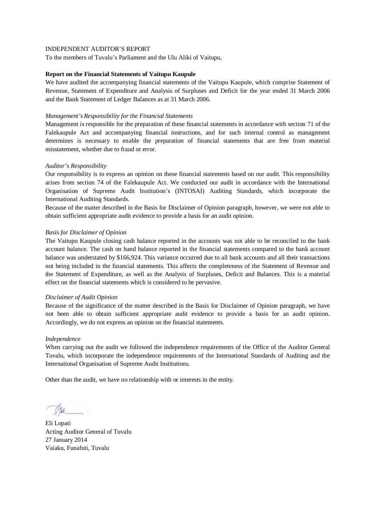To the members of Tuvalu's Parliament and the Ulu Aliki of Vaitupu,

# **Report on the Financial Statements of Vaitupu Kaupule**

We have audited the accompanying financial statements of the Vaitupu Kaupule, which comprise Statement of Revenue, Statement of Expenditure and Analysis of Surpluses and Deficit for the year ended 31 March 2006 and the Bank Statement of Ledger Balances as at 31 March 2006.

# *Management's Responsibility for the Financial Statements*

Management is responsible for the preparation of these financial statements in accordance with section 71 of the Falekaupule Act and accompanying financial instructions, and for such internal control as management determines is necessary to enable the preparation of financial statements that are free from material misstatement, whether due to fraud or error.

# *Auditor's Responsibility*

Our responsibility is to express an opinion on these financial statements based on our audit. This responsibility arises from section 74 of the Falekaupule Act. We conducted our audit in accordance with the International Organisation of Supreme Audit Institution's (INTOSAI) Auditing Standards, which incorporate the International Auditing Standards.

Because of the matter described in the Basis for Disclaimer of Opinion paragraph, however, we were not able to obtain sufficient appropriate audit evidence to provide a basis for an audit opinion.

# *Basis for Disclaimer of Opinion*

The Vaitupu Kaupule closing cash balance reported in the accounts was not able to be reconciled to the bank account balance. The cash on hand balance reported in the financial statements compared to the bank account balance was understated by \$166,924. This variance occurred due to all bank accounts and all their transactions not being included in the financial statements. This affects the completeness of the Statement of Revenue and the Statement of Expenditure, as well as the Analysis of Surpluses, Deficit and Balances. This is a material effect on the financial statements which is considered to be pervasive.

#### *Disclaimer of Audit Opinion*

Because of the significance of the matter described in the Basis for Disclaimer of Opinion paragraph, we have not been able to obtain sufficient appropriate audit evidence to provide a basis for an audit opinion. Accordingly, we do not express an opinion on the financial statements.

#### *Independence*

When carrying out the audit we followed the independence requirements of the Office of the Auditor General Tuvalu, which incorporate the independence requirements of the International Standards of Auditing and the International Organisation of Supreme Audit Institutions.

Eli Lopati Acting Auditor General of Tuvalu 27 January 2014 Vaiaku, Funafuti, Tuvalu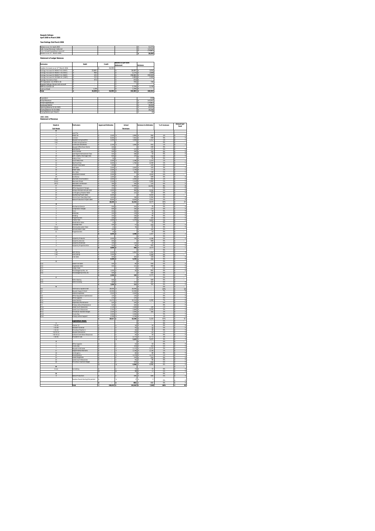#### **Kaupule Vaitupu April 2005 to March 2006**

| Year Endings 31st March 2006        |         |
|-------------------------------------|---------|
| Balance as at 1st April 2005        | 62.879  |
| Add: Actual Revenue Collected       | 143,042 |
| Less: Actual Expenditure incurred   | 179.861 |
| Balance as at 31" March 2006        | 26.059  |
| <b>Statement of Ledger Balances</b> |         |

| <b>Partrulars</b>                                  | Debit     |  |           | Balance as per bank |            |          |         |
|----------------------------------------------------|-----------|--|-----------|---------------------|------------|----------|---------|
|                                                    |           |  | Credit    | statement           |            | Variance |         |
| Surplus Accounts as at 31 <sup>st</sup> March 2006 |           |  | 26.059    |                     |            |          |         |
| Savinas Account 01-960017-02 (NBT)                 | 23,681    |  |           |                     | 26.697     |          | 3.016   |
| Savinas Account 01-960017-30 (NBT)                 | 466       |  |           |                     | 3.274      |          | 2.808   |
| Savines Account 01-960017-31 (NBT)                 | 121       |  |           |                     | 156,661    |          | 156.540 |
| Savings Account 01-922969-30 (NBT)                 | 112       |  |           |                     | 1.693      |          | 1.581   |
| Savings Account at Fusi                            | 473       |  |           |                     | 473        |          |         |
| CFC Operation: 01-970872-30                        |           |  |           |                     | 740        |          | 740     |
| Kaupule Valtupu House rent account                 | $\sim$    |  |           |                     |            |          |         |
| IDRF:01-514332-30                                  | ٠         |  |           |                     | 2.239      |          | 2.239   |
| Cosh on Hand                                       | 1.206     |  |           |                     | 1,206      |          |         |
| Total                                              | 26.059 \$ |  | 26.059 \$ |                     | 192.983 \$ |          | 166.924 |
|                                                    |           |  |           |                     |            |          |         |
|                                                    |           |  |           |                     |            |          |         |
| Population                                         |           |  |           |                     |            |          | 1591    |

| <b>Artual Revenue</b><br>Actual Expenditure<br>Surpluses/Deflicit<br>Opening Balance 01.04.2005 |                            |  |  |         |
|-------------------------------------------------------------------------------------------------|----------------------------|--|--|---------|
|                                                                                                 |                            |  |  | 143.042 |
|                                                                                                 |                            |  |  | 179.861 |
|                                                                                                 |                            |  |  | 36.819  |
|                                                                                                 |                            |  |  | 62.879  |
|                                                                                                 | Closing Balance 31.03.2006 |  |  | 26.059  |
| Closno Balance per Head 0                                                                       |                            |  |  | 16      |
|                                                                                                 |                            |  |  |         |

**2005-2006 Statement of Revenue**

| Heads &                                                                       | articulars                                                     | <b>Approved Estimates</b>      | Actual                                | <b>Variance to Estimates</b>         | % of revenues              | Amount per<br>head            |
|-------------------------------------------------------------------------------|----------------------------------------------------------------|--------------------------------|---------------------------------------|--------------------------------------|----------------------------|-------------------------------|
| Sub Heads                                                                     |                                                                |                                | Revenues                              |                                      |                            |                               |
| А                                                                             |                                                                |                                |                                       |                                      |                            |                               |
| Ŧ                                                                             | and Tax                                                        |                                |                                       |                                      |                            |                               |
| $\overline{\mathbf{2}}$                                                       | lead Tax                                                       | 3,500<br>s                     | s<br>3,964                            | 464<br>١s                            | 3%                         | s<br>2                        |
| 4(2)                                                                          | icences<br>Kaupule Living Quarters                             | 8,000<br>$3,240$ \$            | l,<br>$7,561$ -S<br>1,928 -S          | 439<br>1,312                         | 5%<br>1%                   | \$<br>$\frac{5}{1}$<br>٦s     |
| 4(2)                                                                          | <b>Yivate Living Quarters</b>                                  |                                |                                       | ţ                                    | O%                         | ţ                             |
| τ                                                                             | .<br>Communal Area Rents<br>Kaupule Office Room Rents          | 2150<br>¢                      | $1.695 - 5$<br>$\ddot{\phantom{1}}$   | 455                                  | 1%                         | ₹<br>٠                        |
| 6                                                                             |                                                                | $240$ s                        |                                       | l-s<br>240                           | O%                         | τ                             |
| 7                                                                             | Boat Rental                                                    | 750<br>k                       | 575.5<br>र                            | 175                                  | $\frac{1}{2}$              | τ<br>$\overline{\phantom{a}}$ |
| 8<br>ō                                                                        | Picnic Bureau<br>ate Night Entertainment Fees                  | 500<br>550<br>s                | $\frac{350}{508}$ $\frac{5}{5}$<br>Ιs | 150                                  | O%                         | s<br>O<br>ā                   |
| 10                                                                            | Birth, Deaths, Marriages Foes                                  | र<br>600 <sup>S</sup>          | $370 - 5$                             | 230                                  | O%                         | 3<br>¢                        |
| 11                                                                            | <b>Iabour Fees</b>                                             | 50<br>s                        | -5                                    | 50<br>۰s                             | O%                         | \$                            |
| 12                                                                            | <b>Court Fees/Fines</b>                                        | 2500<br>ś                      | 3<br>1.186                            | 1.314<br>.s                          | 19                         | \$<br>ī                       |
| 13                                                                            | Pig Finas/Fees                                                 | 4,000 S<br>ŝ                   | $1,760 - $$                           | 2,240                                | $\overline{1}\overline{3}$ | f<br>3                        |
| 14<br>15                                                                      | hiden Fines/Sales<br>anto Calgo                                | 200<br>3.500                   | 2643<br>$\ddot{\phantom{1}}$          | s<br>200<br>143                      | O%                         | s<br>₹                        |
| $\frac{1}{16}$                                                                | Vator Sales                                                    | $2,500$ $\frac{1}{5}$          | $1,729$ 5                             |                                      | $\frac{1}{12}$             | ţ<br>î                        |
| $\overline{17}$                                                               | Sinu Sales                                                     | 1,000<br>¢                     | 864<br>×                              | Ī۳<br>1%                             | 1%                         | τ<br>٦                        |
| 18                                                                            | nvestment Interest                                             | 3.500                          | $\epsilon$                            | l.s<br>3.500                         | O%                         | s                             |
| $\overline{19}$                                                               | usi Bonus                                                      | 1,000 S                        | 491.5                                 | 509                                  | m                          | ś<br>d                        |
| 20 (a)<br>20 (b)                                                              | Skunamo Accomodation<br>ikunamo Meals                          | 3.000<br>2,500                 | 3,400 \$<br>s<br>$1,419 - S$<br>s     | 400<br>1,081                         | 2%                         | s<br>$\frac{2}{1}$<br>s       |
| 20 čc                                                                         | aunamo Commission                                              | 300                            | 165.5<br>₹                            | 135                                  | O%                         | 3<br>d                        |
| 21                                                                            | Miscellaneous                                                  | $100$ S<br>s                   | 12,491 \$                             | 12,391                               | 9%                         | e<br>s                        |
| $\frac{22}{23}$                                                               | <b>Office Equipment Charges</b>                                | $\frac{250}{3,000}$ \$         | Zŵ                                    | 9<br>\$                              | O%                         | O<br>s                        |
|                                                                               | Vaitupu Workers Annual CallO                                   |                                | 465 .S                                | 2.535                                | O%                         | ٦s<br>é                       |
| 24                                                                            | ontingency/Disaster Relief                                     | 100 <sub>5</sub><br>4.000<br>× | $223 - 5$                             | 123<br>4.000<br>$\mathbf{A}$         | O%<br>$\overline{m}$       | 3<br>₹                        |
| 25<br>26                                                                      | .<br>Yig Rearing Project Sales<br>Fennis Court Fees (Day time) | 1,600                          | 336                                   | 1.s<br>1,264                         | O%                         | d<br>τ                        |
| $\overline{27}$                                                               | Kaleve Production Project Sales                                | 8.050<br>₹                     | 3<br>$6.628 - 5$                      | 1,422                                | 5%                         | τ<br>4                        |
|                                                                               |                                                                | s<br>60,680                    | l s<br>52,010 - 5                     | 8,670                                | 36%                        | s<br>33                       |
| B                                                                             |                                                                |                                |                                       |                                      |                            |                               |
| T                                                                             | Mechanical Service                                             | 500                            | 525                                   | $\overline{\mathbf{z}}$<br>Ť٤<br>170 | O%                         | 3<br>$\overline{a}$<br>ō<br>3 |
| 2<br>ś                                                                        | Compressor Charges<br>Tools                                    | s<br>500<br>400                | 330 - \$<br>s<br>450                  | 50<br>š                              | O%<br>$\overline{m}$       | 3                             |
| Ŧ                                                                             | Materials                                                      | $250$ \$                       | 278 \$                                | $\overline{\mathbf{z}}$              | O%                         | å<br>3                        |
| 5                                                                             | Nolding                                                        | 250 S                          | $156 - 5$                             | 95                                   | O%                         | \$<br>C                       |
| Á                                                                             | Properties Hire<br>Tractor Hire                                | ton                            | 200 <sup>1</sup>                      | 100                                  | $\overline{m}$             | i<br>₹                        |
|                                                                               |                                                                | 3,000<br>10<br>¢               | $\frac{1}{1,379}$<br>¢                | 1,622<br>š<br>k<br>$\overline{10}$   | $\frac{1}{12}$<br>0%       | ţ<br>τ                        |
| 8<br>$\overline{9}$                                                           | <b>Desalination Sales</b><br>Chainsaw Foos                     | ×                              | $57 - 5$<br><b>R</b>                  | 443                                  | O%                         | s                             |
| 10 (a)                                                                        | Motorcycles water O                                            | 500<br>15                      | 76                                    | 61<br>s                              | m                          | é<br>3                        |
| 10 (b)                                                                        | Athicle Water Clean                                            | 300<br>¢                       | ×                                     | -S<br>300                            | O%                         | s                             |
| 11                                                                            | Properties Hire                                                | 10                             |                                       | 10<br>۰s                             | O%                         | τ                             |
|                                                                               |                                                                | 5,835<br>٠                     | 3,448 .5<br>l's                       | 2,387                                | 21                         | Ţ<br>2                        |
| c                                                                             |                                                                |                                | 704 - 5                               | s<br>2,296                           | O%<br>O%                   | \$<br>C                       |
| 1<br>$\overline{\mathbf{z}}$                                                  | larpantry Products<br>Carpantry Services                       | 3,000<br>400 <sub>5</sub>      |                                       | 400<br>k                             | 0%                         | \$<br>٦s                      |
| 3                                                                             | arpantry Materials                                             | 100                            | 124                                   | 24                                   | O%                         | ō<br>3                        |
| 4                                                                             | Carpontry Proporties Hire                                      | ¢<br>500                       | ×<br>98                               | an <sub>2</sub><br>x.                | m                          | ₹<br>$\frac{1}{1}$            |
|                                                                               |                                                                | 4,000 S<br>\$                  | 926.5                                 | 3,074                                | 1%<br>m                    | s                             |
| D<br>1(a)                                                                     | Net Fishing                                                    | 4.500                          | $\ddot{\mathbf{z}}$                   | ₹<br>1.362                           | 4%                         | 3<br>s<br>4                   |
| 1(4)                                                                          | 'nq                                                            | 1,500                          | 5,862 \$                              | 1,500                                | O%                         |                               |
| $\overline{2}$                                                                | Crab Sales                                                     | 500<br>٠                       | $383 - 5$<br>ī٤                       | 118                                  | O%                         | ٦<br>3                        |
|                                                                               |                                                                | 6,500<br>s                     | 6,245.5<br>s                          | 255                                  | 4%                         | 7<br>\$                       |
| Έ                                                                             |                                                                |                                |                                       | ٦                                    | $\overline{m}$             | ş                             |
| 1(a)                                                                          | Lease Fruit sales                                              | $500$ $S$                      | $60 - 5$                              | $rac{1}{440}$                        | O%                         | d                             |
| $1$ (b)                                                                       | egetables Sales                                                | 500                            | 101<br>$\frac{1}{2}$                  | 400<br>$\overline{\mathbf{R}}$       | O%<br>$\overline{m}$       | O<br>s<br>₹<br>'n             |
| 1 (c)<br>2 (a)                                                                | Toddy Trees<br>Potufakagamua Niu, etc                          | 1,000                          | 59.5                                  | 941                                  | $\frac{1}{0}$              | ţ<br>ī                        |
| 2 (b)                                                                         | <sup>a</sup> otufakagamua Fafie, etc                           | 500<br>¢                       | ٠                                     | sm                                   | m                          | τ                             |
|                                                                               |                                                                | 2.500<br>€                     | s<br>228 S                            | 2.272                                | O%                         | $\overline{c}$<br>s           |
|                                                                               |                                                                | 500                            |                                       | 500<br>x.                            | m<br>0%                    | ś<br>τ                        |
| 1(a)<br>1(b)                                                                  | Fafine Sewing<br>afine Cooking                                 | 500                            | 213                                   | 287                                  | O%                         | ā<br>s                        |
|                                                                               |                                                                | 1,000                          | 213.5                                 | 787                                  | ØX                         | τ<br>C                        |
| G                                                                             |                                                                |                                |                                       | \$                                   | O%                         | $\sf s$                       |
| $\frac{1}{2}$                                                                 | echnical & Capital Grant                                       | 28,400<br>10,000               | 28,400                                | \$                                   | 20%                        | 18<br>s                       |
| I (b)                                                                         | Kaupule Support Grant                                          |                                | $10,000$ \$<br>l s<br>3               |                                      |                            | ٦s<br>$\frac{6}{1}$<br>3      |
| ID                                                                            | elecom Expenses<br>Office Equip<br>nent m<br>nance             | 2,020<br>120<br>k              | $2,020$ \$<br>120 <sup>2</sup><br>¢   |                                      | 1%<br>m                    | ₹                             |
| 1 (d)<br>1 (e)                                                                | <b>Mice Supplies</b>                                           | $\frac{1}{270}$                | 270 <sub>5</sub>                      |                                      | O%                         | $\frac{0}{0}$<br>s            |
| Ξ(a)                                                                          | ease Subsidy                                                   | 14,475 S<br>₹                  | $10.210 - 5$                          | 4,265                                | $\overline{7}$ %           | ţ<br>ć                        |
|                                                                               | Dispensary Maintenance                                         | 520<br>€                       | 520 S<br>$\epsilon$                   |                                      | O%                         | s<br>$\frac{0}{0}$            |
| $\begin{array}{c} 1\ (b)\\ 0\\ 1\ (c)\\ 1\ (b)\\ 1\ (c)\\ 1\ (d) \end{array}$ | rimary School Maintenance<br>sland Court allowances            | 520<br>1.728                   | 520 <sup>1</sup><br>1.584 - \$<br>3   | 144                                  | O%<br>1%                   | 3                             |
|                                                                               | Lands Court Allowances                                         | 3,744<br>s                     | $2,669 - $$<br>s                      | 1,076                                | 2%                         | s<br>2                        |
|                                                                               | he-School Teachers Wages                                       | 2.420                          | 2.585<br>k                            | 165<br>₹                             | $\overline{\phantom{a}}$   | 3                             |
|                                                                               | Tuvalu Day                                                     | 3,000                          | ۱s<br>3,000 \$                        |                                      | $\frac{4\pi}{2\pi}$        | 3                             |
| II (c)                                                                        | <b>Yimary School Support</b>                                   | 2,700<br>¢                     | 2,700 S<br>s<br>$\epsilon$            |                                      | 2%<br>45%                  | \$<br>$\frac{2}{41}$<br>₹     |
|                                                                               | <b>Expenditure Heads:</b>                                      | 69,917                         | 64,598 - 5                            | 5,320                                | $\frac{1}{2}$              | ţ                             |
| T                                                                             |                                                                |                                |                                       | $\overline{\mathbf{S}}$<br>र         | 0%                         | 3                             |
| $1-01-05$                                                                     | Jeaner (2)                                                     | x                              | $16$ <sup>s</sup><br><b>R</b>         | 16                                   | O%                         | s                             |
| 1.01.09                                                                       |                                                                | \$                             | $\overline{a}$                        | 42<br>s                              | O%                         | é<br>τ                        |
| $1-01-24$                                                                     | Pre-school Teacher 1                                           | ×.                             | ŝ<br>$45$ S                           | 45                                   | 0%                         | τ<br>$\overline{0}$           |
| 1-02-01 (i)<br>1-02-01 (d)                                                    | aupule Allowances<br>ultural Committee Allowances              |                                | 730 S<br>s<br>20 <sub>1</sub><br>3    | 730<br>20                            | 1%<br>O%                   | ā<br>τ<br>7<br>d              |
| $1-02-05$                                                                     | Provident Fund                                                 | \$                             | $4,772$ \$<br>s                       | 4,772                                | 3%                         | \$<br>3                       |
|                                                                               |                                                                | \$                             | ŝ<br>$5,625$ \$                       | 5,625                                | 4%                         | \$<br>4                       |
| T                                                                             |                                                                |                                |                                       |                                      | O%                         | ٦s                            |
| $\overline{2}$                                                                | ffice Supplies                                                 | ₹                              | 53<br>ŝ                               | 53<br>ś<br>319                       | O%<br>m                    | d<br>s<br>τ                   |
| $\frac{6}{7}$                                                                 | Tuyalu Day<br>Caupule Land Lease                               | $\overline{\mathbf{s}}$        | $\frac{319}{2,175}$ \$<br>٦,          | 2.175                                | 2%                         | $\frac{1}{2}$<br>٦s           |
| $\overline{17}$                                                               | .<br>Departmental Warrant                                      | ŧ                              | 3<br>2,136                            | 3<br>2,136                           | 14                         | ţ<br>٦                        |
| 18                                                                            | Contingency                                                    | s                              | s<br>$80$ $S$                         | 80                                   | O%                         | s<br>$\mathfrak{a}$           |
| $\overline{21}$                                                               |                                                                |                                | 3,279 S<br>s                          | 3,279                                | $rac{2\%}{0\%}$            | $\frac{2}{6}$                 |
| $\overline{23}$                                                               | sland Magistrate                                               | 3                              | 3<br>$216$ S                          | 216                                  |                            | 3                             |
| 25<br>26                                                                      | Lands Court Allowances<br>Pre-school Teachers Wages            | \$<br>\$                       | 95<br>s<br>634 \$                     | ١s<br>95<br>634                      | O%<br>O%                   | a<br>\$                       |
|                                                                               |                                                                | s                              | <b>S</b><br>8,936 \$                  | 8,986                                | 6%                         | ş<br>$\frac{0}{6}$            |
| Ш                                                                             |                                                                |                                |                                       |                                      |                            | ţ                             |
| 11(a)                                                                         | Furnishing                                                     | ×,                             | 728                                   | $\overline{\mathcal{D}}$             | $\overline{m}$             | ₹<br>'n                       |
|                                                                               |                                                                | s                              | $\overline{72}$ s<br>3                | $\scriptstyle\rm T2$<br>x            | $\frac{1}{0}$<br>0%        | ţ<br>ā<br>τ                   |
| IV<br>$\overline{9}$                                                          | Kaleve Production                                              | ×,                             | 690 \$<br>¢                           | 690                                  | O%                         | s<br>O                        |
|                                                                               | Surplus found during this period                               | ś                              | $\overline{\mathbf{2}}$<br>\$         | s<br>$\overline{2}$                  |                            |                               |
|                                                                               |                                                                |                                |                                       |                                      | O%                         | ś<br>d                        |
|                                                                               |                                                                | \$                             | 6925<br>3                             | 692                                  | O%                         | ā<br>\$                       |
|                                                                               | Total                                                          | 150,432 \$<br>s                | 143,042 -S                            | 7,390                                | 100%                       | s<br>R                        |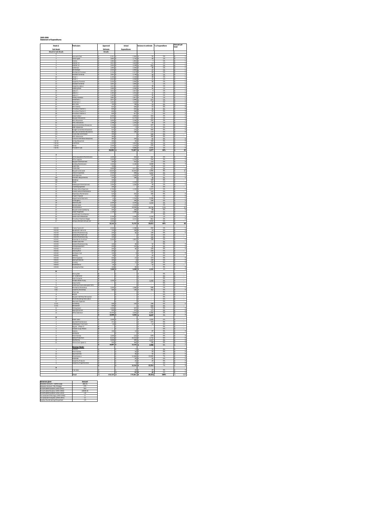#### **2005-2006 Statement of Expenditures**

| Heads &<br><b>Sub Heads</b>                 | Particulars                                                                                      | Approved<br>Estimate               | Actual                            | Variance to estimate          | % of expenditure           | Amount per<br>ead                                                 |
|---------------------------------------------|--------------------------------------------------------------------------------------------------|------------------------------------|-----------------------------------|-------------------------------|----------------------------|-------------------------------------------------------------------|
| <b>Head &amp; Sub Heads</b><br>$\mathbf{I}$ |                                                                                                  | Details                            | Expenditures                      |                               |                            |                                                                   |
| $\overline{2}$                              | counts Clerk<br>Terk/Typist                                                                      | 2,311<br>1,691 \$                  | 2,363<br>1,735 - \$               | $\overline{52}$<br>44         | 1%<br>1%                   | s                                                                 |
|                                             | .<br>Indian'y<br>ner (1)                                                                         | 1,984<br>1,613                     | 1,991<br>1,624 .5                 | $\overline{1}$<br>11          | 1%<br>1%                   | ļ                                                                 |
| s                                           | ner (2)                                                                                          | 1.402<br>1,994 S                   | 1.149<br>2,040                    | 253<br>46                     | 19<br>1%                   | ı.<br>1<br>s                                                      |
| 8                                           | Storekoeper<br>Mechanical Foreman                                                                | $2,035$ \$<br>2234                 | 2,082<br>2,317                    | 47<br>83                      | $\frac{1\%}{1\%}$          | ł<br>\$                                                           |
| 9                                           | ssistant Foreman                                                                                 | 1,691 S<br>2,104                   | 1,739<br>2,142                    | 48<br>38<br>35                | 1%<br>$\frac{1\%}{1\%}$    | ı.<br>s<br>$\frac{1}{1}$                                          |
| Ħ<br>12<br>13                               | kiver 2<br>arpantry Forema<br>isistant Foreman                                                   | 2,023 \$<br>2,035<br>1,691         | 2,058<br>2,093<br>1,693           | $\frac{58}{2}$                | 1%                         | \$<br>Ŧ<br>s                                                      |
| 14<br>15                                    | arpontry Labour<br>ading Hand                                                                    | 1,613                              | 1,651                             | 38<br>46                      | 1%<br>1%<br>1%             | ī<br>s<br>s<br>ı.<br>ß                                            |
| 16<br>17                                    | abour 1<br>abour 2                                                                               | 1,994 \$<br>1,613 \$<br>1383       | $\frac{2,040}{1,617}$ .5<br>1.415 | 4<br>$\overline{32}$          | 1%<br>19                   | $\frac{1}{1}$<br>s                                                |
| 18<br>19                                    | bour 3                                                                                           | 1,383                              | 1,418                             | 35<br>36                      | 1%                         | ٦                                                                 |
| $\overline{\mathbf{z}}$<br>21               | ishery Foreman<br>isherman 1<br>Fisherman 2                                                      | 1.881<br>1,671<br>1,402 \$         | 1,917<br>1,400<br>1,434 - \$      | $\frac{1}{271}$<br>32         | $\frac{1\%}{1\%}$<br>1%    | \$<br>ŧ<br>s                                                      |
| $\frac{22}{23}$                             | liki Clerk<br>iki Orderly                                                                        | 780<br>624                         | 798<br>638 .5                     | 18<br>14                      | O <sup>N</sup><br>O%       | ī<br>0                                                            |
| 24                                          | school Te<br>acher 1<br>re-school Teacher 2                                                      | 600<br>600 <sub>5</sub>            | 635<br>590<br>617.5               | 35<br>10                      | $\sigma$<br>$\frac{1}{00}$ | $\overline{\mathbf{0}}$<br>s                                      |
| 26<br>27<br>19                              | Pre-school Teacher 3<br>asual Labour<br>aupule Allowances                                        | 600 S<br>4,000<br>8,370            | 3,684<br>8,270 \$                 | $\overline{17}$<br>316<br>100 | $\frac{0\%}{2\%}$<br>5%    | $\begin{array}{c}\n0 \\ 0 \\ 2\n\end{array}$<br>\$<br>3<br>5<br>s |
| 1ì<br>1ii                                   | iki Allowances<br>HCC Allowances                                                                 | 3,690 \$<br>1,296 \$               | 3.436<br>1,354                    | 255<br>58                     | 2%<br>1%                   | $\frac{2}{1}$<br>s                                                |
| 1h                                          | <b>hool Committee Allowances</b><br>DRF Allowances                                               | $\frac{1,728}{834}$ \$             | $\frac{1,281}{77}$ 5              | 447<br>757                    | 1%<br>O%                   | Ŧ<br>s<br>0<br>s                                                  |
| 1vi<br>M                                    | <b>Budget Committee Allowances</b><br>.<br>Bye Law Committee Allowances<br>Tuvalu Day Commission | 525<br>$\frac{460}{340}$ \$        | 125<br>190 S                      | 400<br>270                    | O%<br>O%                   | $\circ$<br>s<br>ß<br>o                                            |
| ivii<br>To                                  | DCC Alloy<br>ances                                                                               | 360<br>385                         |                                   | 340<br>360                    | O%<br>$\sigma$             | s                                                                 |
| ix<br>$-02 - 0$<br>$-02-03$                 | ultural Committee Allowance<br>icting Allowances<br>Overtimes                                    | 200<br>,100                        | 320<br>$50 -$<br>1,653            | 65<br>150<br>553              | O%<br>$rac{0%}{1%}$        | o<br>$\circ$<br>s                                                 |
| $1-02-04$<br>1-02-05                        | Bonus<br>rovident Fund                                                                           | 1,500 \$<br>4,110                  | 1,225 \$<br>9.066                 | 275<br>4.956                  | 1%<br><b>TN</b>            | Ť<br>s                                                            |
|                                             |                                                                                                  | 69,850 S                           | 71,927                            | 2,077                         | 40%                        | $rac{6}{45}$                                                      |
| Ŧ<br>T                                      |                                                                                                  | $1,000$ \$                         | 418                               |                               |                            | 3                                                                 |
| $\overline{\mathbf{2}}$<br>3                | Office Equipment Maintenanc<br>Office Supplies<br>aupule Entertainment                           | 3,000<br>300                       | 3,254<br>$414 - 5$                | 582<br>254<br>114             | O%                         | $\frac{0}{2}$<br>s<br>s<br>$\circ$                                |
|                                             | ilding Maintenance<br>dit Fees                                                                   | 500                                | 4,108                             | 700<br>700<br>277             | 2%<br>0%                   | 3<br>s                                                            |
| $\frac{6}{7}$                               | zvalu Day<br>aupule Land Lease<br>elecom Expenses                                                | 3,000                              | $3277 - 5$<br>16,825              | 1,995                         | $\overline{28}$<br>9%      | 7<br>s<br>$\overline{11}$<br>s                                    |
| 8<br>$\overline{9}$<br>10                   | afé Expenses<br>omestic Requirements                                                             | 2,500 \$<br>2500<br>250            | 848<br>$\frac{2,280}{298}$        | 1,652<br>220<br>48            | O%<br>1%<br>O%             | s<br>ı.<br>T۶<br>1                                                |
| 10 <sub>k</sub><br>10                       | addings                                                                                          | 100<br>2,500                       | 2,318                             | 100<br>182                    | O%<br>1%                   | $\mathbf 0$<br>s<br>ī                                             |
| 11<br>12                                    | iekaupule Entertainmen<br>raveling Expenses                                                      | 1,000<br>200                       | 1,028                             | $\overline{28}$<br>200        | $\frac{1\%}{0\%}$          | T<br>s                                                            |
| 13<br>$\overline{14}$                       | Primary School Expenses<br>limary School Maintenanc                                              | 2,700 \$<br>520                    | 1,129 \$                          | 1,571<br>520<br>165           | 1%<br>ON                   | 1<br>s                                                            |
| 15<br>16                                    | Espensary Maintenano<br>.<br>oject Proposal                                                      | 520<br>100                         | 355<br>25                         | $\overline{75}$               | O%                         | o<br>o                                                            |
| 17<br>18<br>19                              | epartmental Warrants<br>Contingency<br>Electricity Bill                                          | 10 <sup>1</sup><br>10 <sub>5</sub> | 2,316 - 5<br>294 IS               | 2,306<br>284<br>1,034         | 1%                         | s<br>$\frac{1}{2}$<br>\$                                          |
| 20<br>21                                    | ainaki Lease                                                                                     | 2,500<br>2,210 \$<br>ico I         | 3,534<br>2,210<br>19.836          |                               | 1%                         | 3<br>s                                                            |
| $\overline{2}$<br>23                        | fiscellaneous<br>aupule Lease Upkeeping                                                          | 200 S<br>1,728 S                   | 268<br>2.098 - 5                  | 19,736<br>68<br>370           | $\frac{119}{0\%}$<br>1%    | $\frac{12}{0}$<br>s<br>s                                          |
| $\overline{24}$<br>25                       | iand Magistrate<br>scal Project Contribution<br>ands Court Allowances                            | $3,744$ \$                         | 2,394                             | 1,350                         | O%<br>1%                   | s<br>$\overline{\mathbf{z}}$<br>s                                 |
| 26<br>27                                    | he school Teachers Wages<br>Tailupu Workers Annual Cal                                           | 2,420<br>3,000                     | 3.231 S                           | 811<br>3,000                  | 2%<br>O%                   | s<br>$\overline{\mathbf{z}}$<br>s                                 |
|                                             |                                                                                                  | 53,142 \$                          | 72,757 - \$                       | 19,615                        | 40%                        | S<br>46                                                           |
| 11-02-01<br>11-02-02                        | ractor Fuel & Oil<br>quipment Fuel & Oil                                                         | 2,500<br>750                       | 2,298<br>769 - 5                  | 202<br>19                     | $\frac{1\%}{0\%}$          | s<br>÷                                                            |
| $11-02-03$<br>102.04<br>11-02-05            | <b>General Maintenancing</b><br>esalination Plant Fuel<br>neral Maintenancing                    | 200 S<br>100<br>100                | 56 \$                             | 144<br>100<br>100             | O%<br>O%                   | s                                                                 |
| 103-01<br>11-03-02                          | <b>fatorials for Furniture</b><br>-<br>Wate Tools Hire                                           | 2,000                              | 1,801                             | 199                           | 1%<br>O%                   | T<br>s                                                            |
| 11-03-03<br>104-01                          | Seneral Maintenancing<br>ishing Equipment                                                        | 100 <sub>5</sub><br>200            | 48 <sup>1</sup><br>232            | 52<br>32                      | O%<br>O%                   | 0<br>3<br>0<br>s                                                  |
| 11-04-02<br>11-05-01                        | Maintenance<br>ancing Wire                                                                       | 200<br>200<br>100                  | $46$ S                            | 154<br>200<br>97              | O%<br>0%<br>0%             | $\circ$<br>s                                                      |
| 11-05-02<br>II-05-03                        | ertilizers Cost<br>dino                                                                          | 50<br>400                          | 3 S                               | 50                            | O%                         | 0<br>S<br>s                                                       |
| 11-05-04<br>8-06-01                         | ther Expenses<br>ewing Materials                                                                 | 300 S                              | 27S<br>$1$ s                      | 373<br>299                    | O%<br>O%                   | $\overline{0}$<br>s<br>$\circ$                                    |
| 10642<br>106-03<br>106.04                   | ooking<br>taintenance<br>poking Facilities                                                       | 200<br>50<br>100                   | 72 <sup>5</sup><br>95 5           | 128<br>50<br>3                | O%<br>O%                   | $\overline{\phantom{a}}$<br>ß<br>s<br>$\overline{\phantom{a}}$    |
| ш                                           |                                                                                                  | 7,550                              | 5,449 \$<br>\$                    | 2,101                         | 0%<br>3%                   | 3<br>\$                                                           |
| T<br>$\overline{2}$                         | štrong Safe<br>Nr Conditioner                                                                    | ٠                                  | Ιs                                | T۶<br>\$                      | O%<br>O%                   | S<br>\$                                                           |
|                                             | ksk Computer<br>stable Water Pump                                                                | 1,000                              |                                   | 1,000                         | O%                         |                                                                   |
| 5<br>6                                      | rass Cutter<br>.<br>Indering of tools and Spare Parts                                            |                                    |                                   |                               | O%<br>O <sup>N</sup>       | s<br>Ŧ                                                            |
| 6(1)<br>6(2)                                | Mechanical Workshop<br>arpantry Workshop<br>hain saw                                             | $1,000$ \$<br>500                  | 1,846 - \$<br>138                 | 846<br>362                    | 1%<br>O <sup>N</sup><br>O% | \$<br>0                                                           |
| 9                                           | cycle<br>spule Café New Renovation                                                               |                                    |                                   |                               | 0%<br>0%                   | s                                                                 |
| $\overline{10}$<br>$\overline{11}$          | fach/Workshop Renovation<br>Runamo Expenses                                                      |                                    |                                   |                               | O%<br>O%                   | s                                                                 |
| 11(a)<br>11 (b)                             | umishing<br>lenovation<br>Ishing Gears                                                           | 500<br>$\frac{500}{1,000}$         | 154                               | 346<br>s<br>500               | O%<br>O%                   | $\circ$<br>s<br>s                                                 |
| 12<br>13                                    | ving Machine                                                                                     | 400                                | 267 <sub>5</sub><br>223           | 733<br>177                    | O%<br>$rac{0}{28}$         | $\circ$<br>s<br>$\frac{0}{2}$                                     |
| 14                                          | ffice Extension                                                                                  | 10,000<br>14,900 S                 | 3,635<br>6,263                    | 6,365<br>8,637                |                            | $\ddot{a}$                                                        |
| IV<br>1                                     | Water Sales<br>ea Wali Maintenano                                                                | 1,000<br>371                       |                                   | 1,000                         | O%                         |                                                                   |
|                                             | ekaupule Trust Fun<br>Phase<br>3)                                                                | 10 <sup>10</sup>                   |                                   | $\frac{371}{10}$              | 0%                         |                                                                   |
|                                             | aksinu                                                                                           | 100 <sub>5</sub>                   | 14 S                              | 87                            | 0%<br>0%<br>O%             | 0<br>\$                                                           |
| 7<br>8                                      | aimoana<br>cnic Bureau                                                                           | 1,000                              | 122                               | 878<br>3                      | O%<br>O%                   | 3<br>$\circ$                                                      |
|                                             | e Productio<br>ig Rearing                                                                        | 6,510<br>4,606                     | 0,252<br>380 S                    | 3,742<br>4,227                | 69<br>O%                   | 0<br>S                                                            |
| 11                                          | annis Court (pa<br>e 1)<br>Revenue Heads                                                         | 500<br>4,097                       | $364$ 5<br>11,131 \$              | 136<br>2,966                  | O%<br>6%                   | $\frac{0}{7}$<br>ś                                                |
| 3                                           | cences<br>tic Burea                                                                              |                                    | $\frac{71}{20}$ 5                 | $\pi$<br>20                   | O%<br>O%                   | $\frac{0}{0}$                                                     |
| 13<br>$\overline{21}$                       | a Fines/Fee<br>aneous                                                                            |                                    | 40<br>2.065                       | 40<br>,065                    | 0%<br>7%                   | $\overline{\mathbf{0}}$<br>g                                      |
| ī                                           | Aatoriais<br>arpantry Products                                                                   |                                    | 95<br>20                          | 95<br>20                      | $\sigma$<br>O <sup>N</sup> | $\circ$<br>$\frac{8}{6}$                                          |
| $\sqrt{4}$                                  | <b>Jarpantry Proporties Hire</b>                                                                 |                                    | $\,$ 3 $\,$<br>12,314             | 3<br>۰s<br>12,314<br>ś        | O%<br>7X                   | s<br>8                                                            |
| D                                           | rab Saler                                                                                        |                                    | 20                                | 20                            | O%                         | $\overline{0}$                                                    |
|                                             | otal                                                                                             | эŢ                                 | $20 - 5$<br>s<br>9,861 - 5        | 20<br>20,322                  | 1007                       | 0<br>113                                                          |

| Advances given                   | Amount   |
|----------------------------------|----------|
| Advance Account-Tilaima Logo     | 386.45   |
| Advance Account - Silu Malasa    | 225      |
| Accumulated surplus (2000-2001)  | 593      |
| Accumulated Surplus (2001-2002)  | 10049.44 |
| Accumulated Surplus (2002-2003)  | 28       |
| Accumulated Shortage (2003-2004) |          |
| Accumulated Surolus (2004-2005)  |          |
| Surplus found during this period | 15       |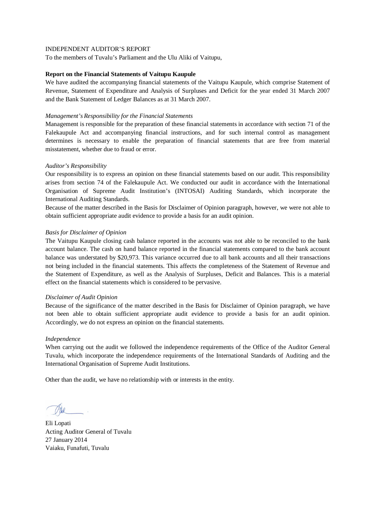To the members of Tuvalu's Parliament and the Ulu Aliki of Vaitupu,

# **Report on the Financial Statements of Vaitupu Kaupule**

We have audited the accompanying financial statements of the Vaitupu Kaupule, which comprise Statement of Revenue, Statement of Expenditure and Analysis of Surpluses and Deficit for the year ended 31 March 2007 and the Bank Statement of Ledger Balances as at 31 March 2007.

# *Management's Responsibility for the Financial Statements*

Management is responsible for the preparation of these financial statements in accordance with section 71 of the Falekaupule Act and accompanying financial instructions, and for such internal control as management determines is necessary to enable the preparation of financial statements that are free from material misstatement, whether due to fraud or error.

# *Auditor's Responsibility*

Our responsibility is to express an opinion on these financial statements based on our audit. This responsibility arises from section 74 of the Falekaupule Act. We conducted our audit in accordance with the International Organisation of Supreme Audit Institution's (INTOSAI) Auditing Standards, which incorporate the International Auditing Standards.

Because of the matter described in the Basis for Disclaimer of Opinion paragraph, however, we were not able to obtain sufficient appropriate audit evidence to provide a basis for an audit opinion.

# *Basis for Disclaimer of Opinion*

The Vaitupu Kaupule closing cash balance reported in the accounts was not able to be reconciled to the bank account balance. The cash on hand balance reported in the financial statements compared to the bank account balance was understated by \$20,973. This variance occurred due to all bank accounts and all their transactions not being included in the financial statements. This affects the completeness of the Statement of Revenue and the Statement of Expenditure, as well as the Analysis of Surpluses, Deficit and Balances. This is a material effect on the financial statements which is considered to be pervasive.

#### *Disclaimer of Audit Opinion*

Because of the significance of the matter described in the Basis for Disclaimer of Opinion paragraph, we have not been able to obtain sufficient appropriate audit evidence to provide a basis for an audit opinion. Accordingly, we do not express an opinion on the financial statements.

#### *Independence*

When carrying out the audit we followed the independence requirements of the Office of the Auditor General Tuvalu, which incorporate the independence requirements of the International Standards of Auditing and the International Organisation of Supreme Audit Institutions.

Eli Lopati Acting Auditor General of Tuvalu 27 January 2014 Vaiaku, Funafuti, Tuvalu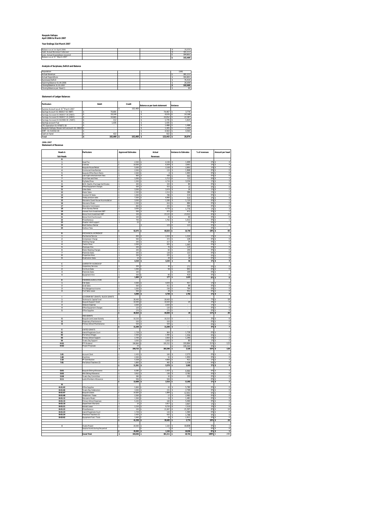#### **Kaupule Vaitupu April 2006 to March 2007**

**Year Endings 31st March 2007**

| Balance as at 1st April 2006      |  |  | 26.059  |
|-----------------------------------|--|--|---------|
| Add: Actual Revenue Collected     |  |  | 381.211 |
| Less: Actual Expenditure incurred |  |  | 304.801 |
| Balance as at 31" March 2007      |  |  | 102.469 |
|                                   |  |  |         |

**Analysis of Surpluses, Deficit and Balance**

| Population                  |  |  | 1591    |
|-----------------------------|--|--|---------|
| <b>Actual Revenue</b>       |  |  | 381.211 |
| Actual Expenditure          |  |  | 304.801 |
| Surpluses/Deficit           |  |  | 76.410  |
| Opening Balance 01.04.2006  |  |  | 26.059  |
| Closing Balance 31.03.2007  |  |  | 102.469 |
| Closing Balance per Head () |  |  | 64      |

**Statement of Ledger Balances**

| <b>Particulars</b>                                | <b>Debit</b> | Credit  | Balance as per bank statement | Variance |
|---------------------------------------------------|--------------|---------|-------------------------------|----------|
| Surplus Account as at 31 <sup>st</sup> March 2007 |              | 102.469 |                               |          |
| Savings Account 01-960017-02 (NBT)                | 70.691       |         | 74 467                        | 3.776    |
| Savings Account 01-960017-30 (NBT)                | 19.144       |         | 4.976                         | 14.168   |
| Savings Account 01-960017-31 (NBT)                | 10.665       |         | 33.052                        | 22.387   |
| Savings Account 01-922969-30 (NBT)                | 112          |         | 1.735                         | 1.623    |
| Savings account Fusi                              | 1.435        |         | 1.435                         |          |
| CFC Operation 01-970872-30                        |              |         | 1.488                         | 1.488    |
| Kaupule Valtupu House rent account: 01-29027 \$   |              |         | 1.305                         | 1.305    |
| IDRF: 01-514332-30                                |              |         | 4.563                         | 4.563    |
| Cash on hand                                      | 422          |         | 422                           |          |
| Total                                             | 102.469 S    | 102.469 | 123,443                       | 20.974   |

**2006-2007 Statement of Revenue**

| Heads &                                    | articulars                                                  | <b>Approved Estimates</b>                     | Actual                     | Variance to Estmates        | % of revenues     | Amount per head                                        |
|--------------------------------------------|-------------------------------------------------------------|-----------------------------------------------|----------------------------|-----------------------------|-------------------|--------------------------------------------------------|
| <b>Sub Heads</b>                           |                                                             |                                               | <b>Revenues</b>            |                             |                   |                                                        |
| A                                          |                                                             |                                               |                            |                             |                   |                                                        |
| 1                                          | Head Tax                                                    | 4,500 \$<br>s                                 | 6,199                      | 1,699<br>-\$                | 2% \$             | $\overline{4}$                                         |
| 2                                          | Licences<br>Kaupule House Retals                            | ŝ<br>$10,000$ \$<br>$5,000$ \$<br>ŝ           | 6,309<br>2,108             | 3,691<br>s<br>2.893<br>3    | $2%$ \$<br>1%     | $\frac{4}{1}$<br>3                                     |
| $\overline{4}$                             | Communal Area Rentals                                       | 3<br>$2,000$ \$                               | 133S                       | 1.868                       | 0% \$             | $\overline{0}$                                         |
| 5                                          | Kaupule Office Room Rents                                   | s<br>$2.000$ S                                | $^{\circ}$                 | \$.<br>1.993                | 0%                | $\bf 0$<br>$\epsilon$                                  |
| $\epsilon$                                 | Late night entertainment fees                               | s<br>900S                                     | 438 S                      | 463<br>713                  | 0% S<br>0% S      | $\frac{0}{1}$                                          |
| $\overline{ }$<br>$\overline{\mathbf{8}}$  | Court fees and fines<br>Pig Sales/Fines                     | s<br>$1.000$ \$<br>1.500S<br>s                | $1.713 - S$<br>$4.734 - S$ | 3.234                       | $1\%$ s           |                                                        |
| 9                                          | Birth, Deaths, Marriage Certificates                        | ŝ<br>400                                      | 320 S<br>ś                 | 80                          | 0% \$             | $\overline{0}$                                         |
| 10                                         | Office Equipment Charges                                    | š<br>500                                      | 515<br>x                   | 15<br>Ś                     | 0%                | $\overline{\phantom{a}}$                               |
| $\overline{11}$<br>12                      | Cafes Sales<br>Water Sale                                   | ₹<br>$3500$ s<br>R<br>$2500$ $\sqrt{2}$       | $3474$ S<br>$2214$ S       | 76<br>286                   | 1965<br>1965      | $\frac{2}{1}$                                          |
| 13                                         | Coconut Oil Sales                                           | 1,000<br>s                                    | 786 S                      | 214                         | 0% \$             |                                                        |
| 14                                         | Toddy produce sales                                         | 7,500 \$<br>s                                 | 6,990 S                    | 510                         | $2%$ s            | $\frac{1}{4}$                                          |
| 15                                         | Sikunamo Quest House Accomodation                           | $3,000$ \$<br>s                               | 1,280                      | 1,720<br>s                  | 96                | ī<br>-S                                                |
| 16<br>$\overline{17}$                      | Sikunamo Meals                                              | ŝ<br>1,500<br>800<br>ŧ                        | ś<br>616<br>205<br>ŧ       | 884<br>s<br>595             | 0%                | $\overline{0}$<br>3                                    |
| 18                                         | Sikunamo Commission<br>Picnic Bureau Rental                 | s<br>3.000                                    | 4.776<br>۱s                | š<br>1.776<br>ż.            | 0%<br>1%          | $\overline{0}$<br>š<br>$\ensuremath{\mathsf{3}}$<br>s. |
| 19                                         | Interest from Investment NBT                                | s<br>500                                      | 972<br>$\hat{\mathbf{x}}$  | ۰S<br>472                   | 0% S              | T                                                      |
| 20                                         | Bonus from Investment NBT                                   | ś<br>100                                      | 23.122 -S<br>ıs            | 23.022                      | 6% S              | 15                                                     |
| 21                                         | onus from Fusi Account                                      | $100$ $\overline{3}$<br>š                     | 40                         | s<br>60                     | 0% s              | $\overline{\mathfrak{o}}$                              |
| $\overline{\mathbf{z}}$<br>$\overline{23}$ | Miscellaneous<br>Disaster relief support                    | 750<br>s<br>ŝ<br>25                           | 1,762                      | 1,012<br>25                 | 0%<br>0% \$       | T                                                      |
| 24                                         | Boat Harbour Rental                                         |                                               | $123 - S$<br>3             | 123                         | ns s              | $\overline{\mathfrak{o}}$                              |
| 25                                         | Harbour Fees                                                |                                               |                            |                             | ns s              |                                                        |
|                                            |                                                             | 52,075 \$<br>s                                | 68,834 - \$                | 16,759                      | 18% \$            | 43                                                     |
| B<br>1                                     | MECHANICAL WORKSHOP<br>Mechanical Service                   | 650 \$<br>s                                   | $2,204 - $$                | 1,554                       | $1%$ s            |                                                        |
| $\overline{2}$                             | Compressor Charge                                           | 500<br>ŝ                                      | 372                        | 128<br>š                    | 0%                | $\frac{1}{0}$                                          |
| $\overline{\mathbf{3}}$                    | <b>Welding Charge</b>                                       | t<br>250                                      | 217S<br>$\overline{\cdot}$ | 34                          | 0% S              | $\overline{0}$                                         |
| $\ddot{ }$                                 | <b>Tractor Hires</b>                                        | s<br>$2.000$ S                                | 935 <sub>5</sub>           | 1.065                       | 0%                | $\mathbf{1}$                                           |
| 5<br>6                                     | Chainsaw Hire                                               | s<br>200<br>s<br>$200$ s                      | 76 S<br>ĸ<br>60 S          | 124<br>140                  | 0% S<br>0% S      |                                                        |
| $\overline{1}$                             | Water Blasting Charges<br>Materials Sales                   | $250$ s<br>s                                  | 128S                       | 122                         | 0% s              | $rac{1}{\sigma}$                                       |
| 8                                          | Properties Hires                                            | 250<br>ŝ                                      | $225$ S                    | 25                          | 0% \$             | $\overline{\phantom{a}}$                               |
| 9                                          | <b>Disalination Sales</b>                                   | 10<br>ś                                       | 28                         | 18<br>S                     | 0%                | $\overline{\phantom{a}}$                               |
| ċ                                          | CARPEMTRY WORKSHOP                                          | s<br>4.310 S                                  | 4.244S                     | 66                          | $1%$ \$           | 3                                                      |
| ī                                          | Carpentary Services                                         | 200<br>ś                                      | 30                         | 171<br>s                    | 0% s              | $\overline{0}$                                         |
| $\overline{\mathbf{2}}$                    | Furniture Sales                                             | 1,000<br>\$                                   | 58                         | 943<br>s                    | <b>O%</b> \$      | $\overline{\mathfrak{o}}$                              |
| 3                                          | Materials Sales                                             | 100<br>s                                      |                            | 100<br>s                    | <b>O%</b> \$      |                                                        |
| 4                                          | Equipment Hire                                              | 500<br>ŝ<br>ś                                 | 90                         | 410<br>Ś                    | <b>O%</b> \$      | $\overline{\mathbf{0}}$<br>ś                           |
| D                                          | <b>FISHERIES/AGRICULTURE</b>                                | 1,800                                         | 177                        | 1,623                       | 0%                | $\overline{\mathbf{0}}$                                |
| $\mathbf{1}$                               | <b>Fish Sales</b>                                           | s<br>4.500                                    | 4.043                      | 457<br>-S                   | $1%$ s            | 3                                                      |
| $\overline{2}$                             | <b>Grab Sales</b>                                           | ś<br>500 \$                                   | 411 S                      | 89                          | 0% S              | $\frac{0}{0}$                                          |
| 3                                          | Potufakagamua income                                        | 1.000S<br>ŝ<br>500<br>ŝ                       | 236S<br>$48\,$             | 764<br>452                  | 0% S<br>$0\%$     |                                                        |
| $\overline{\phantom{a}}$                   | Fruit Sales Lease                                           | s<br>6,500                                    | 4,738                      | ς<br>1,762<br>\$            | $1\%$ s           | O<br>ς<br>3                                            |
| T                                          | <b>GOVERNMENT GRANTS / BLOCK GRANTS</b>                     |                                               |                            |                             |                   |                                                        |
| Ŧ                                          | <b>Technical &amp; Capital Fund</b>                         | 28.400<br>¢                                   | 28.400                     |                             | 796S              | 18                                                     |
| $\overline{2}$                             | Kaupule Support Grant                                       | 10.000 \$<br>$\hat{\mathbf{x}}$               | $10.020 - s$               | 20                          | 296<br>$1\%$ s    | $\frac{6}{1}$                                          |
| 3<br>4                                     | Telecom Expense<br>Office Equipment Charges                 | 2,020<br>\$<br>s<br>120S                      | 2,020<br>120               | s                           | 0% \$             |                                                        |
| 5                                          | Office Supplies                                             | 270<br>ŝ                                      | 270                        |                             | 0%                | $\frac{1}{\sqrt{2}}$                                   |
|                                            |                                                             | 40,810 \$<br>ś                                | 40,830 - \$                | 20                          | 11% S             | 26                                                     |
|                                            | <b>TIED GRANTS</b>                                          | s.                                            |                            |                             |                   |                                                        |
| $\mathbf{H}$<br>$\mathbf{r}$               | Kaupule Land Lease Subsidy<br><b>Dispensary Maintenance</b> | 10.210<br>s<br>520S                           | 10.210<br>×.<br>520 S      | -S                          | $3%$ S<br>0% S    | 6<br>$\overline{0}$                                    |
| 13                                         | Primary School Maintenance                                  | $520$ s<br>s                                  | $520$ S                    |                             | 0% S              | $\frac{0}{7}$                                          |
|                                            |                                                             | 3<br>$11,250$ \$                              | 11,250                     | Ţ                           | $3%$ s            |                                                        |
| Έ<br>$\overline{11}$                       | UNITED GRANTS                                               | ŧ                                             | 964                        |                             |                   |                                                        |
| $\overline{ }$                             | Island Magistrate Court<br>Pre-School Wages                 | $1.728$ \$<br>₹<br>$2420$ s                   | $130$ $\overline{s}$       | ś<br>1,728<br>1556          | 0% S<br>ns s      | $\frac{1}{1}$                                          |
| $\mathbb{I}$ 3                             | Primary School Support                                      | s<br>2.700                                    | 2.920<br>۱s                | ¢<br>1.340                  | $196$ s           | $\overline{ }$                                         |
| 114                                        | Tuvalu Day Support                                          | $3,000$ \$<br>s                               | 3,000                      | 80<br>s                     | $\frac{1}{1\%}$ s | $\overline{2}$                                         |
| IV:01                                      | FTF Dividend                                                | 196,864<br>s                                  | 195,252<br>-3              | 193,864<br>s                | 51% \$            | 123                                                    |
| IV:02                                      | Project Proposals                                           | ŝ<br>10<br>206,722<br>s                       | 203,396                    | 195,242<br>٠S<br>ś<br>3,326 | 0% \$<br>53%      | 128<br>s                                               |
|                                            |                                                             |                                               |                            |                             |                   |                                                        |
| 1:01                                       | <b>Account Clerk</b>                                        | s<br>2.433                                    | 160<br>×.                  | $\mathsf{s}$<br>2.273       | 0% S              | $\circ$                                                |
| 1:08<br>1:10                               | Overtime                                                    | s<br>2.000                                    | 50 <sub>5</sub><br>ıз      | 1.950                       | 0% S              | $\frac{0}{3}$                                          |
| 7:01                                       | PF Contribution<br>Pre-School Teachers (3)                  | $5,328$ \$<br>s<br>ŝ<br>1,800 \$              | 4,906 S<br>462             | 422<br>1,338<br>ς           | $1%$ s<br>0% \$   | O                                                      |
|                                            |                                                             | s<br>11,561                                   | 5,578                      | 5,983<br>\$                 | $1\%$ s           | $\overline{4}$                                         |
|                                            |                                                             |                                               |                            |                             |                   |                                                        |
| $12-01$<br>$12 - 02$                       | Kaupule Sitting Allowance                                   | ŧ<br>8.380<br>$\hat{\mathbf{x}}$<br>$3.912$ s | 1420<br>١e<br>130          | t<br>6.960<br>¢<br>3 7 8 2  | ns s<br>nes s     | $\frac{1}{0}$                                          |
| 12:08                                      | Aliki Sitting Allowance<br><b>Tuvalu Day Committee</b>      | s<br>380                                      | 30                         | 350                         | 0% \$             | ō                                                      |
| 12:11                                      | Lands Members Allowance                                     | 936 S<br>s                                    | 936                        | s                           | 0% \$             | T                                                      |
|                                            |                                                             | 13,608                                        | 2,516                      | 11,092                      | 1%                | $\overline{\mathbf{2}}$<br>s                           |
| π<br>$III - 01 - 02$                       |                                                             | 5,800<br>ś                                    | $\overline{20}$            | 5.780                       | 0%                | ō                                                      |
| III-01-06                                  | Office Supplies<br>Tuvalu Day Celebration                   | s<br>$3.000$ S                                | $231$ $\overline{s}$       | 2,769                       | 0% S              | $\,$ 0                                                 |
| $III - 01 - 07$                            | Kaupule Leases                                              | s<br>14.830 S                                 | 1.899 S                    | 12.931                      | 0% S              | $\mathbf{1}$                                           |
| III-01-08                                  | Telephone / Faxes                                           | 2,500 S<br>\$                                 | $17$ s                     | 2.483                       | 0% S              | $\frac{0}{0}$                                          |
| $III - 01 - 12$                            | Sikunamo Meab                                               | 3<br>1.500 S                                  | 19                         | 1,481                       | 0% s              |                                                        |
| $III - 01 - 15$<br>$III - 01 - 19$         | Primary School Expense<br><b>Department Warrants</b>        | 5,220<br>ś<br>3<br>10                         | 160<br>3.917<br>١s         | 5,060<br>ς<br>٠\$<br>3,907  | 0%<br>$1\%$ \$    | $\overline{0}$                                         |
| IL.01.21                                   | Kainaki Lease                                               | R<br>$2210$ s                                 | $9720 - 5$                 | 7510                        | 3% \$             | $\frac{2}{6}$                                          |
| III.01.22                                  | Misoellaneous                                               | t<br>100 <sup>15</sup>                        | 21 697                     | 21597<br>k                  | 6% \$             | $\overline{14}$                                        |
| $III - 01 - 23$                            | Island Magistrate Court                                     | $1,728$ \$<br>ŝ                               | 144                        | 1,584<br>s                  | $0%$ s            | ö                                                      |
| $III - 01 - 24$<br>III-02-02               | Preschool Teachers (3)<br>Equipment Fuel / Tools            | 2,420S<br>s<br>ŝ<br>1,940                     | 632<br>29                  | 1,788<br>s<br>1,911<br>s    | 0% \$<br>0% \$    | $\overline{\mathbf{0}}$<br>$\overline{\mathbf{0}}$     |
|                                            |                                                             | 41,258                                        | 38,485                     | 2,774                       | 10%               | 24<br>ś                                                |
|                                            |                                                             |                                               |                            |                             |                   |                                                        |
| $\ddot{\phantom{a}}$                       | Vivalia Project                                             | 20,000<br>ś                                   | 1.163                      | 18,838                      | 0%                | $\mathbf{1}$                                           |
|                                            | Surplus found during the period                             | 20,000 S                                      | $1$ -S<br>s.<br>$1.164$ S  | $\mathbf{1}$<br>18.836      | 0% S<br>0% \$     | $\frac{0}{1}$                                          |
|                                            |                                                             |                                               | 381.211 S                  |                             | 100% \$           | 240                                                    |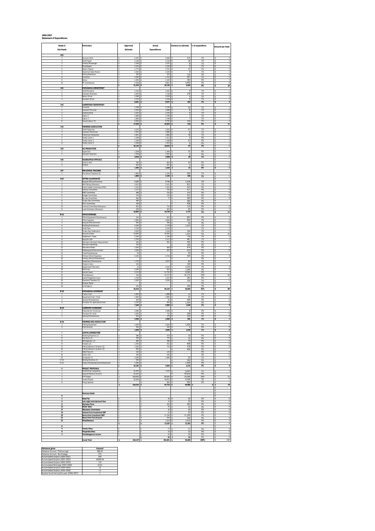#### **2006-2007 Statement of Expenditures**

| Heads &<br>Sub Heads                                                 | <b>Particulars</b>                                                                  | Approved<br>Estimate                    | Actual<br><b>Expenditures</b>                   | Variance to estimate                  | % of expenditure   | Amount per head                                                         |
|----------------------------------------------------------------------|-------------------------------------------------------------------------------------|-----------------------------------------|-------------------------------------------------|---------------------------------------|--------------------|-------------------------------------------------------------------------|
| 1:01<br>1                                                            | Account Clerk                                                                       | 2,433                                   | 2,646                                           | 213                                   | 1%                 | $\overline{2}$                                                          |
| $\overline{2}$<br>$\overline{\mathbf{3}}$<br>$\overline{4}$          | Clerk/Typist<br>Orderly Messenger<br>Storekeeper                                    | 2,136<br>\$<br>2,169<br>2,235           | $2,118 - S$<br>2,161                            | 18<br>$^{\rm 8}$<br>9                 | 1%<br>1%<br>1%     | T<br>s<br>T<br>s<br>s                                                   |
| 5<br>6                                                               | Senior Cleaner<br>Snack-bar Sales Person                                            | 1.773<br>š.<br>2.202                    | $2,226 - $$<br>$1.761 - S$<br>$2.193 - S$<br>s. | 12<br>9                               | 1%<br>1%           | T<br>$\mathbf{1}$<br>ś<br>s<br>$\mathbf{1}$                             |
| $\overline{1}$<br>8                                                  | Acting Allowance<br>Overtime                                                        | ś<br>200<br>2,000<br>s                  | 316 <sup>5</sup><br>1,703.5                     | 116<br>297                            | 0%<br>1%           | s<br>$\circ$<br>$\overline{1}$<br>s                                     |
| 9<br>10                                                              | Bonus<br>PF Contribution                                                            | 1,000<br>s<br>5,328<br>s<br>21,476<br>s | $1,183$ \$<br>$9,821$ \$<br>26,130S             | 183<br>4,493<br>4,654                 | 0%<br>3%<br>9%     | T<br>-S<br>6<br>-S<br>\$<br>16                                          |
| 1:02<br>1                                                            | <i><b>MECHANICAL DEPARTMENT</b></i><br>Chief Mechanic                               | 2.334                                   | 2325                                            | 9                                     | 1%                 | 1                                                                       |
| $\overline{2}$<br>3                                                  | Assistant Mechanic<br>Senior Driver                                                 | 2,004<br>2,268                          | $1,726 - $$<br>$2,259 - $$                      | 278<br>9                              | 1%<br>1%           | $\overline{1}$<br>s<br>3<br>1                                           |
| $\ddot{4}$<br>1:03                                                   | Assistant Driver<br><b>CARPENTARY DEPARTMENT</b>                                    | ś<br>2.235<br>s<br>8.841                | $2.226$ .s<br>¢<br>s<br>8.537 -S                | $\circ$<br>304                        | 1%<br>3%           | $\overline{1}$<br>ś<br>s<br>5                                           |
| $\mathbf{1}$<br>$\overline{\mathbf{2}}$                              | Foreman<br>Assistant Foreman                                                        | 2,268<br>s<br>2,004<br>s                | 2,238 -<br>1,996 - \$                           | 30<br>8                               | 1%<br>1%           | 1<br>T<br>-S                                                            |
| 3<br>$\overline{4}$<br>5                                             | Leading Hand<br>Labour 1<br>abour 2                                                 | 2,202<br>\$<br>1,806<br>\$<br>1,806     | $2,193 - $$<br>$1,799 - $$<br>$1,799 - $$       | 9<br>$\overline{7}$<br>$\overline{7}$ | 1%<br>1%<br>1%     | $\overline{1}$<br>s<br>T<br>\$<br>T                                     |
| 6                                                                    | Casual Labour (5)                                                                   | 6.950<br>17,036                         | 6,794.9<br>16,820 - \$                          | 156<br>216                            | 2%<br>6%           | $\overline{4}$<br>s<br>$\overline{11}$<br>s                             |
| 1:04<br>1                                                            | <b>FISHERIES/AGRICULTURE</b><br>Chief Fisherman<br><b>Assistant Fisherman</b>       | 2.070<br>s                              | $2.019 - S$                                     | 51                                    | 1%                 | $\mathbf{1}$<br>s                                                       |
| $\overline{2}$<br>3<br>4                                             | Fisherman Handyman<br>Toddy Cutter 1                                                | 1.872<br>s.<br>1,641<br>s<br>1,509<br>s | 1.880 S<br>1,660 S<br>$1,513$ \$                | 8<br>19<br>$\sqrt{4}$                 | 1%<br>1%<br>0%     | $\mathbf{1}$<br>s<br>$\overline{1}$<br>l s<br>T<br>s                    |
| 5<br>6                                                               | <b>Toddy Cutter 2</b><br><b>Toddy Cutter 3</b>                                      | 1,509<br>s<br>1,509<br>\$               | $1,468 - $$<br>$1,503 - 5$                      | 41<br>$\,$ 6                          | 0%<br>0%           | T<br>-S<br>T                                                            |
| 1:05<br>$\overline{1}$                                               | OIL PRODUCTION<br>Supervisor                                                        | 10,110<br>\$<br>1,509                   | $10,043 - 5$<br>1.494                           | 67<br>15                              | 3%<br>0%           | ς<br>6<br>ś<br>T<br>s                                                   |
| $\overline{2}$                                                       | Assistant Operator                                                                  | 1.509<br>\$.<br>3.018                   | 1.503<br>2.998<br>s                             | $\overline{6}$<br>20<br>×.            | 0%<br>1%           | T<br>s<br>s.<br>$\sqrt{2}$                                              |
| 1:06<br>$\mathbf{1}$                                                 | <b>FALEKAUPULE OFFICIALS</b><br>Clerk to Aliki                                      | 780<br>¢<br>624                         | 804<br>$622 - $$                                | 24<br>$\overline{2}$                  | 0%<br>0%           | s<br>s<br>1<br>$\overline{\mathfrak{o}}$                                |
| $\overline{\mathbf{2}}$<br>1:07                                      | Orderly<br>PRE-SCHOOL TEACHERS                                                      | s<br>1,404<br>s                         | $1,426$ \$                                      | $\overline{\mathbf{z}}$               | 0%                 | s<br>T<br>s                                                             |
| $\mathbf{1}$                                                         | Pre-School Teachers (3)                                                             | 1,800<br>s<br>1,800<br>\$               | 2,194<br>2,194 S                                | 394<br>394                            | 1%<br>1%           | ţ                                                                       |
| II:02<br>$\overline{1}$<br>$\mathfrak{p}$                            | SITTING ALLOWANCES<br>Kaupule Sitting Allowance<br>Aliki Sitting Allowance          | 8,380<br>3.912                          | 9,796<br>3.101                                  | 1.416<br>811                          | 3%<br>1%           | s<br>6<br>s<br>$\,$ 2 $\,$<br>ś                                         |
| $\overline{\mathbf{3}}$<br>$\ddot{4}$                                | Public Health Committee (PHC)<br><b>Schook Committee</b>                            | š.<br>1.234<br>1.172<br>s.              | s<br>$1.033 - S$<br>755 - S                     | 201<br>417                            | 0%<br>0%           | s<br>$\mathbf{1}$<br>s<br>$\circ$                                       |
| 5<br>6<br>$\overline{1}$                                             | <b>DRF</b> Committee<br><b>Budget Committee</b><br>By-Law Committee                 | 586<br>s<br>576<br>s<br>460<br>-S       | $216 - 5$<br>$145 - $$<br>$77$ -S               | 370<br>431<br>383                     | 0%<br>0%<br>0%     | $\circ$<br>s<br>$\overline{\mathfrak{o}}$<br>-S<br>$\overline{0}$<br>-S |
| 8<br>9                                                               | Tuvalu Day Committee<br><b>DCC Committee</b>                                        | 380<br>\$<br>428                        | - 1-5                                           | 380<br>428                            | 0%<br>0%           | \$<br>\$                                                                |
| 10<br>11                                                             | Cultural Committee Allowance<br>Lands Members Allowance                             | 820<br>ś<br>936<br>ś<br>18,884<br>Ś     | $710 - S$<br>876<br>$16,709 - $$                | 110<br>60<br>2,175                    | 0%<br>0%<br>5%     | $\frac{0}{1}$<br>s<br>s.<br>\$<br>11                                    |
| <b>III-01</b><br>$\mathbf{1}$                                        | <b>OFFICE EXPENSES</b><br>Office Equipment Maintenance                              | Ś<br>100                                | 953 S<br>s                                      | 853                                   | 0%                 | s<br>$\overline{1}$                                                     |
| $\overline{2}$<br>3                                                  | Office Supplies<br>Kaupule Entertainment                                            | x,<br>5.800<br>500<br>s                 | $4.846 - S$<br>$456 - $$                        | 954<br>44                             | 2%<br>0%           | s<br>3<br>$\overline{\mathbf{0}}$<br>-S                                 |
| 4<br>5<br>6                                                          | <b>Building Maintenance</b><br>Audit Fees<br><b>Tuvalu Day Celebration</b>          | 4,300<br>s<br>2,100<br>\$<br>3,000<br>s | $2,778 - $$<br>$2,100$ \$<br>$3,164$ \$         | 1,522<br>164                          | 1%<br>1%<br>1%     | $\overline{2}$<br>-S<br>$\overline{1}$<br>s<br>$\overline{2}$<br>\$     |
| 7<br>8                                                               | Caupule Leases<br>Telephone / Faxes                                                 | 14,830<br>2,500                         | 16,383 \$<br>1,784.5                            | 1,553<br>716                          | 5%<br>1%           | 10<br>T<br>s                                                            |
| 9<br>10<br>11                                                        | Kaupule Café<br>Sikunamo Domestic Requirement                                       | 2,700<br>500<br>¢<br>ś<br>100           | 2,213<br>892<br>¢<br>š.                         | 487<br>392<br>s.<br>100<br>۰\$        | 1%<br>n%<br>0%     | 1<br>s<br>$\overline{1}$<br>s<br>s                                      |
| 12<br>13                                                             | Sikunamo Beddings<br>Sikunamo Meals<br>Falekaupule Entertainment                    | 1.500<br>s.<br>1,000<br>s               | $826 - S$<br>$567 - S$                          | 674<br>433                            | 0%<br>0%           | s<br>$\mathbf{1}$<br>$\overline{\mathbf{0}}$<br>s                       |
| 14<br>15                                                             | <b>Travelling Expenses</b><br>Primary School Expenses                               | 50<br>\$<br>5,220<br>s                  | $4,716 - $$                                     | 50<br>504                             | 0%<br>2%           | -S<br>3<br>-S                                                           |
| 16<br>17<br>18                                                       | Primary School Maintenance<br>Dispensary Maintenance<br><b>Projects Costs</b>       | \$<br>2,750<br>\$<br>100                | $2,670 - S$                                     | -S<br>80<br>100                       | $0\%$<br>1%<br>OX  | ς<br>2<br>ś                                                             |
| 19<br>20<br>21                                                       | Department Warrants<br>Electricity<br>Kainaki Lease                                 | 10<br>s<br>2.400<br>ś<br>š.<br>2.210    | $4.242$ S<br>810<br>$11.792$ s<br>s.            | 4.232<br>1.590<br>9.582               | 1%<br>0%<br>4%     | 3<br>3<br>$\overline{1}$<br>s<br>$\tau$<br>s                            |
| $\overline{22}$<br>23                                                | Miscellaneous<br>Island Magistrate Court                                            | Ś<br>100<br>1.728<br>s.                 | $31.272$ S<br>s<br>$1.437 - S$                  | 31.172<br>291                         | 10%<br>0%          | s<br>20<br>s<br>$\mathbf{1}$                                            |
| 24<br>25<br>26                                                       | Preschool Teachers (3)<br><b>Disaster Relief</b><br>Contingency                     | 2,420<br>s<br>s<br>100<br>\$            | $2,200 - $$                                     | 220<br>100<br>۰s                      | 1%<br>0%<br>$0\%$  | $\overline{1}$<br>-S<br>s<br>s                                          |
| III-02                                                               | MECHANICAL WORKSHOP                                                                 | 56,018                                  | 96,103                                          | 40,085                                | 32%                | 60<br>\$                                                                |
| $\overline{1}$<br>$\overline{\mathbf{c}}$<br>$\overline{\mathbf{3}}$ | <b>Tractor Fuel</b><br>Equipment Fuel / Tools<br>General Maintenance                | 2,900<br>1,940<br>500<br>ś              | 2.888<br>1,965 \$<br>91.5                       | 12<br>25<br>409                       | 1%<br>1%<br>n%     | 2<br>1<br>s<br>$\,0\,$<br>ś                                             |
| $\ddot{4}$                                                           | Provision for spare parts/tools                                                     | š.<br>2.100<br>s<br>7,440               | 856 - \$<br>s<br>5,800                          | 1.244<br>1,640<br>A.                  | 0%<br>2%           | s<br>$\overline{1}$<br>s<br>$\boldsymbol{4}$                            |
| III-03<br>1                                                          | <b>CARPENTRY WORKSHOP</b><br>Materials for Furnitures<br>Provision for tools        | 1,060<br>s<br>1,000                     | 1,068<br>$732 - $$                              | $\overline{\mathbf{g}}$<br>268        | 0%<br>0%           | T<br>$\overline{0}$                                                     |
| $\overline{\mathbf{2}}$<br>3                                         | General Maintenance                                                                 | s<br>500<br>\$<br>2,560                 | s<br>$270$ $\overline{\phantom{1}}$<br>2,069    | 230<br>491                            | $0\%$<br>1%        | s<br>$\overline{0}$<br>\$                                               |
| III-04<br>$\overline{1}$                                             | <b>FISHERIES AND AGRICULTURE</b><br><b>Fishing Equipment</b>                        | 1,000                                   | $2,626$ \$                                      | 1,626                                 | 1%                 |                                                                         |
| $\mathbf{L}$                                                         | Maintenan<br>CAPITAL EXPENDITURE                                                    | 450<br>1,450<br>s.                      | 444<br>3.069 S<br>s                             | 6<br>1,619                            | 0%<br>1%           | $\,0\,$<br>s<br>$\overline{\mathbf{z}}$                                 |
| $\mathbf{H}$<br>$\overline{12}$                                      | Washing Machine (1)<br>Gas Stove (1)                                                | 580<br>760<br>s                         | 570<br>775 \$                                   | 10<br>15                              | 0%<br>0%           | $\circ$<br>s<br>$\overline{0}$<br>s                                     |
| 13<br>14<br>15                                                       | Refridgerator (1)<br>Freezers (2)<br>Filling Cabinets 4 drawers (2)                 | 660<br>s<br>1,400<br>\$<br>1,200<br>s   | $586 - $$<br>$552 - $$<br>$723 - 5$             | 74<br>848<br>478                      | 0%<br>$0\%$<br>0%  | $\overline{0}$<br>-S<br>$\overline{0}$<br>s<br>$\overline{0}$<br>\$     |
| 16<br>$\overline{u}$                                                 | Filling Cabinets 2 drawers (3)<br>Table Fans (2)                                    | 900<br>\$<br>120<br>ś                   | $120$ s                                         | 900                                   | 0%<br>0%           | \$<br>$\overline{0}$<br>s                                               |
| 18<br>$\mathsf{R}^{\mathsf{Q}}$<br>IV-10                             | Chairs (10)<br>Computer (1)<br>Binding Machine (1)                                  | 540<br>ś<br>2.000<br>ź.<br>Ś<br>500     | 540<br>$1,980 - $$                              | 20<br>500<br>s.                       | 0%<br>1%<br>0%     | $\overline{\phantom{a}}$<br>s<br>$\mathbf{S}$<br>$\overline{1}$<br>s    |
| IV-11                                                                | Cistern Maintenance/Overhead tank                                                   | ś<br>1.500<br>10,160<br>s               | $5,846 - $$<br>s                                | 1.500<br>4,315                        | 0%<br>2%           | s<br>$\overline{4}$<br>l s                                              |
| V<br>1<br>$\overline{\mathbf{2}}$                                    | PROJECT PROPOSALS<br>Road/Wharf Upgrading<br>Kaupule Reserve Account                | 10,000<br>s<br>54,610<br>\$             | $1,533 - $$                                     | 8,467<br>54,610                       | 1%<br>0%           | T<br>s                                                                  |
| 3<br>$\overline{4}$                                                  | FTF Project<br>Vivalia Project                                                      | ś<br>100,000<br>20,000                  | $80,640 - $$<br>$10,651 - $$                    | 19,360<br>9,349                       | 26%<br>3%          | 51<br>ς<br>$\overline{1}$<br>s                                          |
| 6                                                                    | <b>Filing Cabinets</b>                                                              | ś<br>184,610<br>s                       | 900 S<br>93,724 - \$                            | 900<br>90,886                         | 0%<br>$\mathbf{a}$ | 3<br>$\overline{1}$<br>s<br>59<br>s.<br>×.                              |
|                                                                      | <b>Revenue Heads</b>                                                                |                                         |                                                 |                                       |                    | s<br>s                                                                  |
| A<br>$\mathbf{1}$<br>$\overline{6}$                                  | <b>Head Tax</b><br>Late night entertainment fees                                    | \$                                      | 30 <sub>5</sub><br>33 <sup>5</sup><br>\$        | 30<br>33                              | 0%<br>0%           | <b>S</b><br>$\overline{\phantom{a}}$<br>s<br>$\overline{0}$             |
| 8<br>12                                                              | Pig Sales/Fines<br>Water Sales                                                      | \$<br>Ś                                 | $383$ \$<br>\$<br>$25$ s                        | 383<br>25                             | 0%<br>0%           | s<br>$\overline{\mathbf{0}}$<br>$\overline{0}$<br>ς                     |
| 17<br>19                                                             | Sikunamo Commission<br>Interest from Investment NBT                                 |                                         | $20$ s<br>$25$ $\overline{\phantom{1}}$         | 20<br>25                              | 0%<br>0%           | $\pmb{0}$<br>\$<br>3<br>$\overline{\phantom{a}}$                        |
| 20<br>21<br>$\bf 22$                                                 | <b>Bonus from Investment NBT</b><br><b>Bonus from Fusi Account</b><br>Miscellaneous | Ś<br>s.                                 | $11.194$ S<br>s<br>250 S<br>$1.323$ S<br>¢      | 11 194<br>250<br>1.323                | 4%<br>0%<br>0%     | $\overline{7}$<br>s<br>s<br>$\overline{0}$<br>s<br>$\mathbf{1}$         |
| B                                                                    |                                                                                     | s                                       | 13,282 \$<br>\$                                 | 13,282                                | 4%                 | 8<br>s<br>s                                                             |
| $\ddot{a}$<br>8                                                      | <b>Tractor Hires</b><br>Properties Hires                                            | s<br>\$                                 | $11$ <sup>S</sup><br>$23 \mid S$<br>s           | π<br>23                               | 0%<br>$0\%$        | $\overline{0}$<br>-S<br>$\overline{\phantom{a}}$<br>\$                  |
| 3                                                                    | Potufakagamua income<br><b>Grand Total</b>                                          | 160,197 \$<br>$\sqrt{2}$                | 20 <sup>5</sup><br>$54$ $S$<br>304,801 \$       | 20<br>54<br>50,880                    | 0%<br>0%<br>100%   | $\overline{\mathbf{0}}$<br>\$<br>$\mathfrak o$<br>s<br>192<br>Ts        |

| <b>Advances given</b>                      | Amount   |  |
|--------------------------------------------|----------|--|
| Advance Account-Tilaima Logo               | 386.45   |  |
| Advance Account - Silu Malaga              | 275      |  |
| Accumulated surplus (2000-2001)            | 593      |  |
| Accumulated Surplus (2001-2002)            | 10049.44 |  |
| Accumulated Surplus (2002-2003)            | 28       |  |
| Accumulated Shortage (2003-2004)           | 10.61    |  |
| Accumulated Surplus (2004-2005)            | 13       |  |
| Accumulated Surplus (2005-2006)            | 15       |  |
| Surplus found during this year (2006-2007) |          |  |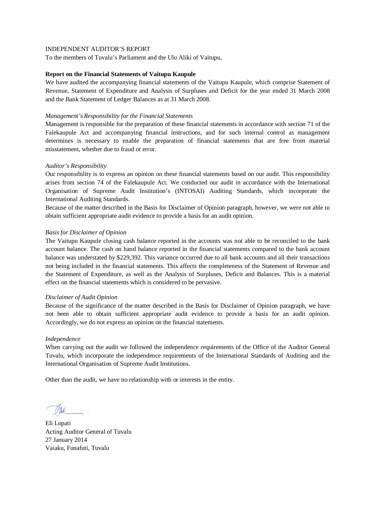To the members of Tuvalu's Parliament and the Ulu Aliki of Vaitupu,

# **Report on the Financial Statements of Vaitupu Kaupule**

We have audited the accompanying financial statements of the Vaitupu Kaupule, which comprise Statement of Revenue, Statement of Expenditure and Analysis of Surpluses and Deficit for the year ended 31 March 2008 and the Bank Statement of Ledger Balances as at 31 March 2008.

# *Management's Responsibility for the Financial Statements*

Management is responsible for the preparation of these financial statements in accordance with section 71 of the Falekaupule Act and accompanying financial instructions, and for such internal control as management determines is necessary to enable the preparation of financial statements that are free from material misstatement, whether due to fraud or error.

# *Auditor's Responsibility*

Our responsibility is to express an opinion on these financial statements based on our audit. This responsibility arises from section 74 of the Falekaupule Act. We conducted our audit in accordance with the International Organisation of Supreme Audit Institution's (INTOSAI) Auditing Standards, which incorporate the International Auditing Standards.

Because of the matter described in the Basis for Disclaimer of Opinion paragraph, however, we were not able to obtain sufficient appropriate audit evidence to provide a basis for an audit opinion.

# *Basis for Disclaimer of Opinion*

The Vaitupu Kaupule closing cash balance reported in the accounts was not able to be reconciled to the bank account balance. The cash on hand balance reported in the financial statements compared to the bank account balance was understated by \$229,392. This variance occurred due to all bank accounts and all their transactions not being included in the financial statements. This affects the completeness of the Statement of Revenue and the Statement of Expenditure, as well as the Analysis of Surpluses, Deficit and Balances. This is a material effect on the financial statements which is considered to be pervasive.

#### *Disclaimer of Audit Opinion*

Because of the significance of the matter described in the Basis for Disclaimer of Opinion paragraph, we have not been able to obtain sufficient appropriate audit evidence to provide a basis for an audit opinion. Accordingly, we do not express an opinion on the financial statements.

#### *Independence*

When carrying out the audit we followed the independence requirements of the Office of the Auditor General Tuvalu, which incorporate the independence requirements of the International Standards of Auditing and the International Organisation of Supreme Audit Institutions.

Eli Lopati Acting Auditor General of Tuvalu 27 January 2014 Vaiaku, Funafuti, Tuvalu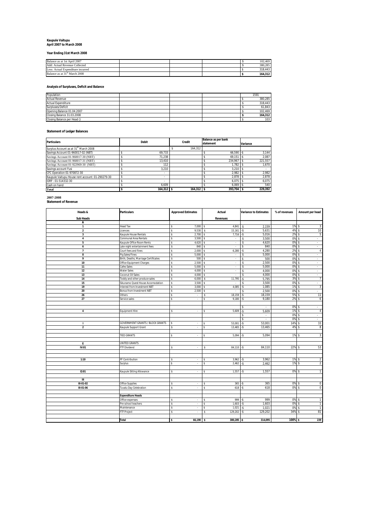# **Kaupule Vaitupu April 2007 to March 2008**

#### **Year Ending 31st March 2008**

| Balance as at 1st April 2007              |  |  | 102.469 |
|-------------------------------------------|--|--|---------|
| Add: Actual Revenue Collected             |  |  | 380.285 |
| Less: Actual Expenditure incurred         |  |  | 318.443 |
| Balance as at 31 <sup>st</sup> March 2008 |  |  | 164.312 |

**Analysis of Surpluses, Deficit and Balance**

| Population                  |  | 1591             |
|-----------------------------|--|------------------|
| <b>Actual Revenue</b>       |  | 380,285          |
| Actual Expenditure          |  | 318,443          |
| Surpluses/Deficit           |  | 61,843           |
| Opening Balance 01.04.2007  |  | 102.469          |
| Closing Balance 31.03.2008  |  | 164,312          |
| Closing Balance per Head () |  | 103 <sub>h</sub> |

#### **Statement of Ledger Balances**

| <b>Particulars</b>                               | <b>Debit</b> | <b>Credit</b> | <b>Balance as per bank</b><br>statement | Variance |
|--------------------------------------------------|--------------|---------------|-----------------------------------------|----------|
| Surplus Account as at 31st March 2008            |              | 164.312       |                                         |          |
| Savings Account 01-960017-02 (NBT)               | 69.733       |               | $66.590 - $$                            | 3.144    |
| Savings Account 01-960017-30 (NBT)               | 71.238       |               | 69.151                                  | 2.087    |
| Savings Account 01-960017-31 (NBT)               | 13.410       |               | 234.967                                 | 221,557  |
| Savings Account 01-922969-30 (NBT)               | 112          |               | 1.782                                   | 1.670    |
| Savings account Fusi                             | 3.210        |               | 3.210                                   |          |
| CFC Operation 01-970872-30                       |              |               | 2.982                                   | 2,982    |
| Kaupule Vaitupu House rent account: 01-290279-30 | ۰            |               | 2.878                                   | 2.878    |
| IDRF: 01-514332-30                               |              |               | 6.075                                   | 6.075    |
| Cash on hand                                     | 6.609        |               | 6.069                                   | 540      |
| Total                                            | $164.312$ \$ | $164.312$ \$  | 393.704 \$                              | 229.392  |

# **2007-2008 Statement of Revenue**

| Heads &                 | <b>Particulars</b>                   | <b>Approved Estimates</b> | Actual                   | <b>Variance to Estimates</b> | % of revenues | Amount per head               |
|-------------------------|--------------------------------------|---------------------------|--------------------------|------------------------------|---------------|-------------------------------|
| <b>Sub Heads</b>        |                                      |                           | <b>Revenues</b>          |                              |               |                               |
| Α                       |                                      |                           |                          |                              |               |                               |
| $\mathbf{1}$            | Head Tax                             | 7.000<br>Ŝ                | 4.841<br>s               | 2,159<br>Ŝ                   | 1%            | s<br>3                        |
| $\overline{2}$          | Licences                             | 9,530<br>Ś                | 15,161<br>s              | 5,631<br>٠S                  | 4%            | 10                            |
| $\overline{\mathbf{3}}$ | Kaupule House Rentals                | 2,700<br>\$               | 7,716                    | 5,016<br>-\$                 | 2%            | 5<br>¢                        |
| 4                       | <b>Communal Area Rentals</b>         | \$<br>3,500               | ¢,<br>$\cdot$            | 3,500<br>s                   | 0%            | s<br>×.                       |
| 5                       | Kaupule Office Room Rents            | 4,620<br>\$               | ¢,<br>$\cdot$            | 4,620<br>s                   | 0%            | s<br>$\sim$                   |
| 6                       | Late night entertainment fees        | 840<br>Ś                  | $\mathbf{r}$             | 840<br>s                     | 0%            | ¢<br>÷.                       |
| $\bf 7$                 | Court fees and fines                 | \$<br>2,000               | 6,280<br>\$.             | 4,280<br>-\$                 | 2%            | s<br>$\overline{4}$           |
| 8                       | Pig Sales/Fines                      | \$<br>5,000               | \$.<br>$\epsilon$        | 5,000<br>s                   | 0%            | s<br>×.                       |
| 9                       | Birth, Deaths, Marriage Certificates | s.<br>500                 | \$<br>$\cdot$            | 500<br>s                     | 0%            | Ŝ<br>÷.                       |
| 10                      | Office Equipment Charges             | \$<br>2,500               | $\sim$                   | 2,500<br>Ŝ                   | 0%            | ¢<br>$\omega$                 |
| 11                      | Cafes Sales                          | Ś<br>5,000                | $\overline{\phantom{a}}$ | 5,000<br>Ŝ                   | 0%            | ×.                            |
| 12                      | <b>Water Sales</b>                   | $\mathsf{s}$<br>4,000     | s<br>÷                   | s<br>4,000                   | 0%            | s<br>÷.                       |
| 13                      | Coconut Oil Sales                    | \$.<br>4,000              | ¢,<br>×.                 | s<br>4,000                   | 0%            | $\mathbf{\hat{s}}$<br>×.      |
| 14                      | Toddy and other produce sales        | $\mathsf{s}$<br>6,000     | 11,795<br>s              | 5,795<br>$\cdot \mathbb{S}$  | 3%            | Ŝ<br>$\overline{7}$           |
| 15                      | Sikunamo Quest House Accomodation    | \$<br>3,500               | \$.<br>×.                | 3,500<br>s                   | 0%            | s<br>$\sim$                   |
| 19                      | Interest from Investment NBT         | 3.000<br>\$               | 4,085                    | ۰s<br>1,085                  | 1%            | s<br>3                        |
| 20                      | Bonus from Investment NBT            | \$<br>2,500               | \$                       | 2,500<br>s                   | 0%            | s<br>a.                       |
| 26                      | Others                               | s<br>$\cdot$              | 18,159<br>s              | 18,159<br>-\$                | 5%            | 11<br>s                       |
| 27                      | Service sales                        | s<br>٠                    | \$<br>9,180              | $\cdot$ s<br>9,180           | 2%            | s<br>6                        |
|                         |                                      |                           |                          |                              |               |                               |
|                         |                                      |                           |                          | ÷.                           | 0%            | ×.                            |
| 4                       | Equipment Hire                       | s<br>٠                    | 5,609<br>s               | 5,609<br>-\$                 | 1%            | $\overline{4}$<br>s           |
|                         |                                      |                           |                          | s<br>$\omega$                | 0%            | s<br>$\omega$                 |
|                         |                                      |                           |                          | s.<br>$\sim$                 | 0%            | s<br>$\sim$                   |
| л.                      | GOVERNMENT GRANTS / BLOCK GRANTS     | $\cdot$                   | 53,001                   | 53,001<br>$-$ \$             | 14%           | 33<br>Ŝ.                      |
| $\overline{2}$          | Kaupule Support Grant                | \$                        | Ś<br>13,465              | 13,465<br>-\$                | 4%            | s<br>8                        |
|                         |                                      |                           |                          |                              |               |                               |
|                         | <b>TIED GRANTS</b>                   | Ś<br>٠                    | 5,094<br>s               | 5,094<br>۰S                  | 1%            | Ŝ<br>3                        |
|                         |                                      |                           |                          |                              |               |                               |
| E                       | UNITED GRANTS                        |                           |                          |                              |               |                               |
| IV:01                   | <b>FTF Dividend</b>                  | s                         | s<br>84,110              | 84,110<br>$-5$               | 22%           | 53<br>s                       |
|                         |                                      |                           |                          |                              |               |                               |
|                         |                                      |                           |                          |                              |               |                               |
| 1:10                    | PF Contribution                      | s<br>$\sim$               | 3,962<br>s               | 3,962<br>۰\$                 | 1%            | $\overline{2}$<br>s           |
|                         | Surplus                              | Ś<br>٠                    | Ś<br>2.462               | $\cdot$ s<br>2.462           | 1%            | Ŝ<br>$\overline{\phantom{a}}$ |
|                         |                                      |                           |                          |                              | 0%            |                               |
| 12:01                   | Kaupule Sitting Allowance            | s<br>٠                    | 1,557                    | 1,557<br>$-5$                |               | 1                             |
| Ш                       |                                      |                           |                          |                              |               |                               |
| III-01-02               | <b>Office Supplies</b>               | s<br>٠                    | 365<br>s                 | 365                          | 0%            | $\mathbf 0$<br>s              |
| $III - 01 - 06$         |                                      | s<br>÷                    | 618<br>s                 | ٠Ŝ                           | 0%            | $\overline{0}$<br>s           |
|                         | Tuvalu Day Celebration               |                           |                          | 618                          |               |                               |
|                         | <b>Expenditure Heads</b>             |                           |                          |                              |               |                               |
|                         | Office expenses                      | s<br>$\hat{\phantom{a}}$  | 999<br>s                 | 999<br>۰Ŝ                    | 0%            | Ŝ<br>1                        |
|                         | Pre school teachers                  | \$<br>×.                  | 1,603<br>s               | 1,603<br>$\cdot$ s           | 0%            | s<br>$\mathbf{1}$             |
|                         | Maintenance                          | s<br>$\cdot$              | 1,021<br>s               | 1,021<br>۰S                  | 0%            | $\mathbf{1}$<br>s             |
|                         | FTF Project                          | s<br>٠                    | 129,202<br>s             | 129,202<br>$-\$$             | 34%           | 81                            |
|                         |                                      |                           |                          |                              |               |                               |
|                         |                                      |                           |                          |                              | 100%          | ¢                             |
|                         | <b>Total</b>                         | 66,190<br>Ś               | \$<br>380,285 -\$        | 314,095                      |               | 239                           |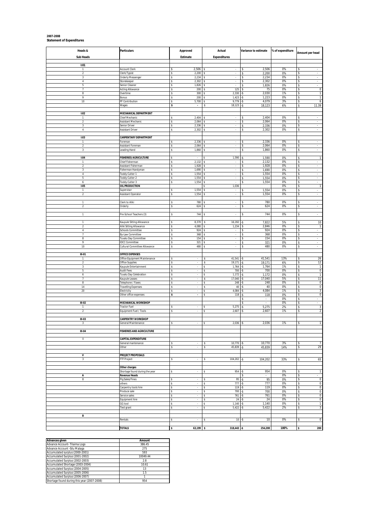| Heads &                       | <b>Particulars</b>                              | Approved                           | Actual                       | Variance to estimate           | % of expenditure | Amount per head                       |
|-------------------------------|-------------------------------------------------|------------------------------------|------------------------------|--------------------------------|------------------|---------------------------------------|
| <b>Sub Heads</b>              |                                                 | Estimate                           | <b>Expenditures</b>          |                                |                  |                                       |
| 1:01                          |                                                 |                                    |                              |                                |                  |                                       |
| $\mathbf{1}$                  | Account Clerk                                   | 2,506<br>s                         | $\sim$                       | 2,506<br>\$                    | 0%               | -S                                    |
| $\sqrt{2}$                    | Clerk/Typist                                    | 2,200<br>\$                        |                              | 2,200<br>\$                    | 0%               | s                                     |
| 3                             | Orderly Messenger                               | 2,234<br>\$                        | $\cdot$                      | 2,234<br>\$                    | 0%               | \$                                    |
| $\sqrt{4}$<br>5               | Storekeeper                                     | 2,302                              | $\overline{\phantom{a}}$     | \$<br>2,302                    | 0%               | \$<br>$\overline{\phantom{a}}$        |
| $\overline{7}$                | Senior Cleaner<br>Acting Allowance              | 1,826<br>s<br>200<br>\$            | $\sim$<br>125                | 1,826<br>\$<br>75<br>\$        | 0%<br>0%         | s<br>$\sim$<br>s<br>$\mathbf 0$       |
| $\bf8$                        | Overtime                                        | 300<br>s                           | 2,330                        | 2,030<br>-\$                   | 1%               | $\mathbf{1}$<br>s                     |
| 9                             | Bonus                                           | 200<br>\$                          | 1,423                        | ٠\$<br>1,223                   | 0%               | s<br>1                                |
| 10                            | PF Contribution                                 | 5,700<br>\$.                       | 9,779                        | 4,079<br>-\$                   | 3%               | s<br>$\boldsymbol{6}$                 |
|                               | Wages                                           | \$<br>$\epsilon$                   | 18,123                       | 18,123<br>۰S                   | 6%               | 11.39<br>\$                           |
| 1:02                          | MECHANICAL DEPARTMENT                           |                                    |                              |                                |                  |                                       |
| $\mathbf{1}$                  | Chief Mechanic                                  | 2,404                              | $\sim$                       | 2,404<br>\$                    | 0%               | -S<br>$\sim$                          |
| $\,2$                         | Assistant Mechanic                              | 2,064                              | $\cdot$                      | 2,064<br>\$                    | 0%               | s<br>$\sim$                           |
| 3<br>$\sqrt{4}$               | Senior Driver<br><b>Assistant Driver</b>        | 2,336<br>\$.<br>2,302              | ÷                            | 2,336<br>\$<br>\$<br>2,302     | 0%<br>0%         | \$<br>÷.<br>s<br>×.                   |
|                               |                                                 |                                    |                              |                                |                  |                                       |
| I:03                          | <b>CARPENTARY DEPARTMENT</b>                    |                                    |                              |                                |                  |                                       |
| $\mathbf{1}$                  | Foreman                                         | 2,336<br>\$                        | s                            | 2,336<br>\$                    | 0%               | s                                     |
| $\,2$                         | Assistant Foreman                               | 2,064<br>\$                        | $\cdot$<br>s.                | \$<br>2,064                    | 0%<br>0%         | \$<br>$\overline{\phantom{a}}$<br>s   |
| $\mathbf{3}$                  | Leading Hand                                    | 1,860<br>\$                        | $\sim$                       | 1,860<br>\$                    |                  | $\sim$                                |
| I:04                          | <b>FISHERIES/AGRICULTURE</b>                    | ×,                                 | 1,590                        | 1,590<br>٠Ŝ                    | 0%               | s<br>$\mathbf{1}$                     |
| $\mathbf{1}$                  | Chief Fisherman                                 | 2,132<br>s                         | ×.<br>s                      | 2,132<br>s.                    | 0%               | <sub>S</sub><br>$\sim$                |
| $\sqrt{2}$                    | Assistant Fisherman                             | 1,928<br>\$                        | ٠                            | 1,928<br>\$                    | 0%               | s<br>÷.                               |
| 3<br>$\sqrt{4}$               | isherman Handyman<br><b>Foddy Cutter 1</b>      | 1,690<br>\$<br>1,554<br>\$         | $\overline{\phantom{a}}$     | 1,690<br>\$<br>\$<br>1,554     | 0%<br>0%         | s<br>\$<br>÷.                         |
| 5                             | <b>Toddy Cutter 2</b>                           | 1,554<br>s                         | ٠<br>$\sim$                  | 1,554<br>\$                    | 0%               | s<br>$\sim$                           |
| 6                             | Toddy Cutter 3                                  | \$<br>1,554                        | $\cdot$                      | 1,554<br>\$                    | 0%               | \$<br>$\sim$                          |
| I:05                          | OIL PRODUCTION                                  |                                    | 1,036                        |                                | 0%               | $\overline{1}$<br>s                   |
| 1                             | Supervisor                                      | 1,554                              | i,<br>$\sim$                 | 1,554                          | 0%               | \$<br>à.<br>$\sim$                    |
| $\overline{2}$                | Assistant Operator                              | 1,554<br>s                         |                              | 1,554<br>\$                    | 0%               | s                                     |
| 1                             | Clerk to Aliki                                  | 780<br>s                           | $\overline{\phantom{a}}$     | 780<br>\$                      | 0%               | \$                                    |
| $\,2$                         | Orderly                                         | 624<br>s                           | $\cdot$                      | \$<br>624                      | 0%               | \$<br>$\sim$                          |
|                               |                                                 |                                    |                              |                                |                  |                                       |
| $\mathbf{1}$                  | Pre-School Teachers (3)                         | 744<br>s                           | $\sim$                       | 744<br>\$                      | 0%               | $\sim$<br>s.                          |
| $\mathbf{1}$                  | Kaupule Sitting Allowance                       | 8,370                              | 16,192                       | 7,822<br>۰Ŝ                    | 5%               | 10<br>s                               |
| $\,2$                         | Aliki Sitting Allowance                         | 4,080<br>\$                        | 1,234                        | 2,846<br>\$                    | 0%               | $\mathbf{1}$<br>s.                    |
| $\sqrt{4}$                    | Schools Committee                               | 924<br>\$                          |                              | 924<br>\$                      | 0%               | \$                                    |
| $\overline{\phantom{a}}$<br>8 | By-Law Committee<br>Fuvalu Day Committee        | \$<br>368<br>\$<br>154             |                              | 368<br>\$<br>\$<br>154         | 0%<br>0%         | \$<br>\$<br>$\bar{\phantom{a}}$       |
| 9                             | <b>IDCC Committee</b>                           | 321<br>\$                          | $\cdot$<br>$\sim$            | 321<br>\$                      | 0%               | s<br>$\sim$                           |
| 10                            | Cultural Committee Allowance                    | \$<br>480                          | $\sim$                       | 480<br>\$                      | 0%               | s<br>$\sim$                           |
|                               |                                                 |                                    |                              |                                |                  |                                       |
| <b>III-01</b>                 | <b>OFFICE EXPENSES</b>                          |                                    |                              |                                |                  |                                       |
| 1<br>$\sqrt{2}$               | Office Equipment Maintenance<br>Office Supplies | s<br>s<br>$\overline{\phantom{a}}$ | 41,541<br>\$<br>\$<br>19,171 | 41,541<br>-\$<br>19,171<br>-\$ | 13%<br>6%        | 26<br>s<br>\$<br>12                   |
| 3                             | Caupule Entertainment                           | \$<br>$\overline{\phantom{a}}$     | 1,764                        | 1,764<br>-\$                   | 1%               | \$<br>1                               |
| 5                             | <b>Audit Fees</b>                               | s<br>$\sim$                        | 700<br>s                     | 700<br>-\$                     | 0%               | $\overline{0}$<br>s                   |
| 6                             | Tuvalu Day Celebration                          | s<br>$\cdot$                       | 1,172<br>s                   | 1,172<br>-\$                   | 0%               | $\mathbf{1}$<br>s                     |
| $\overline{7}$<br>$\bf 8$     | Kaupule Leases<br>Felephone / Faxes             | s<br>$\cdot$<br>\$<br>i,           | 17,040<br>s<br>248           | 17,040<br>-\$<br>.s<br>248     | 5%<br>0%         | 11<br>\$<br>s<br>$\pmb{0}$            |
| 14                            | <b>Travelling Expenses</b>                      | s<br>$\sim$                        | 40<br>s.                     | 40<br>-\$                      | 0%               | s<br>$\,0\,$                          |
| 20                            | Electricity                                     | s<br>×.                            | 4,084<br>s                   | 4,084<br>۰\$                   | 1%               | 3<br>\$                               |
|                               | Other office expenses                           | s<br>٠                             | 118<br>s                     | 118<br>-\$                     | 0%               | $\mathbf 0$<br>\$                     |
|                               |                                                 |                                    |                              | \$<br>$\blacksquare$           | 0%<br>0%         | \$<br>٠<br>s                          |
| <b>III-02</b><br>1            | MECHANICAL WORKSHOP<br>Tractor Fuel             |                                    | 5,275                        | \$<br>$\sim$<br>5,275<br>-\$   | 2%               | $\sim$<br>s<br>3                      |
| $\,2\,$                       | Equipment Fuel / Tools                          | Ś                                  | 2,607                        | 2,607<br>٠Ŝ                    | 1%               | $\overline{2}$<br>s                   |
|                               |                                                 |                                    |                              |                                |                  |                                       |
| <b>III-03</b>                 | <b>CARPENTRY WORKSHOP</b>                       |                                    |                              |                                |                  |                                       |
| 3                             | General Maintenance                             |                                    | 2,036                        | 2,036                          | 1%               |                                       |
| $III-04$                      | <b>FISHERIES AND AGRICULTURE</b>                |                                    |                              |                                |                  |                                       |
|                               |                                                 |                                    |                              |                                |                  |                                       |
| $\mathbf{I}$                  | <b>CAPITAL EXPENDITURE</b>                      |                                    |                              |                                |                  |                                       |
|                               | General mantenance<br>Other                     | \$                                 | 10,770<br>Ś<br>\$            | 10,770<br>-\$<br>45,839<br>-\$ | 3%<br>14%        | \$<br>7<br>29<br>s                    |
|                               |                                                 |                                    | 45,839                       |                                |                  |                                       |
| V                             | PROJECT PROPOSALS                               |                                    |                              |                                |                  |                                       |
| 3                             | FTF Project                                     |                                    | 104,202<br>s                 | 104,202<br>-\$                 | 33%              | 65<br>\$                              |
|                               |                                                 |                                    |                              |                                |                  |                                       |
|                               | Other charges<br>Shortage found during the year | ×.                                 | 954                          | 954<br>-\$                     | 0%               | $\mathbf{1}$<br><sup>\$</sup>         |
| A                             | <b>Revenue Heads</b>                            |                                    |                              | \$                             | 0%               | \$                                    |
| $\bf 8$                       | Pig Sales/Fines                                 | $\sim$<br>s                        | 95<br>s.                     | 95<br>-\$                      | 0%               | <sub>S</sub><br>$\,0\,$               |
|                               | others                                          | \$<br>×.                           | 777<br>\$                    | 777<br>-\$                     | 0%               | $\boldsymbol{0}$<br>s                 |
|                               | Carpentry tools hire                            | s<br>$\overline{\phantom{a}}$      | \$<br>119                    | 119<br>-\$                     | 0%               | \$<br>$\bf 0$                         |
|                               | Produce sale<br>Service sales                   | s<br>٠<br>s<br>$\sim$              | 700<br>s<br>761<br>s         | 700<br>-\$<br>761<br>-\$       | 0%<br>0%         | $\pmb{0}$<br>s<br>$\overline{0}$<br>s |
|                               | Equipment hire                                  | s<br>$\cdot$                       | 24<br>s                      | 24<br>-\$                      | 0%               | $\mathbf 0$<br>s                      |
|                               | GG tool                                         | s<br>÷                             | 1,140                        | 1,140<br>-\$                   | 0%               | \$<br>$\mathbf{1}$                    |
|                               | Tied grant                                      |                                    | 5,422                        | 5,422<br>.Ŝ                    | 2%               | Ŝ<br>3                                |
|                               |                                                 |                                    |                              |                                |                  |                                       |
| B                             | Rentals                                         | s                                  | \$<br>10                     | 10<br>-\$                      | 0%               | $\bf 0$<br>\$                         |
|                               |                                                 |                                    |                              |                                |                  |                                       |
|                               | <b>TOTALS</b>                                   | 63,199 \$<br>s                     | $318,443 - $$                | 254,208                        | 100%             | \$<br>200                             |

| Advances given                              | Amount   |
|---------------------------------------------|----------|
| Advance Account- Tilaima Logo               | 386.45   |
| Advance Account - Silu Malaga               | 275      |
| Accumulated surplus (2000-2001)             | 593      |
| Accumulated Surplus (2001-2002)             | 10049.44 |
| Accumulated Surplus (2002-2003)             | 2.8      |
| Accumulated Shortage (2003-2004)            | 10.61    |
| Accumulated Surplus (2004-2005)             | 13       |
| Accumulated Surplus (2005-2006)             | 1.5      |
| Accumulated Surplus (2006-2007)             |          |
| Shortage found during this year (2007-2008) | 954      |

# **2007-2008 Statement of Expenditures**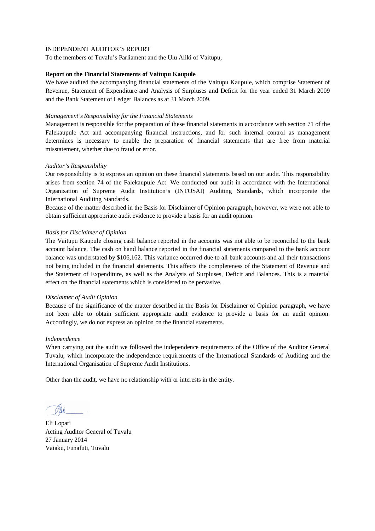To the members of Tuvalu's Parliament and the Ulu Aliki of Vaitupu,

# **Report on the Financial Statements of Vaitupu Kaupule**

We have audited the accompanying financial statements of the Vaitupu Kaupule, which comprise Statement of Revenue, Statement of Expenditure and Analysis of Surpluses and Deficit for the year ended 31 March 2009 and the Bank Statement of Ledger Balances as at 31 March 2009.

# *Management's Responsibility for the Financial Statements*

Management is responsible for the preparation of these financial statements in accordance with section 71 of the Falekaupule Act and accompanying financial instructions, and for such internal control as management determines is necessary to enable the preparation of financial statements that are free from material misstatement, whether due to fraud or error.

# *Auditor's Responsibility*

Our responsibility is to express an opinion on these financial statements based on our audit. This responsibility arises from section 74 of the Falekaupule Act. We conducted our audit in accordance with the International Organisation of Supreme Audit Institution's (INTOSAI) Auditing Standards, which incorporate the International Auditing Standards.

Because of the matter described in the Basis for Disclaimer of Opinion paragraph, however, we were not able to obtain sufficient appropriate audit evidence to provide a basis for an audit opinion.

# *Basis for Disclaimer of Opinion*

The Vaitupu Kaupule closing cash balance reported in the accounts was not able to be reconciled to the bank account balance. The cash on hand balance reported in the financial statements compared to the bank account balance was understated by \$106,162. This variance occurred due to all bank accounts and all their transactions not being included in the financial statements. This affects the completeness of the Statement of Revenue and the Statement of Expenditure, as well as the Analysis of Surpluses, Deficit and Balances. This is a material effect on the financial statements which is considered to be pervasive.

#### *Disclaimer of Audit Opinion*

Because of the significance of the matter described in the Basis for Disclaimer of Opinion paragraph, we have not been able to obtain sufficient appropriate audit evidence to provide a basis for an audit opinion. Accordingly, we do not express an opinion on the financial statements.

#### *Independence*

When carrying out the audit we followed the independence requirements of the Office of the Auditor General Tuvalu, which incorporate the independence requirements of the International Standards of Auditing and the International Organisation of Supreme Audit Institutions.

Eli Lopati Acting Auditor General of Tuvalu 27 January 2014 Vaiaku, Funafuti, Tuvalu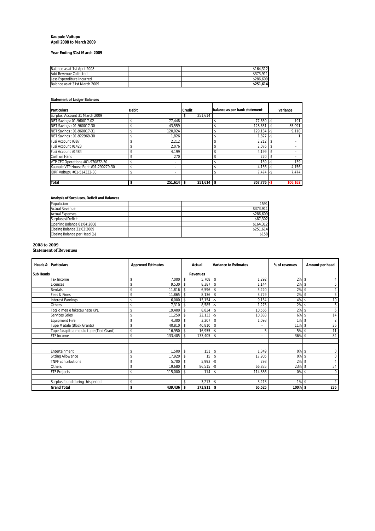#### **Kaupule Vaitupu April 2008 to March 2009**

# **Year Ending 31st March 2009**

| Balance as at 1st April 2008  |  | \$164.312 |
|-------------------------------|--|-----------|
| Add Revenue Collected         |  | \$373.911 |
| Less Expenditure Incurred     |  | \$286.609 |
| Balance as at 31st March 2009 |  | \$251.614 |

#### **Statement of Ledger Balances**

| <b>Particulars</b>                   | <b>Debit</b> |         | <b>Credit</b> | balance as per bank statement |     | variance |
|--------------------------------------|--------------|---------|---------------|-------------------------------|-----|----------|
| Surplus Account 31 March 2009        |              |         | 251,614<br>\$ |                               |     |          |
| NBT Savings: 01-960017-02            |              | 77.448  |               | $77.639 - $$                  |     | 191      |
| NBT Savings: 01-960017-30            |              | 43.559  |               | 128.651                       |     | 85,091   |
| NBT Savings: 01-960017-31            | \$           | 120.024 |               | $129.134 - S$                 |     | 9.110    |
| NBT Savings: 01-922969-30            |              | 1.826   |               | 1.827                         | l-s |          |
| Fusi Account #387                    |              | 2.212   |               | 2.212                         |     |          |
| Fusi Account #1423                   |              | 2,076   |               | 2,076                         |     |          |
| Fusi Account #1484                   |              | 4,199   |               | 4,199                         |     |          |
| Cash on Hand                         |              | 270     |               | 270                           |     |          |
| VTP CFC Operations #01-970872-30     |              | ٠       |               | 139                           |     | 139      |
| Kaupule VTP House Rent #01-290279-30 | \$           | ٠       |               | $4,156 - $$                   |     | 4,156    |
| IDRF Vaitupu #01-514332-30           | \$           | ۰       |               | $7.474 - S$                   |     | 7.474    |
|                                      |              |         |               |                               |     |          |
| <b>Total</b>                         | \$           | 251.614 | 251,614       | 357.776                       |     | 106,162  |

#### **Analysis of Surpluses, Deficit and Balances**

| Population                    |  | 1591      |
|-------------------------------|--|-----------|
| <b>Actual Revenue</b>         |  | \$373.911 |
| <b>Actual Expenses</b>        |  | \$286.609 |
| Surpluses/Deficit             |  | \$87,302  |
| Opening Balance 01:04:2008    |  | \$164.312 |
| Closing Balance 31:03:2009    |  | \$251,614 |
| Closing Balance per Head (\$) |  | \$158     |

#### **2008 to 2009**

**Statement of Revenues**

|                  | Heads & Particulars                     | <b>Approved Estimates</b> | Actual                             | <b>Variance to Estimates</b>   | % of revenues | Amount per head                 |
|------------------|-----------------------------------------|---------------------------|------------------------------------|--------------------------------|---------------|---------------------------------|
| <b>Sub Heads</b> |                                         |                           | <b>Revenues</b>                    |                                |               |                                 |
|                  | Tax Income                              | 7,000<br>\$               | $5,708$ \$<br>s.                   | 1.292                          | $2\%$ \$      |                                 |
|                  | Licences                                | 9,530<br>\$               | 8,387<br>$\mathbf{s}$              | s.<br>1,144                    | 2%            | 5<br>\$.                        |
|                  | Rentals                                 | 11,816<br>\$              | 6,596<br>$\mathbf{\hat{s}}$        | 5,220<br>\$.                   | 2%            | \$<br>4                         |
|                  | Fees & Fines                            | 11,865<br>\$              | $8,136$ \$<br>-S                   | 3,729                          | 2% \$         | 5                               |
|                  | <b>Interest Earnings</b>                | \$<br>6,000               | $15,154 - $$<br>$\mathbf{\hat{s}}$ | 9,154                          | 4%            | 10<br>\$                        |
|                  | Others                                  | 7,310<br>\$               | $8,585 - $$<br>\$.                 | 1,275                          | 2% \$         | 5                               |
|                  | Togi o mea e fakatau nete KPL           | 19,400<br>\$              | 8,834<br>-\$                       | 10,566<br>s.                   | $2\%$ \$      | 6                               |
|                  | Services Sales                          | 11,250<br>\$              | $22,133 - $$<br><sup>\$</sup>      | 10,883                         | 6%            | 14<br><sup>\$</sup>             |
|                  | <b>Equipment Hire</b>                   | 4,300<br>\$               | 3,207<br>$\mathbf{s}$              | 1,093<br>s.                    | $1\%$ \$      | $\overline{2}$                  |
|                  | Tupe Matala (Block Grants)              | \$<br>40,810              | 40,810<br>-S                       | s.                             | 11% \$        | 26                              |
|                  | Tupe fakapitoa mo ulu tupe (Tied Grant) | 16,950<br>\$              | $16,955 - $$<br>-S                 | 5                              | 5% \$         | 11                              |
|                  | FTF Income                              | 133,405<br>\$             | 133,405<br>-S                      | \$<br>$\overline{\phantom{a}}$ | 36% \$        | 84                              |
|                  |                                         |                           |                                    |                                |               |                                 |
|                  | Entertainment                           | 1,500<br>\$               | 151<br>$\mathbf{s}$                | <sup>\$</sup><br>1,349         | 0% \$         | $\mathbf 0$                     |
|                  | <b>Sitting Allowance</b>                | 17,920<br>\$              | 15<br>-S                           | 17,905<br>\$                   | 0%            | $\mathbf 0$<br>s                |
|                  | <b>TNPF</b> contributions               | 5,700<br>\$               | $5,993 - $$<br>-S                  | 293                            | 2%            | <sup>\$</sup><br>$\overline{4}$ |
|                  | Others                                  | 19,680<br>\$              | $86,515 - $$<br>-S                 | 66,835                         | 23% \$        | 54                              |
|                  | <b>FTF Projects</b>                     | 115,000<br>\$             | 114<br>$\mathbf{s}$                | 114,886<br>s.                  | 0%            | $\mathbf 0$<br>\$               |
|                  |                                         |                           |                                    |                                |               |                                 |
|                  | Surplus found during this period        | \$                        | $3,213 - $$<br>\$                  | 3,213                          | $1\%$ \$      | $\overline{2}$                  |
|                  | <b>Grand Total</b>                      | 439,436<br>\$             | $373,911$ \$<br>Ŝ.                 | 65,525                         | $100\%$ \$    | 235                             |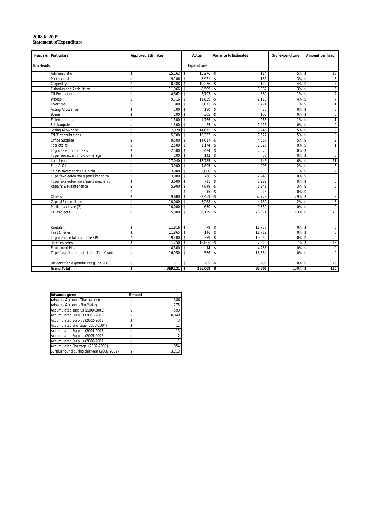| Heads &   | <b>Particulars</b>                      | <b>Approved Estimates</b> | Actual                         | <b>Variance to Estimates</b> | % of expenditure | Amount per head                   |
|-----------|-----------------------------------------|---------------------------|--------------------------------|------------------------------|------------------|-----------------------------------|
| Sub Heads |                                         |                           | Expenditure                    |                              |                  |                                   |
|           | Administration                          | 15,162<br>\$              | $15,276$ -\$<br>s.             | 114                          | $5\%$ \$         | 10                                |
|           | Mechanical                              | \$<br>9.106               | $8.921$ \ \$<br>s.             | 185                          | 3%               | 6<br>s.                           |
|           | Carpentry                               | \$<br>10.388              | \$<br>$10,276$ \$              | 112                          | 4%               | $\mathsf{s}$<br>6                 |
|           | <b>Fisheries and Agriculture</b>        | \$<br>11,966              | $8,599$ \$<br>s.               | 3,367                        | 3%               | 5<br>s.                           |
|           | Oil Production                          | \$<br>4,662               | s.<br>$3,793$ \$               | 869                          | 1%               | $\overline{2}$<br>s.              |
|           | Wages                                   | \$<br>9,716               | s.<br>11,829                   | $-$ s<br>2,113               | 4%               | $\overline{7}$<br>$\mathsf{s}$    |
|           | Overtime                                | \$<br>300                 | \$<br>2,071                    | $-5$<br>1,771                | 1%               | \$<br>$\overline{1}$              |
|           | <b>Acting Allowance</b>                 | \$<br>200                 | \$<br>180                      | $\mathbf S$<br>20            | 0%               | $\mathbf{\hat{s}}$<br>$\mathbf 0$ |
|           | <b>Bonus</b>                            | \$<br>200                 | 305<br>\$                      | 105<br>$-5$                  | 0%               | $\overline{0}$<br>\$              |
|           | Entertainment                           | \$<br>1.500               | \$<br>$1.766 - $$              | 266                          | 1%               | $\mathbf{1}$<br>$\mathsf{s}$      |
|           | Falekaupule                             | \$<br>1,500               | \$<br>85                       | $\mathsf{\$}$<br>1,415       | 0%               | $\mathsf 0$<br>\$                 |
|           | <b>Sitting Allowance</b>                | \$<br>17,920              | \$<br>$14,675$ \$              | 3,245                        | 5%               | 9<br>s.                           |
|           | <b>TNPF contributions</b>               | \$<br>5,700               | $13,322$ -\$<br>s.             | 7.622                        | 5%               | 8<br>$\mathsf{s}$                 |
|           | Office Supplies                         | \$<br>9,500               | \$<br>14,017                   | $-$ s<br>4,517               | 5%               | 9<br>\$                           |
|           | Togi ote iti                            | \$<br>2,500               | \$<br>1,174                    | $\mathsf{\$}$<br>1,326       | 0%               | $\mathsf{s}$<br>$\mathbf{1}$      |
|           | Togi o telefoni mo fekisi               | \$<br>2,500               | \$<br>424S                     | 2,076                        | 0%               | $\mathbf 0$<br><sup>\$</sup>      |
|           | Tupe fesoasoani mo olo-malaga           | \$<br>200                 | 142<br>\$                      | 58<br>$\sqrt{2}$             | 0%               | $\mathbf 0$<br>\$                 |
|           | Land Lease                              | \$<br>17.040              | 17,785<br>\$                   | $-$ \$<br>745                | 6%               | -S<br>11                          |
|           | Fuel & Oil                              | \$<br>3,900               | \$<br>4,805                    | $\mathsf{L}$<br>905          | 2%               | $\mathsf{s}$<br>3                 |
|           | Te aso fakamanatu o Tuvalu              | \$<br>3,000               | s.<br>3,000                    | \$<br>×.                     | 1%               | $\overline{2}$<br><sup>\$</sup>   |
|           | Tupe fakaleoleo mo s/parts kapenita     | s<br>3,000                | \$<br>760                      | 2,240<br>$\mathsf{s}$        | 0%               | $\overline{0}$<br>\$              |
|           | Tupe fakaleoleo mo s/parts mechanic     | \$<br>3,000               | \$<br>711                      | $\mathsf{s}$<br>2.289        | 0%               | -S<br>0                           |
|           | Repairs & Maintenance                   | \$<br>5,900               | 7,849<br>\$                    | $-$ s<br>1.949               | 3%               | 5<br>$\mathsf{s}$                 |
|           |                                         | \$                        | 15<br>\$                       | $-$ \$<br>15                 | 0%               | $\mathbf 0$<br>$\mathsf{s}$       |
|           | Others                                  | \$<br>19.680              | \$<br>82,459                   | 62,779<br>$-$ \$             | 29%              | 52<br>$\mathbf{\hat{s}}$          |
|           | Capital Expenditure                     | \$<br>10.000              | s.<br>$5,268$ \$               | 4,732                        | 2%               | $\mathbf{3}$<br>$\mathsf{s}$      |
|           | Pasika taa-kivae (2)                    | \$<br>10,000              | 650<br>s.                      | 9,350<br>$\mathsf{s}$        | 0%               | $\mathbf 0$<br>-\$                |
|           | <b>FTF Projects</b>                     | \$<br>115,000             | \$<br>36,129                   | 78.871<br>$\mathsf{\$}$      | 13%              | 23<br>$\mathsf{s}$                |
|           |                                         |                           |                                |                              |                  |                                   |
|           |                                         |                           |                                |                              |                  |                                   |
|           | Rentals                                 | \$<br>$11,816$ \$         | $79$ \ \$                      | 11,738                       | $0\%$ \$         | $\mathsf 0$                       |
|           | Fees & Fines                            | \$<br>11.865              | l s<br>146                     | $\mathbf{\hat{s}}$<br>11,719 | 0%               | $\mathbf{\hat{s}}$<br>$\mathsf 0$ |
|           | Togi o mea e fakatau nete KPL           | \$<br>19.400              | 359<br>$\overline{\mathsf{s}}$ | 19.042<br>\$                 | 0%               | $\overline{0}$<br>$\mathsf{s}$    |
|           | Services Sales                          | \$<br>11,250              | s.<br>$18,866$ -\$             | 7,616                        | 7%               | 12<br>$\mathsf{s}$                |
|           | <b>Equipment Hire</b>                   | \$<br>4,300               | \$<br>14                       | $\mathbf S$<br>4.286         | 0%               | \$<br>$\mathbf 0$                 |
|           | Tupe fakapitoa mo ulu tupe (Tied Grant) | \$<br>16,950              | \$<br>566                      | 16,384<br>\$                 | 0%               | $\mathsf{s}$<br>$\mathbf 0$       |
|           |                                         |                           |                                |                              |                  |                                   |
|           | Unidentified expenditures (June 2008)   | \$                        | $295 - $$<br>s.                | 295                          | 0%               | 0.19<br>s.                        |
|           | <b>Grand Total</b>                      | \$<br>369,121             | s.<br>$286,609$ \$             | 82,806                       | 100%             | 180<br>S.                         |

#### **2008 to 2009 Statement of Expenditure**

| <b>Advances given</b>                      | Amount |                |
|--------------------------------------------|--------|----------------|
| Advance Account- Tilaima Logo              | \$     | 386            |
| Advance Account - Silu Malaga              | \$     | 275            |
| Accumulated surplus (2000-2001)            | \$     | 593            |
| Accumulated Surplus (2001-2002)            | \$     | 10.049         |
| Accumulated Surplus (2002-2003)            | \$     | 3              |
| Accumulated Shortage (2003-2004)           | \$     | 11             |
| Accumulated Surplus (2004-2005)            | \$     | 13             |
| Accumulated Surplus (2005-2006)            | \$     | $\mathfrak{p}$ |
| Accumulated Surplus (2006-2007)            | \$     |                |
| Accumulated Shortage (2007-2008)           | \$     | 954            |
| Surplus found during this year (2008-2009) | \$     | 3.213          |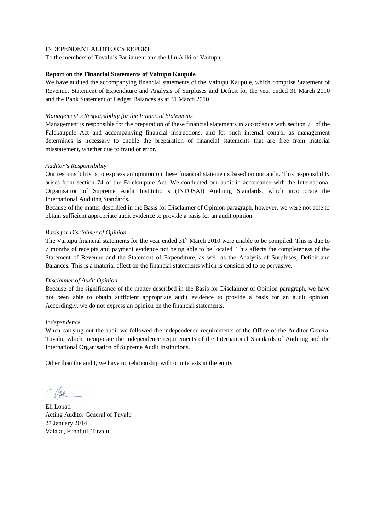To the members of Tuvalu's Parliament and the Ulu Aliki of Vaitupu,

# **Report on the Financial Statements of Vaitupu Kaupule**

We have audited the accompanying financial statements of the Vaitupu Kaupule, which comprise Statement of Revenue, Statement of Expenditure and Analysis of Surpluses and Deficit for the year ended 31 March 2010 and the Bank Statement of Ledger Balances as at 31 March 2010.

# *Management's Responsibility for the Financial Statements*

Management is responsible for the preparation of these financial statements in accordance with section 71 of the Falekaupule Act and accompanying financial instructions, and for such internal control as management determines is necessary to enable the preparation of financial statements that are free from material misstatement, whether due to fraud or error.

# *Auditor's Responsibility*

Our responsibility is to express an opinion on these financial statements based on our audit. This responsibility arises from section 74 of the Falekaupule Act. We conducted our audit in accordance with the International Organisation of Supreme Audit Institution's (INTOSAI) Auditing Standards, which incorporate the International Auditing Standards.

Because of the matter described in the Basis for Disclaimer of Opinion paragraph, however, we were not able to obtain sufficient appropriate audit evidence to provide a basis for an audit opinion.

# *Basis for Disclaimer of Opinion*

The Vaitupu financial statements for the year ended  $31<sup>st</sup>$  March 2010 were unable to be compiled. This is due to 7 months of receipts and payment evidence not being able to be located. This affects the completeness of the Statement of Revenue and the Statement of Expenditure, as well as the Analysis of Surpluses, Deficit and Balances. This is a material effect on the financial statements which is considered to be pervasive.

#### *Disclaimer of Audit Opinion*

Because of the significance of the matter described in the Basis for Disclaimer of Opinion paragraph, we have not been able to obtain sufficient appropriate audit evidence to provide a basis for an audit opinion. Accordingly, we do not express an opinion on the financial statements.

#### *Independence*

When carrying out the audit we followed the independence requirements of the Office of the Auditor General Tuvalu, which incorporate the independence requirements of the International Standards of Auditing and the International Organisation of Supreme Audit Institutions.

Eli Lopati Acting Auditor General of Tuvalu 27 January 2014 Vaiaku, Funafuti, Tuvalu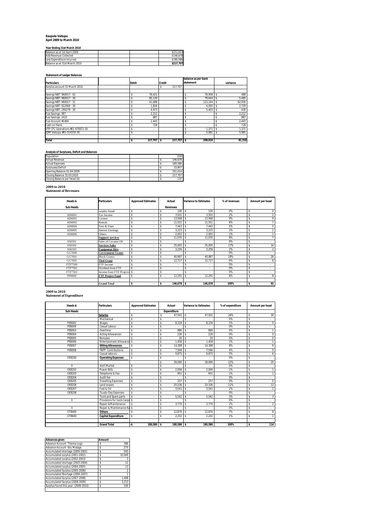# **Kaupule Vaitupu April 2009 to March 2010**

#### **Year Ending 31st March 2010**

| Balance as at 1st April 2009  |  | \$251.614 |
|-------------------------------|--|-----------|
| Add Revenue Collected         |  | \$146.678 |
| Less Expenditure Incurred     |  | \$180.586 |
| Balance as at 31st March 2010 |  | \$217.707 |

#### **Statement of Ledger Balances**

|                                  |              |               | balance as per bank            |              |
|----------------------------------|--------------|---------------|--------------------------------|--------------|
| <b>Particulars</b>               | <b>Debit</b> | <b>Credit</b> | statement                      | variance     |
| Surplus account 31 March 2010    |              | 217.707<br>\$ |                                |              |
|                                  |              |               |                                |              |
| Savings NBT: 960017 - 02         | 78.421       |               | 78.908                         | 488<br>\$    |
| Savings NBT: 960017 - 30         | 85.130       |               | 79.644                         | 5,485<br>-Ŝ  |
| Savings NBT: 960017 - 31         | 41.088       |               | 123.144                        | 82,056<br>\$ |
| Savings NBT: 922969 - 30         | 1.826        |               | 4,565                          | 2,739        |
| Savings NBT: 290279 - 30         | 4.973        |               | 5,403                          | 430          |
| Fusi Savings: 387                | 2.212        |               | \$<br>$\sim$                   | 2,212<br>۰S  |
| Fusi Savings: 1423               | 887          |               | \$<br>$\overline{\phantom{a}}$ | 887<br>۰Ŝ    |
| Fusi Account #1484               | 2.443        |               | \$                             | 2,443<br>۰S  |
| Cash on Hand                     | 728          |               | ٠.                             | 728          |
| VTP CFC Operations #01-970872-30 | ٠            |               | 1.371                          | 1,371        |
| IDRF Vaitupu #01-514332-30       | ٠            |               | 5,981<br>\$                    | 5.981<br>s   |
| <b>Total</b>                     | 217,707 \$   | 217,707 \$    | 299,016                        | 81,310       |

#### **Analysis of Surpluses, Deficit and Balances**

| Population                    |  | 1591    |
|-------------------------------|--|---------|
| <b>Actual Revenue</b>         |  | 146.678 |
| <b>Actual Expenses</b>        |  | 180.586 |
| Surpluses/Deficit             |  | 33.907  |
| Opening Balance 01:04:2009    |  | 251.614 |
| Closing Balance 31:03:2010    |  | 217.707 |
| Closing Balance per Head (\$) |  | 137     |

# **2009 to 2010 Statement of Revenues**

| Heads &          | <b>Particulars</b>          | <b>Approved Estimates</b>      | Actual            | <b>Variance to Estimates</b>       | % of revenues | Amount per head      |
|------------------|-----------------------------|--------------------------------|-------------------|------------------------------------|---------------|----------------------|
| <b>Sub Heads</b> |                             |                                | <b>Revenues</b>   |                                    |               |                      |
|                  | surplus found               | \$<br>$\overline{\phantom{a}}$ | 100S<br>Ŝ         | 100                                | 0%            | \$<br>0              |
| AD6001           | Tax Income                  | \$<br>٠                        | $3,501$ \$<br>Ŝ   | 3,501                              | 2%            | 2<br>\$              |
| AD6002           | License                     | \$<br>$\overline{\phantom{a}}$ | $13,568$ \$<br>Ŝ  | 13.568                             | 9%            | 9<br>\$              |
| AD6003           | Rentals                     | \$<br>$\overline{\phantom{a}}$ | 11,551            | 11,551<br>$\overline{1}$           | 8%            | 7<br>\$              |
| AD6004           | Fees & Fines                | \$<br>٠                        | $7,443$ \$<br>¢   | 7.443                              | 5%            | 5<br>\$              |
| AD6005           | <b>Interest Earnings</b>    | \$<br>$\sim$                   | $3,223$ \$<br>Ŝ   | 3.223                              | 2%            | $\overline{2}$<br>\$ |
| AD6006           | Others                      | \$<br>٠                        | $2,002$ \$        | 2,002                              | 1%            | \$                   |
|                  | <b>Support services</b>     | \$<br>٠                        | $11,035$ \$<br>Ŝ  | 11.035                             | 8%            | 7<br>\$              |
| SS6501           | Sales of Coconut Oil        | \$<br>٠                        |                   | ٠                                  | 0%            | \$<br>$\mathbf{r}$   |
| SS6502           | <b>Services Sales</b>       | \$<br>٠                        | $25,005$ \$       | 25,005                             | 17%           | 16<br>\$             |
| SS6503           | <b>Equipment Hire</b>       | \$<br>٠                        | 3,256             | 3,256                              | 2%            | $\overline{2}$<br>\$ |
| GG7000           | <b>Government Grants</b>    | \$<br>$\overline{\phantom{a}}$ | i.                | ٠                                  | 0%            | \$<br>$\sim$         |
| GG7001           | <b>Block Grants:</b>        | \$<br>$\sim$                   | 40,987<br>Ŝ       | 40.987<br>$\overline{\phantom{a}}$ | 28%           | 26<br>\$             |
| GG7002           | <b>Tied Grant</b>           | \$<br>$\sim$                   | 12,717            | 12.717<br>$\overline{\phantom{a}}$ | 9%            | 8<br>\$              |
| FTF7500          | FTF Income                  | \$<br>٠                        | i.                | ٠                                  | 0%            | \$<br>$\sim$         |
| FTF7501          | Dividend from FTF           | \$<br>٠                        | Ŝ<br>i.           | ٠                                  | 0%            | \$<br>$\sim$         |
| FTF7502          | Income from FTF Projects \$ | $\sim$                         | Ŝ<br>٠            | \$<br>٠                            | 0%            | \$<br>$\sim$         |
| PP8800           | <b>FTF Project Fund</b>     | \$<br>$\sim$                   | $12,291$ \$<br>\$ | 12,291                             | 8%            | \$<br>8              |
|                  |                             |                                |                   |                                    |               |                      |
|                  | <b>Grand Total</b>          | \$<br>٠                        | 146,678 \$<br>١s  | 146.678                            | 100%          | 92<br>\$             |

#### **2009 to 2010**

 $\mathsf t$ 

| Heads &          | <b>Particulars</b>             | <b>Approved Estimates</b> |    | Actual             |                    | <b>Variance to Estimates</b> | % of expenditure | Amount per head      |
|------------------|--------------------------------|---------------------------|----|--------------------|--------------------|------------------------------|------------------|----------------------|
| <b>Sub Heads</b> |                                |                           |    | <b>Expenditure</b> |                    |                              |                  |                      |
|                  | <b>Salaries</b>                | \$                        | Ŝ  | 47.501             | -\$                | 47.501                       | 26%              | \$<br>30             |
|                  | Mechanical                     | \$                        | Ŝ  |                    | \$                 |                              | 0%               | \$                   |
| PF8002           | Wages                          | \$                        | Ŝ  | 8.334              | \$                 | 8.334                        | 5%               | \$<br>Ę              |
| PE8009           | Casual Labour                  | \$                        | Ŝ  |                    | $\mathbf{\hat{S}}$ |                              | 0%               | \$                   |
| PE8003           | Overtime                       | \$                        | s  | 880                | $\mathbf{\hat{S}}$ | 880                          | 0%               | \$                   |
| PF8004           | <b>Acting Allowances</b>       | \$                        | s  | 226                | \$                 | 226                          | 0%               | \$<br>$\Omega$       |
| PF8005           | <b>Bonuses</b>                 | \$                        | s  | 20                 | $\mathbf{\hat{S}}$ | 20                           | 0%               | \$<br>$\Omega$       |
| PF8006           | <b>Entertainment Allowance</b> | s.                        | Ŝ  | .458               | $\mathbf{\hat{S}}$ | .458                         | 1%               | \$                   |
| PE8007           | <b>Sitting Allowances</b>      | \$                        | \$ | 14,388             | \$                 | 14.388                       | 8%               | \$<br>g              |
| PE8008           | <b>TNPF Contributions</b>      | \$                        | Ŝ  | 7.566              | $\mathbf{\hat{S}}$ | 7.566                        | 4%               | \$<br>5              |
|                  | Casual labours                 | \$                        | s  | 9.875              | \$                 | 9.875                        | 5%               | \$<br>6              |
| OE8200           | <b>Operating Expenses</b>      | \$                        | s  |                    | \$                 |                              | 0%               | \$                   |
|                  |                                |                           | \$ | 39.090             | \$                 | 39.090                       | 22%              | \$<br>25             |
| $\Omega$         | Alofi Market                   | \$                        | s  |                    | $\mathbf{\hat{S}}$ |                              | 0%               | \$                   |
| OF8202           | <b>Power Bills</b>             | \$                        | Ŝ  | 2.006              | \$                 | 2.006                        | 1%               | \$                   |
| OF8203           | Telephone & Fax                | \$                        | s  | 951                | \$                 | 951                          | 1%               | \$                   |
| OE8204           | Audit fee                      | \$                        | Ŝ  |                    | \$                 |                              | 0%               | \$                   |
| OE8205           | <b>Travelling Expenses</b>     | \$                        | Ŝ  | 257                | $\mathbf{\hat{S}}$ | 257                          | 0%               | \$<br>$\overline{0}$ |
| OE8206           | Land Leases                    | \$                        | Ŝ  | 20.106             | s.                 | 20.106                       | 11%              | \$<br>13             |
| OE8207           | Fuel & Oil                     | \$                        | Ŝ  | 3,541              | \$                 | 3.541                        | 2%               | \$<br>2              |
| OE8208           | <b>Tuvalu Day Expenses</b>     | \$                        | Ŝ  |                    | $\mathbf{\hat{S}}$ |                              | 0%               | \$                   |
|                  | Tools and Spare parts          | \$                        | s  | 5,542              | \$                 | 5.542                        | 3%               | \$<br>3              |
| $\Omega$         | Provisions for tools Carpe \$  |                           | s  |                    | \$                 |                              | 0%               | \$                   |
|                  | Repair & Maintenance           | \$                        | s  | 3.770              | \$                 | 3.770                        | 2%               | \$<br>$\overline{2}$ |
| $\Omega$         | Repair & Maintenance Ka \$     |                           | s  |                    | \$                 |                              | 0%               | \$                   |
| OT8400           | <b>Others</b>                  | \$                        | s  | 12.876             | \$                 | 12.876                       | 7%               | \$<br>g              |
| OT8600           | <b>Capital Expenditure</b>     | \$                        | s  | 2.202              | \$                 | 2.202                        | 1%               | \$                   |
|                  |                                |                           |    |                    |                    |                              |                  |                      |

**Grand Total -\$ 180,586 \$ 180,586 \$ 180,586 100% \$ 114**

| Amount |                 |
|--------|-----------------|
| s      | 386             |
| \$     | 275             |
| \$     | 593             |
| \$     | 10.049          |
| Ś      | 3               |
| \$     | $\overline{11}$ |
| Ś      | 13              |
| Ś      | $\overline{2}$  |
| Ś      |                 |
| \$     | 1.498           |
| \$     | 3.213           |
| \$     | 100             |
|        |                 |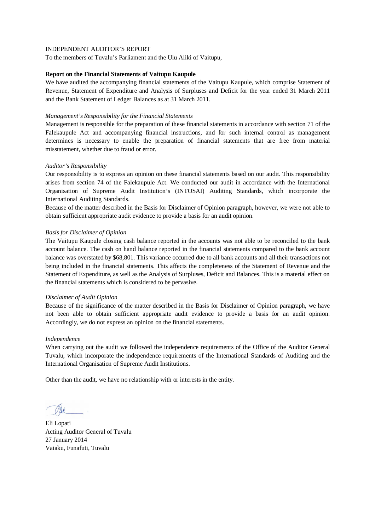To the members of Tuvalu's Parliament and the Ulu Aliki of Vaitupu,

# **Report on the Financial Statements of Vaitupu Kaupule**

We have audited the accompanying financial statements of the Vaitupu Kaupule, which comprise Statement of Revenue, Statement of Expenditure and Analysis of Surpluses and Deficit for the year ended 31 March 2011 and the Bank Statement of Ledger Balances as at 31 March 2011.

# *Management's Responsibility for the Financial Statements*

Management is responsible for the preparation of these financial statements in accordance with section 71 of the Falekaupule Act and accompanying financial instructions, and for such internal control as management determines is necessary to enable the preparation of financial statements that are free from material misstatement, whether due to fraud or error.

# *Auditor's Responsibility*

Our responsibility is to express an opinion on these financial statements based on our audit. This responsibility arises from section 74 of the Falekaupule Act. We conducted our audit in accordance with the International Organisation of Supreme Audit Institution's (INTOSAI) Auditing Standards, which incorporate the International Auditing Standards.

Because of the matter described in the Basis for Disclaimer of Opinion paragraph, however, we were not able to obtain sufficient appropriate audit evidence to provide a basis for an audit opinion.

#### *Basis for Disclaimer of Opinion*

The Vaitupu Kaupule closing cash balance reported in the accounts was not able to be reconciled to the bank account balance. The cash on hand balance reported in the financial statements compared to the bank account balance was overstated by \$68,801. This variance occurred due to all bank accounts and all their transactions not being included in the financial statements. This affects the completeness of the Statement of Revenue and the Statement of Expenditure, as well as the Analysis of Surpluses, Deficit and Balances. This is a material effect on the financial statements which is considered to be pervasive.

#### *Disclaimer of Audit Opinion*

Because of the significance of the matter described in the Basis for Disclaimer of Opinion paragraph, we have not been able to obtain sufficient appropriate audit evidence to provide a basis for an audit opinion. Accordingly, we do not express an opinion on the financial statements.

#### *Independence*

When carrying out the audit we followed the independence requirements of the Office of the Auditor General Tuvalu, which incorporate the independence requirements of the International Standards of Auditing and the International Organisation of Supreme Audit Institutions.

Eli Lopati Acting Auditor General of Tuvalu 27 January 2014 Vaiaku, Funafuti, Tuvalu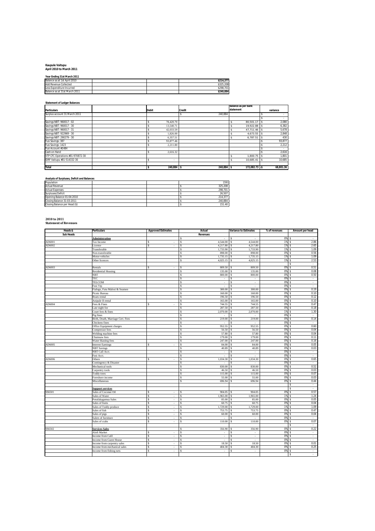# **Kaupule Vaitupu April 2010 to March 2011**

| Year Ending 31st March 2011   |  |  |           |  |  |  |  |  |
|-------------------------------|--|--|-----------|--|--|--|--|--|
| Balance as at 1st April 2010  |  |  | \$214,377 |  |  |  |  |  |
| <b>Add Revenue Collected</b>  |  |  | \$325.208 |  |  |  |  |  |
| Less Expenditure Incurred     |  |  | \$298.701 |  |  |  |  |  |
| Balance as at 31st March 2011 |  |  | \$240.884 |  |  |  |  |  |

#### **Statement of Ledger Balances**

|                                  |              |         | balance as per bank |           |
|----------------------------------|--------------|---------|---------------------|-----------|
| <b>Particulars</b>               | <b>Debit</b> | Credit  | statement           | variance  |
| Surplus account 31 March 2011    |              | 240.884 |                     |           |
|                                  |              |         |                     |           |
| Savings NBT: 960017 - 02         | 78,420.70    |         | 80.501.17           | 2,080     |
| Savings NBT: 960017 - 30         | 13,540.71    |         | 19.922.88           | 6,382     |
| Savings NBT: 960017 - 31         | 42,033.59    |         | 47.711.46           | 5,678     |
| Savings NBT: 922969 - 30         | 1.826.00     |         | 4.673.55            | 2,848     |
| Savings NBT: 290279 - 30         | 6,357.51     |         | 6.787.51            | 430       |
| Fusi Savings: 387                | 93,877.46    |         |                     | 93,877    |
| Fusi Savings: 1423               | 2.211.80     |         |                     | 2,212     |
| Fusi Account #1484               |              |         |                     |           |
| Cash on Hand                     | 2.616.32     |         |                     | 2,616     |
| VTP CFC Operations #01-970872-30 |              |         | 1.800.75            | 1,801     |
| IDRF Vaitupu #01-514332-30       |              |         | 10.685.41           | 10,685    |
| <b>Total</b>                     | 240,884 \$   | 240.884 | 172,082.73 -\$      | 68,801.36 |

#### **Analysis of Surpluses, Deficit and Balances**

| Population                    |  | 1591    |
|-------------------------------|--|---------|
| <b>Actual Revenue</b>         |  | 325.208 |
| <b>Actual Expenses</b>        |  | 298.701 |
| Surpluses/Deficit             |  | 26.507  |
| Opening Balance 01:04:2010    |  | 214.377 |
| Closing Balance 31:03:2011    |  | 240.884 |
| Closing Balance per Head (\$) |  | 151.40  |

# **2010 to 2011 Statement of Revenues**

| Heads &          | <b>Particulars</b>                      | <b>Approved Estimates</b>      | Actual                        | <b>Variance to Estimates</b>       | % of revenues | Amount per head |
|------------------|-----------------------------------------|--------------------------------|-------------------------------|------------------------------------|---------------|-----------------|
| <b>Sub Heads</b> |                                         |                                | <b>Revenues</b>               |                                    |               |                 |
|                  | <b>Administration</b>                   |                                | ¢<br>÷                        | ¢.<br>÷.                           | 0% \$         |                 |
| AD6001           | Tax Income                              | s<br>×.                        | 4,544.00<br>Ś                 | 4,544.00<br>\$.                    | 1%            | \$<br>2.86      |
| AD6002           | License                                 | s<br>×.                        | 4,217.80<br>s                 | 4,217.80                           | 1%            | 2.65<br>s       |
|                  | Transferable                            |                                | 1,733.90<br>\$                | 1,733.90                           | 1%            | 1.09<br>\$      |
|                  | Non-transferable                        |                                | 898.00<br>¢                   | 898.00                             | 0%            | 0.56<br>s       |
|                  | Motor-vehicles                          |                                | 1,735.15                      | 1,735.15                           | 1%            | 1.09            |
|                  | Other licences                          |                                | 4,025.15                      | 4,025.15                           | 1%            | 2.53            |
|                  |                                         |                                |                               |                                    |               | $\sim$          |
| AD6003           | Rentals                                 | S                              | 809.50                        | 809.50                             | 0%            | 0.51            |
|                  | <b>Residential Housing</b>              |                                | 135.00                        | 135.00                             | 0%            | 0.08            |
|                  | NBT                                     |                                | 800.00<br>\$                  | 800.00                             | 0%            | 0.50            |
|                  | TEC                                     |                                | ¢<br>$\overline{\phantom{a}}$ | ×                                  | 0%            | ¢<br>$\cdot$    |
|                  | TELCOM                                  |                                | \$.<br>$\sim$                 | $\sim$                             | 0%            | $\sim$<br>\$    |
|                  | Fusi Vtp                                |                                | \$<br>÷                       | ×                                  | 0%            | $\epsilon$<br>Ŝ |
|                  | Fialogo, Fatu Malosi & Seamen           |                                | 300.00                        | 300.00                             | 0%            | 0.19            |
|                  | Picnic Bureau                           |                                | 160.00                        | 160.00                             | 0%            | 0.10            |
|                  | <b>Boats</b> rental                     |                                | 196.50<br>\$                  | 196.50                             | 0%            | 0.12            |
|                  | Anipule II rental                       |                                | 165.00<br>s                   | 165.00                             | 0%            | 0.10<br>¢       |
| AD6004           | Fees & Fines                            | \$.                            | 744.55<br>s                   | 744.55                             | 0%            | 0.47<br>Ŝ.      |
|                  | Late night fee                          |                                | 287.50<br>\$                  | 287.50                             | 0%            | 0.18<br>\$      |
|                  | Court fees & fines                      |                                | 2,070.00<br>\$                | 2,070.00                           | 1%            | 1.30            |
|                  | Pig fines                               |                                |                               |                                    | 0%            | $\cdot$         |
|                  | Birth, Death, Marriage Cert. Fees       |                                | 219.00<br>¢                   | $\overline{\phantom{a}}$<br>219.00 | 0%            | 0.14            |
|                  | Chickens fines                          |                                | $\sim$                        | $\sim$                             | 0%            | $\epsilon$      |
|                  | Office Equipment charges                |                                | 952.55                        | 952.55                             | 0%            | 0.60            |
|                  |                                         |                                | 56.50                         | 56.50                              | 0%            | 0.04            |
|                  | Compressor fees<br>Welding machine fees |                                | 57.80<br>¢                    | 57.80                              | 0%            | 0.04            |
|                  |                                         |                                | $\mathbf{s}$                  | 179.00                             |               | 0.11<br>¢       |
|                  | Chainsaw fees                           |                                | 179.00<br>247.00<br>s         | 247.00                             | 0%<br>0%      | 0.16            |
|                  | Water blasting fees                     |                                |                               |                                    |               | Ŝ.<br>0.05      |
| AD6005           | <b>Interest Earnings</b>                |                                | 84.00                         | 84.00                              | 0%            |                 |
|                  | <b>NBT</b> Savings                      |                                | 40.89                         | 40.89                              | 0%            | 0.03            |
|                  | NBT Call Acct.                          |                                | $\sim$                        | $\overline{\phantom{a}}$           | 0%            | $\sim$<br>¢     |
|                  | Fusi Acct.                              |                                | s<br>×                        | ×                                  | 0%            | $\sim$          |
| AD6006           | Others                                  | Ś.                             | 1.034.30<br>¢                 | 1,034.30                           | 0%            | 0.65            |
|                  | Contingency & Disaster                  |                                | s<br>×                        | ×                                  | 0%            | \$<br>$\sim$    |
|                  | Mechanical tools                        |                                | 830.00                        | 830.00                             | 0%            | 0.52            |
|                  | Carpentry tools                         |                                | 46.50                         | 46.50                              | 0%            | 0.03            |
|                  | <b>Toddy</b> trees                      |                                | 115.00<br><b>s</b>            | 115.00                             | 0%            | 0.07            |
|                  | Foreshore income                        |                                | 55.00<br>¢                    | 55.00                              | 0%            | 0.03            |
|                  | Miscellaneous                           |                                | 696.94                        | 696.94                             | 0%            | 0.44            |
|                  |                                         |                                |                               |                                    |               | $\cdot$         |
|                  | <b>Support services</b>                 |                                |                               |                                    |               | ÷<br>¢          |
| SS6501           | Sales of Coconut Oil                    | s<br>÷,                        | 904.05<br>s                   | 904.05                             | 0%            | 0.57<br>\$      |
|                  | Sales of Water                          | s<br>ä,                        | 1,965.00<br>s                 | 1,965.00                           | 1%            | 1.24<br>\$      |
|                  | Potufakagamua Sales                     | \$<br>$\overline{\phantom{a}}$ | 85.00<br>s                    | 85.00                              | 0%            | 0.05<br>\$      |
|                  | Sales of fruits                         | s<br>÷,                        | 60.75                         | 60.75                              | 0%            | 0.04            |
|                  | Sales of Toddy produce                  | \$<br>$\overline{\phantom{a}}$ | 1,729.00                      | 1,729.00                           | 1%            | 1.09            |
|                  | Sales of fish                           | s                              | 753.75                        | 753.75                             | 0%            | 0.47            |
|                  | Sales of pigs                           | s<br>÷,                        | 60.00                         | 60.00                              | 0%            | 0.04            |
|                  | Salers of furniture                     | \$.<br>×                       | ÷                             | $\sim$                             | 0%            | $\sim$          |
|                  | Sales of crabs                          | \$.<br>ä,                      | 110.00                        | 110.00                             | 0%            | 0.07            |
|                  |                                         |                                |                               |                                    |               | т<br>\$         |
| SS6502           | <b>Services Sales</b>                   |                                | 356.90<br><b>s</b>            | 356.90                             | 0%            | 0.22<br>\$      |
|                  | Alofi Market                            | \$.<br>×,                      | s<br>×.                       | ×.                                 | 0%            | $\cdot$<br>\$   |
|                  | Income from Café                        | \$.<br>÷,                      | $\sim$                        | ×                                  | 0%            | $\sim$<br>\$    |
|                  | Income from Guest House                 | S<br>×.                        | $\sim$                        | $\sim$                             | 0%            | τ               |
|                  | Income from carpentry sales             | ×.                             | 18.50                         | 18.50                              | 0%            | 0.01            |
|                  | Income from mechanical sales            | \$.<br>÷,                      | 404.30<br>¢                   | 404.30                             | 0%            | 0.25            |
|                  | Income from fishing nets                | s<br>×,                        | ÷                             | ÷.                                 | 0%            | $\cdot$<br>\$   |
|                  |                                         |                                |                               |                                    |               | $\sim$<br>Ŝ.    |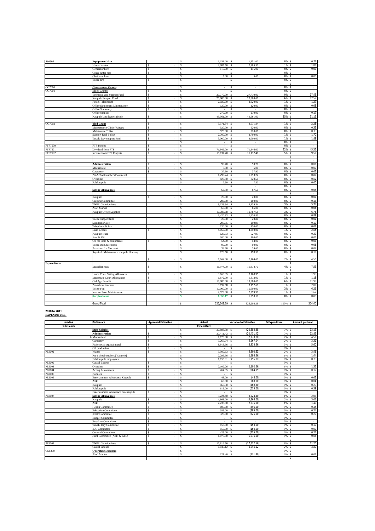| SS6503              | <b>Equipment Hire</b>                |                                | 1,151.00<br>s                 | 1,151.00<br>\$        | 0%     | 0.72<br>s        |
|---------------------|--------------------------------------|--------------------------------|-------------------------------|-----------------------|--------|------------------|
|                     | Hire of tractor                      |                                | 2,985.50<br>s                 | 2,985.50<br>\$.       | 1%     | 1.88<br><b>S</b> |
|                     | Generator hire                       | s<br>$\overline{\phantom{a}}$  | s<br>115.00                   | 115.00<br>s           | 0%     | 0.07<br>\$       |
|                     | Grass-cutter hire                    | \$<br>÷                        | s<br>×.                       | s<br>$\sim$           | 0%     | $\sim$<br>s.     |
|                     | Chainsaw hire                        |                                | 5.00<br>s                     | 5.00                  | 0%     | 0.00<br>Ś        |
|                     | Tools hire                           | Ŝ                              | s<br>L.                       | ×,                    | 0%     | ÷                |
|                     |                                      |                                |                               |                       |        | $\epsilon$       |
| GG7000              | <b>Government Grants</b>             |                                | s<br>$\overline{\phantom{a}}$ | τ<br>\$.              | 0%     | ÷<br>ę           |
| GG7001              | <b>Block Grants:</b>                 | $\sim$<br>S.                   | s<br>$\overline{\phantom{a}}$ | $\sim$<br>s           | 0%     | $\sim$<br>s      |
|                     | Technical and Support Fund           | s<br>÷,                        | 27,770.00<br>s                | 27,770.00<br>s        | 9%     | 17.45<br>Ś       |
|                     | Kaupule Support Fund                 | \$<br>÷                        | 20,000.00<br>s                | 20,000.00<br>\$       | 6%     | 12.57<br>Ś       |
|                     | Fax & Telephones                     | s                              | 2,020.00<br>Ŝ                 | 2,020.00              | 1%     | 1.27<br>Ś        |
|                     | Office Equipment Maintenance         | \$.<br>÷                       | 120.00<br>Ŝ                   | 120.00<br>s           | 0%     | 0.08<br>Ŝ.       |
|                     | Office Stationery                    | s<br>÷                         | \$                            |                       | 0%     | $\sim$<br>Ś      |
|                     | Office supplies                      |                                | s<br>270.00                   | 270.00                | 0%     | 0.17<br>¢        |
|                     | Kaupule land lease subsidy           | s                              | 49,561.00<br>s                | 49,561.00             | 15%    | 31.15<br>s       |
|                     |                                      |                                |                               |                       |        | ٩<br>$\sim$      |
| GG7002              | <b>Tied Grant</b>                    | s<br>$\sim$                    | 3,571.84<br>s                 | 3,571.84              | 1%     | 2.25<br>s        |
|                     | Maintenance Clinic Vaitupu           | s                              | s<br>520.00                   | 520.00                | 0%     | 0.33             |
|                     | Maintenace Tolise                    | \$<br>÷.                       | 520.00<br>s                   | 520.00<br>s           | 0%     | 0.33<br>s        |
|                     | <b>Support fund Tolise</b>           | \$.                            | 2.700.00<br>s                 | 2,700.00<br>\$.       | 1%     | 1.70<br>Ś        |
|                     | Tuvalu Day support fund              | s<br>$\sim$                    | 3,000.00<br>s                 | 3,000.00<br>s         | 1%     | 1.89<br>Ŝ.       |
|                     |                                      |                                | s<br>$\overline{a}$           | Ś<br>×                | 0%     | s.<br>$\sim$     |
| <b>FTF7500</b>      | FTF Income                           | \$.<br>×                       | र<br>÷                        | ç.<br>÷               | 0%     | τ<br><b>S</b>    |
| FTF7501             | Dividend from FTF                    | S<br>$\sim$                    | 71,946.00<br>Ŝ                | 71,946.00<br>\$.      | 22%    | 45.22<br>Ŝ       |
| FTF7502             | Income from FTF Projects             | \$<br>÷                        | 15,137.40<br>s                | 15,137.40<br>s        | 5%     | 9.51<br>s.       |
|                     |                                      |                                |                               |                       |        | $\cdot$<br>Ŝ     |
|                     |                                      |                                |                               |                       |        |                  |
|                     | <b>Administration</b>                | S.                             | 90.70<br>s                    | 90.70                 | 0%     | 0.06<br>s        |
|                     | Mechanical                           | s<br>$\overline{\phantom{a}}$  | 5.00<br>s                     | 5.00<br>\$.           | 0%     | 0.00<br>¢        |
|                     | Carpentry                            | \$<br>$\overline{\phantom{a}}$ | 37.90<br>s                    | 37.90                 | 0%     | 0.02<br>s        |
|                     | Pre-School teachers [Vaimele]        |                                | 1.293.24<br>s                 | 1,293.24              | 0%     | 0.81<br>Ś        |
|                     | Overtime                             |                                | 820.50<br>s                   | 820.50<br>Ś.          | 0%     | 0.52<br>Ś        |
|                     | Falekaupule                          |                                | 7.50<br>Ŝ                     | 7.50<br>s             | 0%     | 0.00<br>Ś        |
|                     |                                      |                                |                               | $\sim$<br>s           | 0%     | s<br>$\sim$      |
|                     | <b>Sitting Allowances</b>            |                                | 67.50<br>\$                   | 67.50<br>Ś.           | 0%     | 0.04<br>Ś        |
|                     |                                      |                                |                               |                       |        | ¢<br>÷.          |
|                     | Kaupule                              | S.                             | 20.00<br>s                    | 20.00                 | 0%     | 0.01             |
|                     | Cultural Committee                   |                                | 200.00<br>s                   | 200.00<br>¢           | 0%     | 0.13<br>٩        |
|                     | <b>TNPF</b> Contributions            |                                | 9,139.34<br>s                 | 9,139.34              | 3%     | 5.74<br>s        |
|                     | Alofi Market                         |                                | s<br>66.00                    | 66.00                 | 0%     | 0.04             |
|                     | Kaupule Office Supplies              |                                | 10,787.68<br>s                | 10,787.68             | 3%     | 6.78<br>s        |
|                     |                                      |                                | 1,420.83<br>\$                | 1,420.83              | 0%     | 0.89<br>¢        |
|                     | Tolise support fund                  |                                | 20.80<br>s                    | 20.80                 | 0%     | 0.01<br>\$       |
|                     | Sikunamo Café                        |                                | 299.95<br>s                   | 299.95<br>s           | 0%     | 0.19<br>s.       |
|                     | Telephone & Fax                      |                                | 130.00<br>s                   | 130.00<br>¢.          | 0%     | 0.08<br><b>R</b> |
|                     | Land Leases                          |                                | 4,050.00<br>s                 | 4,050.00              | 1%     | 2.55<br>Ś        |
|                     | Kaupule lease                        |                                | 627.93<br>\$                  | 627.93                | 0%     | 0.39             |
|                     | Fuel & Oil                           |                                | 100.00<br>\$                  | 100.00                | 0%     | 0.06             |
|                     | Oil for tools & equipments           | ¢                              | 54.00<br>s                    | 54.00                 | 0%     | 0.03<br>¢        |
|                     | Tools and Spare parts                |                                | 90.00<br>s                    | 90.00                 | 0%     | 0.06             |
|                     | Provision for Mechanic               |                                | 39.60<br>s                    | 39.60                 | 0%     | 0.02<br>Ś        |
|                     | Repair & Maintenance Kaupule Housing |                                | 178.50<br>\$                  | 178.50                | 0%     | 0.11<br>Ŝ        |
|                     |                                      |                                |                               |                       |        | s<br>$\cdot$     |
|                     |                                      | ¢                              | 7,164.00<br>\$                | 7,164.00              | 2%     | 4.50<br>Ś        |
| <b>Expenditures</b> |                                      |                                |                               |                       |        | $\cdot$          |
|                     | Miscellaneous                        | S                              | 11,974.70<br>s                | 11,974.70             | 4%     | 7.53<br>s        |
|                     |                                      |                                |                               |                       |        | $\cdot$          |
|                     | <b>Lands Court Sitting Allownces</b> |                                | 3,168.35<br>¢                 | 3,168.35              | 1%     | 1.99<br>¢        |
|                     | Magistrate Court Allowances          | \$<br>$\overline{\phantom{a}}$ | 1,872.00<br>Ŝ                 | 1,872.00<br>s         | 1%     | 1.18<br>\$       |
|                     | Old Age Benefit                      | \$.                            | 19,080.00<br>s                | 19,080.00<br><b>S</b> | 6%     | 11.99<br>s       |
|                     | Pre-school teachers                  |                                | 3,192.68<br>s                 | 3,192.68<br>s         | 1%     | 2.01<br>\$       |
|                     | <b>Tolise Fou</b>                    |                                | 10,000.00<br>s                | 10,000.00             | 3%     | 6.29<br>¢        |
|                     | Interior Road Maintenance            |                                | s<br>2,579.90                 | 2,579.90              | 1%     | 1.62<br>Ś        |
|                     | <b>Surplus found</b>                 |                                | 1.353.17<br>Ś                 | 1,353.17              | 0%     | 0.85<br>¢        |
|                     |                                      |                                |                               |                       |        |                  |
|                     | <b>Grand Total</b>                   |                                | 325,208.29 S<br>s             | 325,208.29            | 100% S | 204.40           |

#### **2010 to 2011 EXPENDITURE:**

| Heads &          | <b>Particulars</b>                  | <b>Approved Estimates</b>       | Actual              | <b>Variance to Estimates</b> | % Expenditure | Amount per head            |
|------------------|-------------------------------------|---------------------------------|---------------------|------------------------------|---------------|----------------------------|
| <b>Sub Heads</b> |                                     |                                 | <b>Expenditure</b>  |                              |               |                            |
|                  | <b>Staff Salaries</b>               |                                 | 20.883.38 \$<br>s   | (20.883.38)                  | 7% \$         | 13.13                      |
|                  | <b>Administration</b>               | S.<br>$\sim$                    | 20.411.42<br>s      | (20, 411.42)                 | 7%            | 12.83<br>l s               |
|                  | Mechanical                          | s<br>$\sim$                     | 7.170.80<br>\$      | (7.170.80)                   | $2%$ \$       | 4.51                       |
|                  | Carpentry                           | s<br>$\sim$                     | 5.267.04<br>s       | (5.267.04)                   | $2%$ \$       | 3.31                       |
|                  | Fisheries & Agricalutural           | s<br>$\sim$                     | 8.913.56<br>\$.     | (8,913.56)                   | 3% \$         | 5.60                       |
|                  | Oil production                      | s                               | \$.                 | $\mathbf{r}$                 | 0%            | l s<br>$\sim$              |
| PE8002           | Wages                               | s                               | 5.500.63<br>s       | (5,500.63)                   | 2%            | 3.46<br>l s                |
|                  | Pre-School teachers [Vaimele]       |                                 | 2.295.56<br>\$      | (2.295.56)                   | 1%            | 1.44<br>l \$               |
|                  | Falekaupule employees               |                                 | 1,156.81<br>\$      | (1, 156.81)                  | 0%            | 0.73<br>l \$               |
| PE8009           | Casual Labour                       | s<br>$\sim$                     | s                   |                              | 0%            | l \$<br>$\sim$             |
| PE8003           | Overtime                            | S<br>$\sim$                     | 2.102.26<br>s       | (2.102.26)                   | $1\%$ \$      | 1.32                       |
| PE8004           | <b>Acting Allowances</b>            | \$.<br>$\sim$                   | 264.95<br>s         | (264.95)                     | 0%S           | 0.17                       |
| PE8005           | <b>Bonuses</b>                      | s<br>÷.                         | s                   |                              | $0%$ \$       | $\sim$                     |
| <b>PE8006</b>    | Entertainment Allowance Kaupule     | s<br>÷.                         | 48.00<br>s          | (48.00)                      | 0%S           | 0.03                       |
|                  | Aliki                               |                                 | 69.00<br>s          | (69.00)                      | $0%$ \$       | 0.04                       |
|                  | Kaupule                             |                                 | 469.30<br>s         | (469.30)                     | 0%S           | 0.29                       |
|                  | Falekaupule                         |                                 | 615.00<br>\$        | (615.00)                     | 0%            | 0.39<br>l s                |
|                  | Entertainment Allowance Falekaupule | \$                              | s                   |                              | 0%S           | $\sim$                     |
| PE8007           | <b>Sitting Allowances</b>           |                                 | 3.224.40<br>\$      | (3.224.40)                   | $1%$ \$       | 2.03                       |
|                  | Kaupule                             | s                               | 4,868.00<br>s       | (4,868.00)                   | 2%            | 3.06<br>l s                |
|                  | Aliki                               | s                               | 2.235.00<br>s       | (2, 235.00)                  | 1%            | 1.40<br>l \$               |
|                  | <b>Health Committee</b>             | s                               | 695.00<br>s         | (695.00)                     | 0%            | 0.44<br>l \$               |
|                  | <b>Education Committee</b>          | s<br>$\sim$                     | 385.00<br>\$        | (385.00)                     | 0%            | 0.24                       |
|                  | <b>IDRF</b> Committee               | s<br>÷.                         | 325.00<br>s         | (325.00)                     | 0%            | 0.20<br>$\mathbf{\hat{S}}$ |
|                  | <b>Budget Committee</b>             | \$.<br>$\sim$                   | \$                  |                              | 0%            | <b>S</b><br>$\mathbf{r}$   |
|                  | <b>Bye-Law Committee</b>            | \$.<br>÷.                       | \$.                 | $\sim$                       | 0% \$         | $\sim$                     |
|                  | Tuvalu Day Committee                | s<br>٠                          | 153.00<br>\$        | (153.00)                     | 0%            | 0.10<br><sup>\$</sup>      |
|                  | <b>IDC</b> Committee                | s<br>$\sim$                     | s<br>150.00         | (150.00)                     | 0% \$         | 0.09                       |
|                  | <b>Cultural Committee</b>           | \$.<br>$\sim$                   | 425.00<br>s         | (425.00)                     | 0%            | 0.27<br>-S                 |
|                  | Joint Committee (Aliki & KPL)       | $\mathbf{s}$<br>$\sim$          | 1.075.00<br>\$      | (1,075.00)                   | 0%            | 0.68<br>l \$               |
|                  |                                     |                                 |                     |                              |               | s<br>$\sim$                |
| <b>PE8008</b>    | <b>TNPF</b> Contributions           | \$.<br>$\overline{\phantom{a}}$ | 17.812.56 \$<br>s   | (17.812.56)                  | 6% \$         | 11.20                      |
|                  | Casual labours                      |                                 | $6,045,12$ \$<br>\$ | (6.045.12)                   | 2%            | 3.80<br>l \$               |
| <b>OE8200</b>    | <b>Operating Expenses</b>           |                                 | s                   |                              | $0%$ \$       | $\sim$                     |
|                  | Alofi Market                        |                                 | Ś<br>121.40         | (121.40)                     | 0%            | 0.08<br>l s                |
|                  |                                     |                                 |                     |                              |               | s.<br>٠                    |